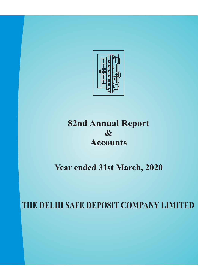

## **82nd Annual Report & Accounts**

# **Year ended 31st March, 2020**

**THE DELHI SAFE DEPOSIT COMPANY LIMITED**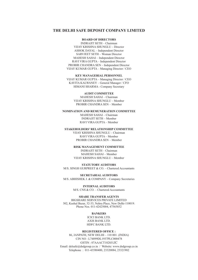## **THE DELHI SAFE DEPOSIT COMPANY LIMITED**

## **BOARD OF DIRECTORS**

INDRAJIT SETH – Chairman ASHOK DAYAL – Independent Director VIJAY KRISHNA SHUNGLU – Director SARVJEET SETH – Woman Director MAHESH SAHAI – Independent Director RAVI VIRA GUPTA – Independent Director PROBIR CHANDRA SEN – Independent Director VIJAY KUMAR GUPTA – Managing Director / CEO

#### **KEY MANAGERIAL PERSONNEL**

VIJAY KUMAR GUPTA – Managing Director / CEO KAVITA KALWANEY – General Manager / CFO HIMANI SHARMA - Company Secretary

## **AUDIT COMMITTEE**

MAHESH SAHAI – Chairman VIJAY KRISHNA SHUNGLU – Member PROBIR CHANDRA SEN – Member

#### **NOMINATION AND REMUNERATION COMMITTEE**

MAHESH SAHAI – Chairman INDRAJIT SETH – Member RAVI VIRA GUPTA – Member

### **STAKEHOLDERS' RELATIONSHIP COMMITTEE**

VIJAY KRISHNA SHUNGLU – Chairman RAVI VIRA GUPTA – Member PROBIR CHANDRA SEN – Member

#### **RISK MANAGEMENT COMMITTEE**

INDRAJIT SETH – Chairman MAHESH SAHAI – Member VIJAY KRISHNA SHUNGLU – Member

#### **STATUTORY AUDITORS**

M/S. SINGH GURPREET & CO. - Chartered Accountants

**SECRETARIAL AUDITORS** M/S. ABHISHEK J. & COMPANY - Company Secretaries

## **INTERNAL AUDITORS**

M/S. CNS & CO. – Chartered Accountants

#### **SHARE TRANSFER AGENTS**

BIGSHARE SERVICES PRIVATE LIMITED 302, Kushal Bazar, 32-33, Nehru Place, New Delhi-110019. Phone Nos. 011-42425004, 47565852

#### **BANKERS**

ICICI BANK LTD. AXIS BANK LTD. HDFC BANK LTD.

#### **REGISTERED OFFICE :**

86, JANPATH, NEW DELHI – 110 001. (INDIA) CIN NO : L74899DL1937PLC000478 Email: delsafe@dsdgroup.co.in / Website: www.dsdgroup.co.in Telephone : 011-43580400, 23320084, 23321902 GSTIN : 07AAACT1828J1ZC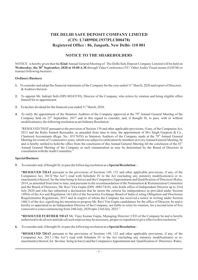## **THE DELHI SAFE DEPOSIT COMPANY LIMITED Registered Office : 86, Janpath, New Delhi- 110 001 (CIN: L74899DL1937PLC000478)**

## **NOTICE TO THE SHAREHOLDERS**

NOTICE is hereby given that the **82nd** Annual General Meeting of The Delhi Safe Deposit Company Limited will be held on Wednesday, the 30<sup>th</sup> September, 2020 at 10.00 A.M through Video Conference (VC/ Other Audio Visual means (OAVM) to : transact following business

## **Ordinary Business**

- 1. To consider and adopt the financial statements of the Company for the year ended 31<sup>st</sup> March, 2020 and report of Directors &Auditors thereon.
- To appoint Mr. Indrajit Seth (DIN 00243539), Director of the Company, who retires by rotation and being eligible offers **2.** himself for re-appointment.
- 3. To declare dividend for the financial year ended 31<sup>st</sup> March, 2020.
- 4. To ratify the appointment of the Statutory Auditors of the Company approved at the 79<sup>th</sup> Annual General Meeting of the Company held on  $23^{rd}$  September, 2017 and in this regard to consider, and, if thought fit, to pass, with or without modification(s), the following resolution as an Ordinary Resolution:

"RESOLVED THAT pursuant to the provision of Section 139 and other applicable provisions, if any, of the Companies Act, 2013 and the Rules framed thereunder, as amended from time to time, the appointment of  $M/s$  Singh Gurpreet & Co., Chartered Accountants (Regn. No.: 031763N) as Statutory Auditors of the Company made at the 79<sup>th</sup> Annual General Meeting for a term of 5 consecutive years, which was subject to ratification by members at everyAnnual General Meeting, be and is hereby ratified to hold the office from the conclusion of this Annual General Meeting till the conclusion of the  $83<sup>rd</sup>$ Annual General Meeting of the Company at such remuneration as may be determined by the Board of Directors in consultation with theAudit Committee."

## **Special Business**

5. To consider and, if thought fit, to pass the following resolution as a **Special Resolution**:-

**"RESOLVED THAT** pursuant to the provisions of Sections 149, 152 and other applicable provisions, if any, of the Companies Act, 2013("the Act") read with Schedule IV to the Act (including any statutory modification(s) or reenactment(s) thereof, for the time being in force) and the Companies (Appointment and Qualification of Directors) Rules, 2014, as amended from time to time, and pursuant to the recommendation of the Nomination & Remuneration Committee and the Board of Directors, Mr. Ravi Vira Gupta (DIN: 00017410), who holds office of Independent Director up to 23rd July 2020 and who has submitted a declaration that he meets the criteria for independence as provided under Section 149(6) of the Act and Regulation 16(1)(b) of the Securities Exchange Board of India (Listing Obligation and Disclosure Requirements) Regulations, 2015 and in respect of whom the Company has received a notice in writing under Section 160(1) of the Act, signifying his intention to propose Mr. Ravi Vira Gupta candidature for the office of Director, be and is hereby re-appointed as an Independent Director of the Company, not liable to retire by rotation, for a second term of five consecutive years commencing from 24th July, 2020 upto 23rd July, 2025."

"RESOLVED FURTHER THAT Mr. Vijay Kumar Gupta, Managing Director/ CEO of the Company be and is hereby authorized to do all acts and take all such steps as may be necessary, proper or expedient to give effect to this resolution."

6. To consider and, if thought fit, to pass the following resolution as a **Special Resolution**:-

**"RESOLVED THAT** pursuant to the provisions of Sections 149, 152 and other applicable provisions, if any, of the Companies Act, 2013 ("the Act") read with Schedule IV to the Act (including any statutory modification(s) or reenactment(s) thereof, for the time being in force) and the Companies (Appointment and Qualification of Directors) Rules,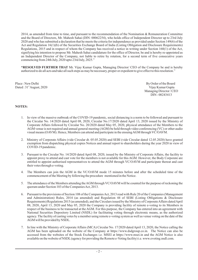2014, as amended from time to time, and pursuant to the recommendation of the Nomination & Remuneration Committee and the Board of Directors, Mr. Mahesh Sahai (DIN: 00062254), who holds office of Independent Director up to 23rd July 2020 and who has submitted a declaration that he meets the criteria for independence as provided under Section 149(6) of the Act and Regulation 16(1)(b) of the Securities Exchange Board of India (Listing Obligation and Disclosure Requirements) Regulations, 2015 and in respect of whom the Company has received a notice in writing under Section 160(1) of the Act, signifying his intention to propose Mr. Mahesh Sahai candidature for the office of Director, be and is hereby re-appointed as an Independent Director of the Company, not liable to retire by rotation, for a second term of five consecutive years commencing from 24th July, 2020 upto 23rd July, 2025."

"RESOLVED FURTHER THAT Mr. Vijay Kumar Gupta, Managing Director/ CEO of the Company be and is hereby authorized to do all acts and take all such steps as may be necessary, proper or expedient to give effect to this resolution."

Place : New Delhi Board **By Order of the Board** Dated : 31<sup>\*</sup> August, 2020 Vijay Kumar Gupta

Managing Director / CEO DIN - 00243413

## **NOTES:**

- 1. In view of the massive outbreak of the COVID-19 pandemic, social distancing is a norm to be followed and pursuant to the Circular No. 14/2020 dated April 08, 2020, Circular No.17/2020 dated April 13, 2020 issued by the Ministry of Corporate Affairs followed by Circular No. 20/2020 dated May 05, 2020, physical attendance of the Members to the AGM venue is not required and annual general meeting (AGM) be held through video conferencing (VC) or other audio visual means (OAVM). Hence, Members can attend and participate in the ensuingAGM through VC/OAVM.
- 2. Ministry of Corporate Affairs (vide Circular dt. 05.05.2020) and SEBI (vide Circular dated 12.05.2020) have granted exemption from dispatching physical copies Notices and annual report to shareholders during the year 2020 in view of COVID-19 pandemic.
- 3. Pursuant to the Circular No. 14/2020 dated April 08, 2020, issued by the Ministry of Corporate Affairs, the facility to appoint proxy to attend and cast vote for the members is not available for this AGM. However, the Body Corporate are entitled to appoint authorised representatives to attend the AGM through VC/OAVM and participate thereat and cast their votes through e-voting.
- 4. The Members can join the AGM in the VC/OAVM mode 15 minutes before and after the scheduled time of the commencement of the Meeting by following the procedure mentioned in the Notice.
- 5. The attendance of the Members attending the AGM through VC/OAVM will be counted for the purpose of reckoning the quorum under Section 103 of the Companies Act, 2013.
- 6. Pursuant to the provisions of Section 108 of the CompaniesAct, 2013 read with Rule 20 of the Companies (Management and Administration) Rules, 2014 (as amended) and Regulation 44 of SEBI (Listing Obligations & Disclosure Requirements) Regulations 2015 (as amended), and the Circulars issued by the Ministry of Corporate Affairs dated April 08, 2020, April 13, 2020 and May 05, 2020 the Company is providing facility of remote e-voting to its Members in respect of the business to be transacted at the AGM. For this purpose, the Company has entered into an agreement with National Securities Depository Limited (NSDL) for facilitating voting through electronic means, as the authorized agency. The facility of casting votes by a member using remote e-voting system as well as venue voting on the date of the AGM will be provided by NSDL.
- 7. In line with the Ministry of Corporate Affairs (MCA) Circular No. 17/2020 dated April 13, 2020, the Notice calling the AGM has been uploaded on the website of the Company at https://www.dsdgroup.co.in. The Notice can also be accessed from the websites of the Stock Exchanges i.e. MSEI at https://www.msei.in and the AGM Notice is also available on the website of NSDL(agency for providing the Remote e-Voting facility) i.e. www.evoting.nsdl.com.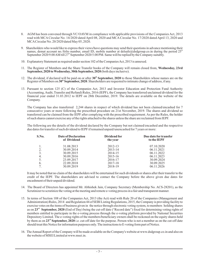- 8. AGM has been convened through VC/OAVM in compliance with applicable provisions of the Companies Act, 2013 read with MCA Circular No. 14/2020 dated April 08, 2020 and MCA Circular No. 17/2020 dated April 13, 2020 and MCACircular No. 20/2020 dated May 05, 2020.
- 9. Shareholders who would like to express their views/have questions may send their questions in advance mentioning their names, demat account no./folio number, email ID, mobile number at delsafe@dsdgroup.co.in during the period  $25^{\circ}$ September 2020 9.00 AM till 27<sup>th</sup> September 2020 5.00 PM. Same will be replied by the Company suitably.
- 10. Explanatory Statement as required under section 102 of the CompaniesAct, 2013 is annexed.
- 11. The Register of Members and the Share Transfer books of the Company will remain closed from, **Wednesday, 23rd** September, 2020 to Wednesday, 30th September, 2020 (both days inclusive).
- 12. The dividend, if declared will be paid on or after 30<sup>th</sup> September, 2020 to those Shareholders whose names are on the Register of Members on 30<sup>th</sup> September, 2020. Shareholders are requested to intimate change of address, if any.
- 13. Pursuant to section 125 (C) of the Companies Act, 2013 and Investor Education and Protection Fund Authority (Accounting,Audit, Transfer and Refund) Rules, 2016 (IEPF), the Company has transferred unclaimed dividend for the financial year ended 31.03.2012 to IEPF on 28th December, 2019. The details are available on the website of the Company.

The Company has also transferred 2,244 shares in respect of which dividend has not been claimed/encashed for 7 consecutive years or more following the prescribed procedure on 21st November, 2019. The shares and dividend so transferred can be claimed from the IEPF after complying with the prescribed requirement. As per the Rules, the holder of such shares cannot exercise any of the rights attached to the shares unless the share are reclaimed from IEPF.

The following are the details of the dividend declared by the Company but not claimed/encashed and the respective due dates for transfer of such dividend to IEPF if remained unpaid/unencashed for 7 years or more:

| S.No. | Date of Declaration<br>of Dividend | Dividend for<br>the year | Due date for transfer<br>to the IEPF |  |  |
|-------|------------------------------------|--------------------------|--------------------------------------|--|--|
|       | 31.08.2013                         | 2012-13                  | 07.10.2020                           |  |  |
| 2.    | 30.09.2014                         | 2013-14                  | 06.11.2021                           |  |  |
| 3.    | 30.09.2015                         | 2014-15                  | 06.11.2022                           |  |  |
| 4.    | 30.09.2016                         | $2015 - 16$              | 06.11.2023                           |  |  |
| 5.    | 23.09.2017                         | 2016-17                  | 30.09.2024                           |  |  |
| 6.    | 22.09.2018                         | 2017-18                  | 30.09.2025                           |  |  |
| 7.    | 30.09.2019                         | 2018-19                  | 06.11.2026                           |  |  |
|       |                                    |                          |                                      |  |  |

It may be noted that no claim of the shareholders will be entertained for such dividends or shares after their transfer to the credit of the IEPF. The shareholders are advised to contact the Company before the above given due dates for encashment of their unpaid dividend.

- 14. The Board of Directors has appointed Mr. Abhishek Jain, Company Secretary (Membership No. ACS-28201), as the Scrutinizer to scrutinize the voting at the meeting and remote e-voting process in a fair and transparent manner.
- 15. In terms of Section 108 of the Companies Act, 2013 (the Act) read with Rule 20 of the Companies (Management and Administration) Rules, 2014 and Regulation 44 of SEBI Listing Regulations, 2015, the Company is providing facility to exercise votes on the items of business given in the notice through electronic voting system, to members holding shares as on 23<sup>rd</sup> September, 2020 (End of Day) being the cut-off date ("Record date") fixed for determining voting rights of members entitled to participate in the e-voting process through the e-voting platform provided by National Securities Depository Limited. The e-voting rights of the members/beneficiary owners shall be reckoned on the equity shares held by them as on 23<sup>rd</sup> September, 2020 i.e. cut-off date for the purpose. Person who is not a member as on the cut-off date should treat this Notice for information purposes only. The instructions to E-voting form part of Notice.
- 16. TheAnnual Report of the Company will be made available on the Company's website at www.dsdgroup.co.in and also on the website of MSEI Limited at www.msei.in.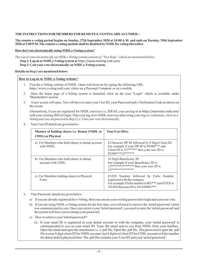## **THE INSTRUCTIONS FOR MEMBERS FOR REMOTE E-VOTINGAREAS UNDER :-**

## **The remote e-voting period begins on Sunday, 27th September 2020 at 10:00 A.M. and ends on Tuesday, 29th September 2020 at 5:00 P.M. The remote e-voting module shall be disabled by NSDLfor voting thereafter.**

## **How do I vote electronically using NSDLe-Voting system?**

**Step 1: Log-in to NSDLe-Voting system a** t https://www.evoting.nsdl.com/ **Step 2: Cast your vote electronically on NSDLe-Voting system.** *The way to vote electronically on NSDL e-Voting system consists of "Two Steps" which are mentioned below:*

## **Details on Step 1 are mentioned below:**

## **How to Log-in to NSDL e-Voting website?**

- 1. Visit the e-Voting website of NSDL. Open web browser by typing the following URL: https://www.evoting.nsdl.com/ either on a Personal Computer or on a mobile.
- 2. Once the home page of e-Voting system is launched, click on the icon "Login" which is available under 'Shareholders' section.
- 3. A new screen will open. You will have to enter your User ID, your Password and a Verification Code as shown on the screen.

Alternatively, if you are registered for NSDL eservices i.e. IDEAS, you can log-in at https://eservices.nsdl.com/ with your existing IDEAS login. Once you log-in to NSDL eservices after using your log *-in credentials, click on e-Voting and you can proceed to Step 2 i.e. Cast your vote electronically.*

4. Your User ID details are given below :

| Manner of holding shares i.e. Demat (NSDL or<br><b>CDSL</b> ) or Physical | Your User ID is:                                                                                                                                                   |
|---------------------------------------------------------------------------|--------------------------------------------------------------------------------------------------------------------------------------------------------------------|
| a) For Members who hold shares in demat account<br>with NSDL.             | 8 Character DP ID followed by 8 Digit Client ID<br>For example if your DP ID is IN300*** and<br>Client ID is $12******$ then your user ID is<br>$IN300***12******$ |
| b) For Members who hold shares in demat<br>account with CDSL.             | 16 Digit Beneficiary ID<br>For example if your Beneficiary ID is<br>$12****************the$ then your user ID is<br>17**************                               |
| c) For Members holding shares in Physical<br>Form.                        | EVEN Number followed by Folio Number<br>registered with the company<br>For example if folio number is 001*** and EVEN is<br>101456 then user ID is 101456001***    |

- 5. Your Password details are given below :
	- a) If you are already registered for e-Voting, then you can use your existing password to login and cast your vote.
	- b) If you are using NSDL e-Voting system for the first time, you will need to retrieve the 'initial password' which was communicated to you. Once you retrieve your 'initial password', you need to enter the 'initial password' and the system will force you to change your password.
	- c) How to retrieve your 'initial password'?
		- (i) If your email ID is registered in your demat account or with the company, your 'initial password' is communicated to you on your email ID. Trace the email sent to you from NSDL from your mailbox. Open the email and open the attachment i.e. a .pdf file. Open the .pdf file. The password to open the .pdf file is your 8 digit client ID for NSDL account, last 8 digits of client ID for CDSL account or folio number for shares held in physical form. The .pdf file contains your 'User ID' and your 'initial password'.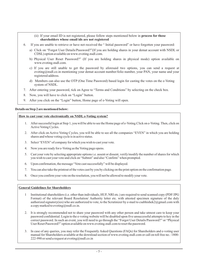- (ii) If your email ID is not registered, please follow steps mentioned below in **process for those shareholders whose email ids are not registered**
- 6. If you are unable to retrieve or have not received the " Initial password" or have forgotten your password:
	- a) Click on "Forgot User Details/Password?"(If you are holding shares in your demat account with NSDL or CDSL) option available on www.evoting.nsdl.com.
	- b) Physical User Reset Password?" (If you are holding shares in physical mode) option available on www.evoting.nsdl.com.
	- c) If you are still unable to get the password by aforesaid two options, you can send a request at evoting@nsdl.co.in mentioning your demat account number/folio number, your PAN, your name and your registered address.
	- d) Members can also use the OTP (One Time Password) based login for casting the votes on the e-Voting system of NSDL.
- 7. After entering your password, tick on Agree to "Terms and Conditions" by selecting on the check box.
- 8. Now, you will have to click on "Login" button.
- 9. After you click on the "Login" button, Home page of e-Voting will open.

## **Details on Step 2 are mentioned below:**

## **How to cast your vote electronically on NSDL e-Voting system?**

- 1. After successful login at Step 1, you will be able to see the Home page of e-Voting.Click on e-Voting. Then, click on Active Voting Cycles.
- 2. After click on Active Voting Cycles, you will be able to see all the companies "EVEN" in which you are holding shares and whose voting cycle is in active status.
- 3. Select "EVEN" of company for which you wish to cast your vote.
- 4. Now you are ready for e-Voting as the Voting page opens.
- 5. Cast your vote by selecting appropriate options i.e. assent or dissent, verify/modify the number of shares for which you wish to cast your vote and click on "Submit" and also "Confirm" when prompted.
- 6. Upon confirmation, the message "Vote cast successfully" will be displayed.
- 7. You can also take the printout of the votes cast by you by clicking on the print option on the confirmation page.
- 8. Once you confirm your vote on the resolution, you will not be allowed to modify your vote.

## **General Guidelines for Shareholders**

- 1 Institutional shareholders (i.e. other than individuals, HUF, NRI etc.) are required to send scanned copy (PDF/JPG Format) of the relevant Board Resolution/ Authority letter etc. with attested specimen signature of the duly authorized signatory(ies) who are authorized to vote, to the Scrutinizer by e-mail to csabhishek2@gmail.com with a copy marked to evoting@nsdl.co.in.
- 2. It is strongly recommended not to share your password with any other person and take utmost care to keep your password confidential. Login to the e-voting website will be disabled upon five unsuccessful attempts to key in the correct password. In such an event, you will need to go through the "Forgot User Details/Password?" or "Physical User Reset Password?" option available on www.evoting.nsdl.com to reset the password.
- 3. In case of any queries, you may refer the Frequently Asked Questions (FAQs) for Shareholders and e-voting user manual for Shareholders available at the download section of www.evoting.nsdl.com or call on toll free no.: 1800- 222-990 or send a request at evoting@nsdl.co.in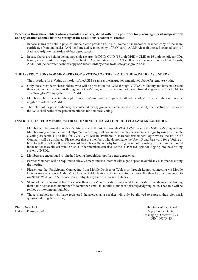## **Process for those shareholders whose email ids are not registered with the depositories for procuring user id and password and registration of e mail ids for e-voting for the resolutions set out in this notice**:

- 1. In case shares are held in physical mode please provide Folio No., Name of shareholder, scanned copy of the share certificate (front and back), PAN (self attested scanned copy of PAN card), AADHAR (self attested scanned copy of Aadhar Card) by email to delsafe@dsdgroup.co.in
- 2. In case shares are held in demat mode, please provide DPID-CLID (16 digit DPID + CLID or 16 digit beneficiary ID), Name, client master or copy of Consolidated Account statement, PAN (self attested scanned copy of PAN card), AADHAR (self attested scanned copy of Aadhar Card) by email to delsafe@dsdgroup.co.in

## **THE INSTRUCTIONS FOR MEMBERS FOR e-VOTING ON THE DAY OF THE AGM ARE AS UNDER:-**

- 1. The procedure for e-Voting on the day of theAGM is same as the instructions mentioned above for remote e-voting.
- 2. Only those Members/ shareholders, who will be present in the AGM through VC/OAVM facility and have not casted their vote on the Resolutions through remote e-Voting and are otherwise not barred from doing so, shall be eligible to vote through e-Voting system in theAGM.
- 3. Members who have voted through Remote e-Voting will be eligible to attend the AGM. However, they will not be eligible to vote at theAGM.
- 4. The details of the person who may be contacted for any grievances connected with the facility for e-Voting on the day of theAGM shall be the same person mentioned for Remote e-voting.

## **INSTRUCTIONS FOR MEMBERS FORATTENDING THEAGM THROUGH VC/OAVMAREAS UNDER:**

- 1. Member will be provided with a facility to attend the AGM through VC/OAVM through the NSDL e-Voting system. Members may access the same at https://www.evoting.nsdl.com under shareholders/members login by using the remote e-voting credentials. The link for VC/OAVM will be available in shareholder/members login where the EVEN of Company will be displayed. Please note that the members who do not have the User ID and Password for e-Voting or have forgotten the User ID and Password may retrieve the same by following the remote e-Voting instructions mentioned in the notice to avoid last minute rush. Further members can also use the OTP based login for logging into the e-Voting system of NSDL.
- 2. Members are encouraged to join the Meeting through Laptops for better experience.
- 3. Further Members will be required to allow Camera and use Internet with a good speed to avoid any disturbance during the meeting.
- 4. Please note that Participants Connecting from Mobile Devices or Tablets or through Laptop connecting via Mobile Hotspot may experienceAudio/Video loss due to Fluctuation in their respective network. It is therefore recommended to use Stable Wi-Fi or LAN Connection to mitigate any kind of aforesaid glitches.
- 5. Shareholders, who would like to express their views/have questions may send their questions in advance mentioning their name demat account number/folio number, email id, mobile number at delsafe@dsdgroup.co.in. The same will be replied by the company suitably.
- 6. Those shareholders who have registered themselves as a speaker will only be allowed to express their views/ask questions during the meeting.

Place : New Delhi Board By Order of the Board Dated : 31<sup>\*</sup> August, 2020 Vijay Kumar Gupta

Managing Director / CEO DIN - 00243413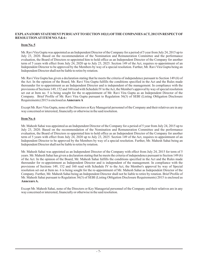## **EXPLANATORYSTATEMENT PURSUANTTO SECTION 102(1) OFTHE COMPANIESACT, 2013 IN RESPECT OF RESOLUTIONAT ITEM NO.5&6:**

## **Item No. 5**

Mr. Ravi Vira Gupta was appointed as an Independent Director of the Company for a period of 5 year from July 24, 2015 up to July 23, 2020. Based on the recommendation of the Nomination and Remuneration Committee and the performance evaluation, the Board of Directors re-appointed him to hold office as an Independent Director of the Company for another term of 5 years with effect from July 24, 2020 up to July 23, 2025. Section 149 of the Act, requires re-appointment of an Independent Director to be approved by the Members by way of a special resolution. Further, Mr. Ravi Vira Gupta being an Independent Director shall not be liable to retire by rotation.

Mr. Ravi Vira Gupta has given a declaration stating that he meets the criteria of independence pursuant to Section 149 (6) of the Act. In the opinion of the Board, Mr. Ravi Vira Gupta fulfills the conditions specified in the Act and the Rules made thereunder for re-appointment as an Independent Director and is independent of the management. In compliance with the provisions of Sections 149, 152 and 160 read with Schedule IV to theAct, the Member's approval by way of special resolution set out at Item no. 5 is being sought for the re-appointment of Mr. Ravi Vira Gupta as an Independent Director of the Company. Brief Profile of Mr. Ravi Vira Gupta pursuant to Regulation 36(3) of SEBI (Listing Obligation Disclosure Requirements) 2015 is enclosed as **AnnexureA**

Except Mr. Ravi Vira Gupta, none of the Directors or Key Managerial personnel of the Company and their relatives are in any way concerned or interested, financially or otherwise in the said resolution.

## **Item No. 6**

Mr. Mahesh Sahai was appointed as an Independent Director of the Company for a period of 5 year from July 24, 2015 up to July 23, 2020. Based on the recommendation of the Nomination and Remuneration Committee and the performance evaluation, the Board of Directors re-appointed him to hold office as an Independent Director of the Company for another term of 5 years with effect from July 24, 2020 up to July 23, 2025. Section 149 of the Act, requires re-appointment of an Independent Director to be approved by the Members by way of a special resolution. Further, Mr. Mahesh Sahai being an Independent Director shall not be liable to retire by rotation.

Mr. Mahesh Sahai was appointed as an Independent Director of the Company with effect from July 24, 2015 for term of 5 years. Mr. Mahesh Sahai has given a declaration stating that he meets the criteria of independence pursuant to Section 149 (6) of the Act. In the opinion of the Board, Mr. Mahesh Sahai fulfills the conditions specified in the Act and the Rules made thereunder for re-appointment as Independent Director and is independent of the management. In compliance with the provisions of Sections 149, 152 and 160 read with Schedule IV to the Act, the Member's approval by way of Special resolution set out at Item no. 6 is being sought for the re-appointment of Mr. Mahesh Sahai as Independent Director of the Company. Further, Mr. Mahesh Sahai being an Independent Director shall not be liable to retire by rotation. Brief Profile of Mr. Mahesh Sahai pursuant to Regulation 36(3) of SEBI (Listing Obligation Disclosure Requirements) 2015 is enclosed as **AnnexureA.**

Except Mr. Mahesh Sahai, none of the Directors or Key Managerial personnel of the Company and their relatives are in any way concerned or interested, financially or otherwise in the said resolution.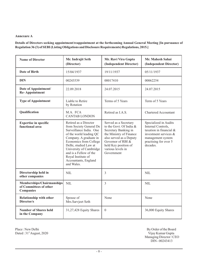## **Annexure A**

**Details of Directors seeking appointment/reappointment at the forthcoming Annual General Meeting [In pursuance of Regulation 36 (3) of SEBI (Listing Obligations and Disclosure Requirements) Regulations, 2015.]**

| <b>Name of Director</b>                                          | Mr. Indrajit Seth<br>(Director)                                                                                                                                                                                                                                                                      | Mr. Ravi Vira Gupta<br>(Independent Director)                                                                                                                                                                  | Mr. Mahesh Sahai<br>(Independent Director)                                                                                                                |
|------------------------------------------------------------------|------------------------------------------------------------------------------------------------------------------------------------------------------------------------------------------------------------------------------------------------------------------------------------------------------|----------------------------------------------------------------------------------------------------------------------------------------------------------------------------------------------------------------|-----------------------------------------------------------------------------------------------------------------------------------------------------------|
| Date of Birth                                                    | 15/04/1937                                                                                                                                                                                                                                                                                           | 19/11/1937                                                                                                                                                                                                     | 05/11/1937                                                                                                                                                |
| <b>DIN</b>                                                       | 00243539                                                                                                                                                                                                                                                                                             | 00017410                                                                                                                                                                                                       | 00062254                                                                                                                                                  |
| Date of Appointment/<br><b>Re-Appointment</b>                    | 22.09.2018                                                                                                                                                                                                                                                                                           | 24.07.2015                                                                                                                                                                                                     | 24.07.2015                                                                                                                                                |
| <b>Type of Appointment</b>                                       | Liable to Retire<br>by Rotation                                                                                                                                                                                                                                                                      | Terms of 5 Years                                                                                                                                                                                               | Term of 5 Years                                                                                                                                           |
| Qualification                                                    | M.A. FCA<br><b>CANTAB LONDON</b>                                                                                                                                                                                                                                                                     | Retired as I.A.S.                                                                                                                                                                                              | <b>Chartered Accountant</b>                                                                                                                               |
| <b>Expertise in specific</b><br>functional area                  | Retired as a Director<br>from Society General De<br>Surveillance India. One<br>of the world leading QC<br>Company. A graduate in<br>Economics from College<br>Delhi, studied Law at<br>University of Cambridge<br>and is a Fellow of the<br>Royal Institute of<br>Accountants, England<br>and Wales. | Served as a Secretary<br>to the Govt. Of India &<br>Secretary Banking in<br>the Ministry of Finance<br>also served as a Deputy<br>Governor of RBI &<br>held Key position of<br>various levels in<br>Government | Specialized in Audits<br>Internal Controls,<br>taxation in financial &<br>investment services &<br>management system<br>practising for over 5<br>decades. |
| Directorship held in<br>other companies                          | <b>NIL</b>                                                                                                                                                                                                                                                                                           | 3                                                                                                                                                                                                              | <b>NIL</b>                                                                                                                                                |
| Memberships/Chairmanships<br>of Committees of other<br>Companies | <b>NIL</b>                                                                                                                                                                                                                                                                                           | 3                                                                                                                                                                                                              | <b>NIL</b>                                                                                                                                                |
| <b>Relationship with other</b><br>Director/s                     | Spouse of<br>Mrs.Sarvjeet Seth                                                                                                                                                                                                                                                                       | None                                                                                                                                                                                                           | None                                                                                                                                                      |
| <b>Number of Shares held</b><br>in the Company                   | 31,27,428 Equity Shares                                                                                                                                                                                                                                                                              | $\mathbf{0}$                                                                                                                                                                                                   | 36,000 Equity Shares                                                                                                                                      |

Place : New Delhi By Order of the Board Dated : 31<sup>st</sup> August, 2020 <br>
Vijay Kumar Gupta

Vijay Kumar Gupta<br>Managing Director / CEO DIN - 00243413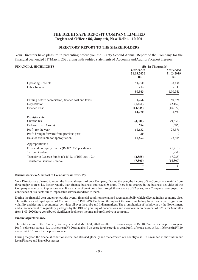## **THE DELHI SAFE DEPOSIT COMPANY LIMITED Registered Office : 86, Janpath, New Delhi- 110 001**

## **DIRECTORS' REPORT TO THE SHAREHOLDERS**

Your Directors have pleasure in presenting before you the Eighty Second Annual Report of the Company for the financial year ended 31<sup>st</sup> March, 2020 along with audited statements of Accounts and Auditors' Report thereon.

## **FINANCIAL HIGHLIGHTS (Rs. In Thousands)**

|                                                      | <b>Year ended</b><br>31.03.2020<br>Rs. | Year ended<br>31.03.2019<br>R <sub>s</sub> . |
|------------------------------------------------------|----------------------------------------|----------------------------------------------|
| <b>Operating Receipts</b>                            | 90,750                                 | 98,434                                       |
| Other Income                                         | 213                                    | 2,111                                        |
|                                                      | 90,963                                 | 1,00,545                                     |
| Earning before depreciation, finance cost and taxes  | 30,266                                 | 50,824                                       |
| Depreciation                                         | (1,651)                                | (2,157)                                      |
| Finance Cost                                         | (14, 345)                              | (15,077)                                     |
|                                                      | 14,270                                 | 33,590                                       |
| Provisions for                                       |                                        |                                              |
| Current Tax                                          | (4,500)                                | (9,650)                                      |
| Deferred Tax (Assets)                                | 862                                    | (365)                                        |
| Profit for the year                                  | 10,632                                 | 23,575                                       |
| Profit brought forward from previous year            | 30                                     | 10                                           |
| Balance available for appropriation                  | 10,662                                 | 23,585                                       |
| Appropriations :                                     |                                        |                                              |
| Dividend on Equity Shares (Rs.0.23333 per share)     |                                        | (1,219)                                      |
| Tax on Dividend                                      |                                        | (251)                                        |
| Transfer to Reserve Funds u/s 45-IC of RBI Act, 1934 | (2, 855)                               | (7,285)                                      |
| Transfer to General Reserve                          | (7, 800)                               | (14,800)                                     |
|                                                      | 7                                      | 30                                           |

### **Business Review & Impact of Coronavirus (Covid-19)**

Your Directors are pleased to report the financial results of your Company. During the year, the income of the Company is mainly from three major sources i.e. locker rentals, loan finance business and travel & tours. There is no change in the business activities of the Company as compared to previous year. It is a matter of great pride that through the existence of 82 years, your Company has enjoyed the confidence of its clients due to impeccable services rendered to them.

During the financial year under review, the overall financial conditions remained stressed globally which effected Indian economy also. The outbreak and rapid spread of Coronavirus (COVID-19) Pandemic throughout the world including India has caused significant volatility and decline in economical activities all over the globe and Indian markets. The promulgation of lockdowns by the Government and announcement of regulatory packages by the RBI on granting of concessions and moratorium on payment of EMIs for 6 months from 1-03-2020 have contributed significant decline on income and profits of your company.

## **Financial performance**

The total income of the Company for the year ended March 31, 2020 was Rs. 9.10 crore as against Rs. 10.05 crore for the previous year. Profit before tax stood at Rs. 1.43 crore in FY20 as against 3.36 crore for the previous year. Profit after tax stood at Rs. 1.06 crore in FY20 as against 2.36 crore for the previous year.

During the year, the financial conditions remained stressed globally and that effected our country also. This resulted in shortfall in our Loan Finance and Travel businesses.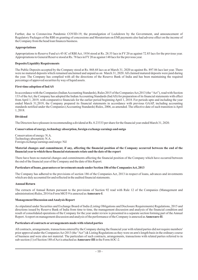Further, due to Coronavirus Pandemic COVID-19, the promulgation of Lockdown by the Government, and announcement of Regulatory Packages of the RBI on granting of concessions and Moratorium on EMI payments also had adverse effect on the income of the Company from the head loan finances business.

## **Appropriations**

Appropriations to Reserve Fund u/s 45-IC of RBI Act, 1934 stood at Rs. 28.55 lacs in FY 20 as against 72.85 lacs for the previous year. Appropriations to General Reserve stood at Rs. 78 lacs in FY20 as against 148 lacs for the previous year.

## **Deposits/Liquidity Requirements**

The Public Deposits accepted by the Company stood at Rs. 868.68 lacs as at March 31, 2020 as against Rs. 897.86 lacs last year. There were no matured deposits which remained unclaimed and unpaid as on March 31, 2020. All claimed matured deposits were paid during the year. The Company has complied with all the directions of the Reserve Bank of India and has been maintaining the required percentage of approved securities by way of liquid assets.

## **First-time adoption of IndAS**

In accordance with the Companies (Indian Accounting Standards), Rules 2015 of the Companies Act, 2013 (the "Act"), read with Section 133 of theAct, the Company has adopted the IndianAccounting Standards (IndAS) for preparation of its financial statements with effect from April 1, 2019, with comparative financials for the earlier period beginning April 1, 2018. For periods upto and including the year ended March 31,2019, the Company prepared its financial statements in accordance with previous GAAP, including accounting standards notified under the Companies (Accounting Standards) Rules, 2006, as amended. The effective date of such transition is April 1, 2018.

## **Dividend**

The Directors have pleasure in recommending a dividend at Rs. 0.23333 per share for the financial year ended March 31, 2020.

## **Conservation of energy, technology absorption, foreign exchange earnings and outgo**

Conservation of energy: N.A. Technology absorption: N.A. Foreign exchange earnings and outgo: Nil

#### **Material changes and commitment, if any, affecting the financial position of the Company occurred between the end of the financial year to which these financial statements relate and the date of the report**

There have been no material changes and commitments affecting the financial position of the Company which have occurred between the end of the financial year of the Company and the date of this Report.

## Particulars of loans, guarantees or investments made under Section 186 of the Companies Act, 2013

The Company has adhered to the provisions of section 186 of the Companies Act, 2013 in respect of loans, advances and investments which are duly accounted for and reflected in the audited financial statements.

## **Annual Return**

The extracts of Annual Return pursuant to the provisions of Section 92 read with Rule 12 of the Companies (Management and administration) Rules, 2014 in Form MGT-9 is annexed as **Annexure-I**.

#### **Management Discussion andAnalysis Report**

As stipulated under Securities and Exchange Board of India (Listing Obligations and Disclosure Requirements) Regulations, 2015 and directions issued by Reserve Bank of India from time to time, the management discussion and analysis of the financial condition and result of consolidated operations of the Company for the year under review is presented in a separate section forming part of the Annual Report. A report on management discussion and analysis of the performance of the Company is annexed as **Annexure-II**.

#### **Particulars of contracts or arrangements made with related parties**

All contracts, arrangements, transactions entered by the Company during the financial year with related parties did not require members' prior approval under the Companies Act 2013 (the "Act") & Listing Regulations as they were on arm's length basis in the ordinary course of business and were also not material. The particulars of such contracts, arrangements, transactions with related parties referred to in sub-section (1) of Section 188 of Act is attached as **Annexure-III** in the FormAOC-2.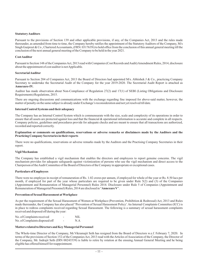## **StatutoryAuditors**

Pursuant to the provisions of Section 139 and other applicable provisions, if any, of the Companies Act, 2013 and the rules made thereunder, as amended from time to time, the Company hereby ratifies the appointment of the Statutory Auditors of the Company, M/s Singh Gurpreet & Co., Chartered Accountants, (FRN: 031763N) to hold office from the conclusion of this annual general meeting till the conclusion of the next annual general meeting of the Company to be held in the year 2021.

### **CostAuditor**

Pursuant to Section 148 of the Companies Act, 2013 read with Companies (Cost Records and Audit) Amendment Rules, 2014, disclosure about the appointment of cost auditor is not Applicable.

#### **SecretarialAuditor**

**Annexure-IV.** Pursuant to Section 204 of Companies Act, 2013 the Board of Directors had appointed M/s. Abhishek J & Co., practicing Company Secretary to undertake the Secretarial Audit of the Company for the year 2019-2020. The Secretarial Audit Report is attached as

Auditor has made observation about Non-Compliance of Regulation 27(2) and 17(1) of SEBI (Listing Obligations and Disclosure Requirements) Regulations, 2015.

There are ongoing discussions and communications with the exchange regarding fine imposed for above-said matter, however, the matter of penalty on the same subject is already under Exchange's reconsideration and not yet resolved till date.

#### **Internal Control Systems and their adequacy**

The Company has an Internal Control System which is commensurate with the size, scale and complexity of its operations in order to ensure that all assets are protected against loss and that the financial & operational information is accurate and complete in all respects. Company policies, guidelines and procedures provide for adequate checks and are meant to ensure that all transactions are authorized, recorded and reported correctly.

#### **Explanation or comments on qualifications, reservations or adverse remarks or disclaimers made by the Auditors and the Practicing Company Secretaries in their reports**

There were no qualifications, reservations or adverse remarks made by the Auditors and the Practising Company Secretaries in their report.

#### **Vigil Mechanism**

The Company has established a vigil mechanism that enables the directors and employees to report genuine concerns. The vigil mechanism provides for adequate safeguards against victimization of persons who use the vigil mechanism and direct access to the Chairperson of the Audit Committee of the Board of Directors of the Company in appropriate or exceptional cases.

#### **Particulars of Employees**

Remuneration of Managerial Presonnel) Rules, 2014 are disclosed in "Annexure V". There were no employee in receipt of remuneration of Rs. 1.02 crores per annum, if employed for whole of the year or Rs. 8.50 lacs per month, if employed for part of the year whose particulars are required to be given under Rule 5(2) and (3) of the Companies (Appointment and Remuneration of Managerial Personnel) Rules 2014. Disclosure under Rule 5 of Companies (Appointment and

#### **Prevention of Sexual Harassment at Workplace**

As per the requirement of the Sexual Harassment of Women at Workplace (Prevention, Prohibition & Redressal) Act, 2013 and Rules made thereunder, the Company has also placed "Prevention of Sexual Harassment Policy'. An Internal Complaints Committee (ICC) is in place to redress complaints received regarding Sexual Harassment. The following is a summary of sexual harassment complaints received and disposed off during the year:

| No. of Complaints received     |   | NIL. |
|--------------------------------|---|------|
| No. of Complaints disposed off | - | N.A  |

### **Matters related to Directors and Key Managerial Personnel**

The Whole-time Director of the Company, Mr.Vikramajit Seth has resigned from the Board of Directors w.e.f. February 7, 2020. In terms of the provisions of Section 152 of the Companies Act, 2013 read with the Articles of Association of the Company, the Director of the Company, Mr. Indrajit Seth (DIN 00243539) is liable to retire by rotation at the ensuing Annual General Meeting and he being eligible has offered himself for reappointment.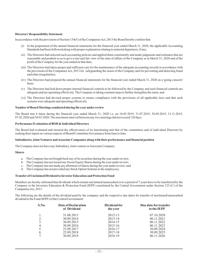## **Directors' Responsibility Statement**

In accordance with the provisions of Section 134(5) of the Companies Act, 2013 the Board hereby confirm that:

- (i) In the preparation of the annual financial statements for the financial year ended March 31, 2020, the applicable Accounting Standards had been followed along with proper explanation relating to material departures, if any;
- (ii) The Directors had selected such accounting policies and applied them consistently and made judgments and estimates that are reasonable and prudent so as to give a true and fair view of the state of affairs of the Company as at March 31, 2020 and of the profit of the Company for the year ended on that date;
- (iii) The Directors had taken proper and sufficient care for the maintenance of the adequate accounting records in accordance with the provisions of the Companies Act, 2013 for safeguarding the assets of the Company and for preventing and detecting fraud and other irregularities.
- (iv) The Directors had prepared the annual financial statements for the financial year ended March 31, 2020 on a 'going concern' basis.
- (v) The Directors had laid down proper internal financial controls to be followed by the Company and such financial controls are adequate and are operating effectively. The Company is taking constant steps to further strengthen the same; and
- (vi) The Directors had devised proper systems to ensure compliance with the provisions of all applicable laws and that such systems were adequate and operating effectively.

## **Number of Board Meetings conducted during the year under review**

The Board met 6 times during the financial year ended March 31, 2020 i.e. on 18.05.2019, 31.07.2019, 30.09.2019, 13.11.2019, 07.02.2020 and 30.03.2020. The maximum interval between any two meetings did not exceed 120 days.

## **Performance Evaluation of BOD & Individual Directors**

The Board had evaluated and ensured the effectiveness of its functioning and that of the committees and of individual Directors by seeking their inputs on various aspects of Board/Committee Governance from time to time.

## **Subsidiaries, Joint Ventures andAssociate Companies along with their performance and financial position**

The Company does not have any Subsidiary, Joint venture or Associate Company.

### **Shares**

- a. The Company has not bought back any of its securities during the year under review;
- b. The Company has not issued any Sweat Equity Shares during the year under review;
- c. The Company has not made any allotment of shares during the year under review; and
- d. The Company has not provided any Stock Option Scheme to the employees;

#### **Transfer of Unclaimed Dividend to Investor Education and Protection Fund**

Members are hereby informed that dividends which remain unclaimed/unencashed over a period of 7 years have to be transferred by the Company to the Investors Education & Protection Fund (IEPF) constituted by the Central Government under Section 125 (C) of the CompaniesAct, 2013.

The following are the details of the dividend paid by the company and the respective due dates for transfer of unclaimed/unencashed dividend to the Fund (IEPF) of the Central Government:

| S.No. | Date of Declaration<br>of Dividend | Dividend for<br>the year | Due date for transfer<br>to the IEPF |  |  |
|-------|------------------------------------|--------------------------|--------------------------------------|--|--|
|       | 31.08.2013                         | 2012-13                  | 07.10.2020                           |  |  |
| 2.    | 30.09.2014                         | 2013-14                  | 06.11.2021                           |  |  |
| 3.    | 30.09.2015                         | 2014-15                  | 06.11.2022                           |  |  |
| 4.    | 30.09.2016                         | 2015-16                  | 06.11.2023                           |  |  |
| 5.    | 23.09.2017                         | 2016-17                  | 30.09.2024                           |  |  |
| 6.    | 22.09.2018                         | 2017-18                  | 30.09.2025                           |  |  |
|       | 30.09.2019                         | 2018-19                  | 06.11.2026                           |  |  |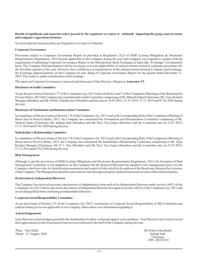## **Details of significant and material orders passed by the regulators or courts or tribunals impacting the going concern status and company's operations in future**

No such order has been passed by any Regulators or Courts or Tribunals.

## **Corporate Governance**

Provisions related to Corporate Governance Report as provided in Regulation 15(2) of SEBI (Listing Obligations & Disclosure Requirements) Regulations, 2015 became applicable to the Company during the year and Company was required to comply with the requirement of submitting Corporate Governance Report to the Metropolitan Stock Exchange of India (the "Exchange") on Quarterly basis. The Company filed declaration with the Exchange as to non-applicability of said provisions related to corporate governance for the first three quarters of the year. However, due to difference in interpretation of the said provisions between Company and Exchange, the Exchange imposed penalty on the Company for non- filing of Corporate Governance Report for the quarter ended December 31, 2019. This matter is under consideration with Exchange.

The report on Corporate Governance is annexed and forms part of this Director's Report as **Annexure-VI**.

## **Disclosure ofAudit Committee**

As per the provisions of Section 177 of the Companies Act, 2013 read with Rule 6 and 7 of the Companies (Meetings of the Board and its Powers) Rules, 2013 the Company has constituted theAudit Committee comprising of Mr. Mahesh Sahai (Chairman), Mr. Vijay Krishna Shunglu (Member) and Mr. Probir Chandra Sen (Member) and has met on 18.05.2019, 31.07.2019, 13.11.2019 and 07.02.2020 during the year.

## **Disclosure of Nomination and Remuneration Committee**

In compliance of the provisions of Section 178 of the Companies Act, 2013 read with Corresponding Rule of the Companies (Meeting of Board and its Powers) Rules, 2013, the Company has constituted the Nomination and Remuneration Committee comprising of Mr. Mahesh Sahai (Chairman), Mr. Indrajit Seth (Member) and Mr. Ravi Vira Gupta (Member) and the Committee met on 31.07.2019, 13.11.2019 and 07.02.2020 during the year.

## **Stakeholder's Relationship Committee**

In compliance of the provisions of Section 178 of the Companies Act, 2013 read with Corresponding Rule of the Companies (Meeting of Board and its Powers) Rules, 2013, the Company has constituted the Stakeholder's Relationship Committee comprising of Mr. Vijay Krishna Shunglu (Chairman), Mr. P. C. Sen (Member) and Mr. Ravi Vira Gupta (Member) and the Committee met on 31.07.2019, 13.11.2019 and 07.02.2020 during the year.

## **Risk Management**

Although as per the provisions of SEBI (Listing Obligations and Disclosure Requirements) Regulations, 2015, the formation of Risk Management Committee is not mandatory on the Company but the Board of Directors has adopted a risk management policy for the Company which provides for identification assessment and control of risks which in the opinion of the Board may threaten the existence of the Company. The Management identifies and controls risks through a properly defined framework in terms of the aforesaid policy.

## **Declaration by Independent Directors**

The Company has received necessary declarations of independence from each of its Independent Directors under section 149(7) of the CompaniesAct 2013 that he/she meets the criteria of Independent Director envisaged in section 149 (6) of the CompaniesAct, 2013 and are not disqualified from continuing as Independent Directors.

## **Corporate Social Responsibility Committee**

As per provisions of Section 135 of the Companies Act, 2013, constitution of Corporate Social Responsibility (CSR) Committee and matters relating to it is not applicable to our Company. Hence there is no information regarding it.

#### **Acknowledgements**

Your Directors acknowledges gratefully the shareholders for their continued support and confidence. Your Directors also wish to record their appreciation for the loyal and devoted services rendered by the staff of the Company during the year.

Place : New Delhi By Order of the Board Dated :  $31^{\text{*}}$  August, 2020 **Indrajit Seth** 

Chairman DIN - 00243539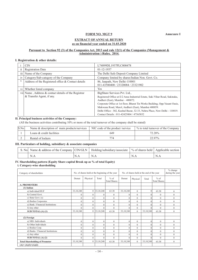**Annexure I**

## **FORM NO. MGT 9**

## **EXTRACT OF ANNUAL RETURN as on financial year ended on 31.03.2020**

## **Pursuant to Section 92 (3) of the Companies Act, 2013 and rule 12(1) of the Companies (Management & Administration ) Rules, 2014.**

## **I. Registration & other details:**

|     | <b>CIN</b>                                                                         | L74899DL1937PLC000478                                                                                                                                                                                                                                                                                                                                                                                           |
|-----|------------------------------------------------------------------------------------|-----------------------------------------------------------------------------------------------------------------------------------------------------------------------------------------------------------------------------------------------------------------------------------------------------------------------------------------------------------------------------------------------------------------|
| 11  | <b>Registration Date</b>                                                           | $01 - 12 - 1937$                                                                                                                                                                                                                                                                                                                                                                                                |
| 111 | Name of the Company                                                                | The Delhi Safe Deposit Company Limited                                                                                                                                                                                                                                                                                                                                                                          |
| 1V  | Category/Sub-category of the Company                                               | Company limited by shares/Indian Non. Govt. Co.                                                                                                                                                                                                                                                                                                                                                                 |
|     | Address of the Registered office & Contact details                                 | 86, Janpath, New Delhi-110001<br>011-43580400 / 23320084 / 23321902                                                                                                                                                                                                                                                                                                                                             |
| V1  | Whether listed company                                                             | <b>Yes</b>                                                                                                                                                                                                                                                                                                                                                                                                      |
|     | viil Name, Address & contact details of the Registrar<br>& Transfer Agent, if any. | BigShare Services Pvt. Ltd.,<br>Registered Office at E/2 Ansa Industrial Estate, Saki Vihar Road, Sakinaka,<br>Andheri (East), Mumbai - 400072.<br>Corporate Office at 1st floor, Bharat Tin Works Building, Opp. Vasant Oasis,<br>Makwana Road, Marol, Andheri (East), Mumbai 400059.<br>Delhi Office : 302, Kushal Bazar, 32-33, Nehru Place, New Delhi - 110019.<br>Contact Details: 011-42425004 / 47565852 |

## **II. Principal business activities of the Company:**

(All the business activities contributing 10% or more of the total turnover of the company shall be stated)

| S.No | Name & description of main products/services | NIC code of the product /service | % to total turnover of the Company |
|------|----------------------------------------------|----------------------------------|------------------------------------|
|      | Loans & credit facilities                    | 649                              | 72.28%                             |
|      | Rental of lockers                            | 774                              | 22.97%                             |

## **III. Particulars of holding, subsidiary & associate companies**

|  | S. No   Name & address of the Company $ {\rm CN/GLN} $ Holding/subsidiary/associate $\frac{1}{2}$ of shares held $\frac{1}{2}$ Applicable section |      |     |     |     |
|--|---------------------------------------------------------------------------------------------------------------------------------------------------|------|-----|-----|-----|
|  | N.A                                                                                                                                               | `N.A | N.A | N.A | N.A |

## **IV. Shareholding pattern (Equity Share capital Break up as % of total Equity)**

**i. Category-wise shareholding**

| Category of shareholders              | No. of shares held at the beginning of the year |                | No. of shares held at the end of the year |                               |           |          | $%$ change<br>during the year |                               |              |
|---------------------------------------|-------------------------------------------------|----------------|-------------------------------------------|-------------------------------|-----------|----------|-------------------------------|-------------------------------|--------------|
|                                       | Demat                                           | Physical       | Total                                     | $%$ of<br><b>Total Shares</b> | Demat     | Physical | Total                         | $%$ of<br><b>Total Shares</b> |              |
| <b>A. PROMOTERS</b>                   |                                                 |                |                                           |                               |           |          |                               |                               |              |
| $(1)$ Indian                          |                                                 |                |                                           |                               |           |          |                               |                               |              |
| a) Individual/HUF                     | 33, 10, 248                                     |                | $0 \mid 33, 10, 248$                      | 63.38                         | 33,10,248 | $\Omega$ | $\Omega$                      | 63.38                         | $\mathbf{0}$ |
| b) Central Govt.                      | $\mathbf{0}$                                    | $\mathbf{0}$   | $\Omega$                                  | $\mathbf{0}$                  | $\Omega$  | $\Omega$ | 0                             | $\mathbf{0}$                  | $\mathbf{0}$ |
| c) State Govt. (s)                    | $\theta$                                        | $\Omega$       | $\theta$                                  | $\mathbf{0}$                  | $\theta$  | $\Omega$ | $\Omega$                      | $\theta$                      | $\theta$     |
| d) Bodies Corporates                  | $\mathbf{0}$                                    | $\mathbf{0}$   | $\theta$                                  | $\mathbf{0}$                  | $\theta$  | $\Omega$ | $\Omega$                      | $\theta$                      | $\mathbf{0}$ |
| e) Bank / Financial Institutions      | $\theta$                                        | $\mathbf{0}$   | $\theta$                                  | $\mathbf{0}$                  | $\theta$  | $\Omega$ |                               | $\theta$                      | $\theta$     |
| f) Any other                          | $\theta$                                        | $\theta$       | $\theta$                                  | $\theta$                      | $\Omega$  | $\Omega$ |                               | $\theta$                      | $\mathbf{0}$ |
| SUB TOTAL:(A) (1)                     | 33, 10, 248                                     |                | $0 \mid 33, 10, 248$                      | 63.38                         | 33,10,248 | $\Omega$ | 33,10,248                     | 63.38                         | $\mathbf{0}$ |
|                                       |                                                 |                |                                           |                               |           |          |                               |                               |              |
| (2) Foreign                           |                                                 |                |                                           |                               |           |          |                               |                               |              |
| a) NRI- Individuals                   | $\theta$                                        | $\mathbf{0}$   | $\theta$                                  | $\theta$                      | $\theta$  | $\Omega$ | $\Omega$                      | $\theta$                      | $\theta$     |
| b) Other Individuals                  | $\mathbf{0}$                                    | $\mathbf{0}$   | $\mathbf{0}$                              | $\mathbf{0}$                  | $\theta$  | $\Omega$ |                               | $\theta$                      | $\mathbf{0}$ |
| c) Bodies Corp.                       | $\theta$                                        | $\theta$       | $\theta$                                  | $\mathbf{0}$                  | $\Omega$  | $\Omega$ |                               | $\theta$                      | $\mathbf{0}$ |
| d) Banks / Financial Institutions     | $\overline{0}$                                  | $\overline{0}$ | $\theta$                                  | $\mathbf{0}$                  | $\theta$  | $\Omega$ | 0                             | $\mathbf{0}$                  | $\mathbf{0}$ |
| e) Any other                          | $\theta$                                        | $\Omega$       | $\theta$                                  | $\mathbf{0}$                  | $\Omega$  | $\Omega$ |                               | $\theta$                      | $\Omega$     |
| SUB TOTAL(A) (2)                      | $\theta$                                        | $\mathbf{0}$   | $\theta$                                  | $\theta$                      | $\Omega$  | $\Omega$ |                               | $\theta$                      | $\theta$     |
| <b>Total Shareholding of Promoter</b> | 33,10,248                                       |                | 0 33, 10, 248                             | 63.38                         | 33,10,248 | $\Omega$ | 33,10,248                     | 63.38                         | $\theta$     |
| $(A)=(A)(1)+(A)(2)$                   |                                                 |                |                                           |                               |           |          |                               |                               |              |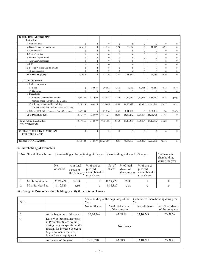| <b>B. PUBLIC SHAREHOLDING</b>                  |                |                  |                |              |                |                |                |                  |                  |
|------------------------------------------------|----------------|------------------|----------------|--------------|----------------|----------------|----------------|------------------|------------------|
| (1) Institutions                               |                |                  |                |              |                |                |                |                  |                  |
| a) Mutual Funds                                | $\Omega$       | $\boldsymbol{0}$ | $\Omega$       | $\Omega$     | $\overline{0}$ | $\overline{0}$ | $\Omega$       | $\Omega$         | $\mathbf{0}$     |
| b) Banks/Financial Institutions                | 41,016         | $\mathbf{0}$     | 41,016         | 0.79         | 41,016         | $\overline{0}$ | 41,016         | 0.79             | $\boldsymbol{0}$ |
| c) Central Govt.                               | $\overline{0}$ | $\overline{0}$   | $\Omega$       | $\Omega$     | $\Omega$       | $\Omega$       | $\Omega$       | $\overline{0}$   | $\mathbf{0}$     |
| d) State Govt. (s)                             | $\overline{0}$ | $\mathbf{0}$     | $\overline{0}$ | $\mathbf{0}$ | $\overline{0}$ | $\overline{0}$ | $\Omega$       | $\boldsymbol{0}$ | $\boldsymbol{0}$ |
| e) Venture Capital Fund                        | $\overline{0}$ | $\overline{0}$   | $\overline{0}$ | $\mathbf{0}$ | $\overline{0}$ | $\overline{0}$ | $\overline{0}$ | $\boldsymbol{0}$ | $\boldsymbol{0}$ |
| f) Insurance Companies                         | $\overline{0}$ | $\mathbf{0}$     | $\overline{0}$ | $\mathbf{0}$ | $\Omega$       | $\overline{0}$ | $\overline{0}$ | $\overline{0}$   | $\mathbf{0}$     |
| g) FIIS                                        | $\overline{0}$ | $\overline{0}$   | $\overline{0}$ | $\mathbf{0}$ | $\overline{0}$ | $\overline{0}$ | $\overline{0}$ | $\boldsymbol{0}$ | $\boldsymbol{0}$ |
| h) Foreign Venture Capital Funds               | $\overline{0}$ | $\overline{0}$   | $\overline{0}$ | $\mathbf{0}$ | $\Omega$       | $\overline{0}$ | $\overline{0}$ | $\overline{0}$   | $\mathbf{0}$     |
| i) Others (specify)                            | $\overline{0}$ | $\overline{0}$   | $\overline{0}$ | $\theta$     | $\Omega$       | $\overline{0}$ | $\theta$       | $\overline{0}$   | $\overline{0}$   |
| SUB TOTAL (B)(1):                              | 41,016         | $\overline{0}$   | 41,016         | 0.79         | 41,016         | $\overline{0}$ | 41,016         | 0.79             | $\overline{0}$   |
|                                                |                |                  |                |              |                |                |                |                  |                  |
| (2) Non Institutions                           |                |                  |                |              |                |                |                |                  |                  |
| a) Bodies corporates                           |                |                  |                |              |                |                |                |                  |                  |
| i) Indian                                      | $\overline{0}$ | 30,985           | 30,985         | 0.59         | 9,166          | 30,985         | 40,151         | 0.76             | 0.17             |
| ii) Overseas                                   | $\overline{0}$ | $\mathbf{0}$     | $\overline{0}$ | $\mathbf{0}$ | $\overline{0}$ | $\overline{0}$ | $\Omega$       | $\overline{0}$   | $\mathbf{0}$     |
| b) Individuals                                 |                |                  |                |              |                |                |                |                  |                  |
| i) Individual shareholders holding             | 1,99,457       | 3,13,996         | 5,13,453       | 9.83         | 2,40,734       | 2,47,523       | 4,88,257       | 9.34             | (4.90)           |
| nominal share capital upto Rs.2 Lakh           |                |                  |                |              |                |                |                |                  |                  |
| ii) Individuals shareholders holding           | 10,15,128      | 2,09,916         | 12,25,044      | 23.45        | 11,55,888      | 85,956         | 12,41,844      | 23.77            | 0.32             |
| nominal share capital in excess of Rs.2 Lakh   |                |                  |                |              |                |                |                |                  |                  |
| c) Others (IEPF, NRI, Overseas Body Corporate) | 1,02,254       | $\mathbf{0}$     | 1,02,254       | 1.96         | 1,01,484       | $\Omega$       | 1,01,484       | 1.94             | (0.02)           |
| SUB TOTAL $(B)(2)$ :                           | 13,16,839      | 5,54,897         | 18,71,736      | 35.83        | 15,07,272      | 3,64,464       | 18,71,736      | 35.83            | $\overline{0}$   |
|                                                |                |                  |                |              |                |                |                |                  |                  |
| <b>Total Public Shareholding</b>               | 13,57,855      | 5,54,897         | 19,12,752      | 36.62        | 15,48,288      | 3,64,464       | 19,12,752      | 36.62            | $\overline{0}$   |
| $(B)=(B)(1)+(B)(2)$                            |                |                  |                |              |                |                |                |                  |                  |
|                                                |                |                  |                |              |                |                |                |                  |                  |
| <b>C. SHARES HELD BY CUSTODIAN</b>             | $\overline{0}$ | $\overline{0}$   | $\overline{0}$ | $\theta$     | $\overline{0}$ | $\theta$       | $\theta$       | $\overline{0}$   | $\mathbf{0}$     |
| <b>FOR GDRS &amp; ADRS</b>                     |                |                  |                |              |                |                |                |                  |                  |
|                                                |                |                  |                |              |                |                |                |                  |                  |
| <b>GRAND TOTAL (A+B+C)</b>                     | 46,68,103      | 5,54,897         | 52,23,000      | 100%         | 46,68,103      | 5,54,897       | 52,23,000      | 100%             | $\mathbf{0}$     |

## **ii. Shareholding of Promoters**

| S.No. Shareholder's Name |                  |                                          | Shareholding at the beginning of the year                  |                  | Shareholding at the end of the year       | $%$ Change in<br>shareholding<br>during the year           |          |
|--------------------------|------------------|------------------------------------------|------------------------------------------------------------|------------------|-------------------------------------------|------------------------------------------------------------|----------|
|                          | No.<br>of shares | $%$ of total<br>shares of<br>the company | $\%$ of shares<br>pledged<br>encumbered to<br>total shares | No. of<br>shares | $\%$ of total<br>shares of<br>the company | $\%$ of shares<br>pledged<br>encumbered to<br>total shares |          |
| Mr. Indrajit Seth        | 31, 27, 428      | 59.88                                    | $\Omega$                                                   | 31,27,428        | 59.88                                     |                                                            | $\Omega$ |
| Mrs. Sarvjeet Seth       | 1,82,820         | 3.50                                     | $\Omega$                                                   | 1,82,820         | 3.50                                      |                                                            | 0        |

## **iii. Change in Promoters' shareholding (specify if there is no change)**

| S.No. |                                                                                                                                                                                             | Year          | Share holding at the beginning of the | Year          | Cumulative Share holding during the |  |  |
|-------|---------------------------------------------------------------------------------------------------------------------------------------------------------------------------------------------|---------------|---------------------------------------|---------------|-------------------------------------|--|--|
|       |                                                                                                                                                                                             | No. of Shares | % of total shares<br>of the company   | No. of Shares | % of total shares<br>of the company |  |  |
|       | At the beginning of the year                                                                                                                                                                | 33, 10, 248   | 63.38 %                               | 33, 10, 248   | 63.38 %                             |  |  |
|       | Date wise increase/decrease<br>in Promoters Share holding<br>during the year specifying the<br>reasons for increase/decrease<br>$(e.g.$ allotment / transfer /<br>bonus / sweat equity etc) |               | No Change                             |               |                                     |  |  |
| 3.    | At the end of the year                                                                                                                                                                      | 33, 10, 248   | 63.38%                                | 33, 10, 248   | 63.38%                              |  |  |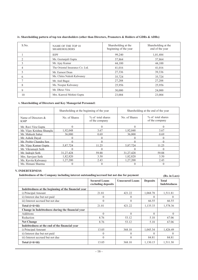| S.No. | NAME OF THE TOP 10<br><b>SHAREHOLDERS</b> | Shareholding at the<br>beginning of the year | Shareholding at the<br>end of the year |
|-------|-------------------------------------------|----------------------------------------------|----------------------------------------|
|       | <b>IEPF</b>                               | 99,240                                       | 1,01,484                               |
| 2     | Ms. Geetanjali Gupta                      | 57,864                                       | 57,864                                 |
| 3     | Mr. Ajay Kumar                            | 44,100                                       | 44,100                                 |
| 4     | The Oriental Insurance Co. Ltd.           | 41,016                                       | 41,016                                 |
| 5     | Mr. Earnest Dean                          | 27,336                                       | 39,336                                 |
| 6     | Ms. Chitra Nalesh Kalwaney                | 35,724                                       | 35,724                                 |
|       | Mr. Anil Bagai                            | 27,288                                       | 27,288                                 |
| 8     | Ms. Noopur Kalwaney                       | 25,956                                       | 25,956                                 |
| 9     | Mr. Dhruv Vira                            | 30,000                                       | 24,000                                 |
| 10    | Mrs. Kanwal Mohini Gupta                  | 23,004                                       | 23,004                                 |

**iv. Shareholding pattern of top ten shareholders (other than Directors, Promoters & Holders of GDRs & ADRs)**

## **v. Shareholding of Directors and Key Managerial Personnel:**

|                                   |               | Shareholding at the beginning of the year | Shareholding at the end of the year |                                     |  |
|-----------------------------------|---------------|-------------------------------------------|-------------------------------------|-------------------------------------|--|
| Name of Directors &<br><b>KMP</b> | No. of Shares | % of total shares<br>of the company       | No. of Shares                       | % of total shares<br>of the company |  |
| Mr. Ravi Vira Gupta               |               | $\Omega$                                  |                                     |                                     |  |
| Mr. Vijay Krishna Shunglu         | 1.92.048      | 3.67                                      | 1.92.048                            | 3.67                                |  |
| Mr. Mahesh Sahai                  | 36,000        | 0.69                                      | 36,000                              | 0.69                                |  |
| Mr. Ashok Dayal                   |               |                                           |                                     |                                     |  |
| Mr. Probir Chandra Sen            |               |                                           |                                     |                                     |  |
| Mr. Vijay Kumar Gupta             | 5.87.724      | 11.25                                     | 5,87,724                            | 11.25                               |  |
| Mr. Vikramajit Seth               |               |                                           |                                     |                                     |  |
| Mr. Indrajit Seth                 | 31.27.428     | 59.88                                     | 31.27.428                           | 59.88                               |  |
| Mrs. Sarvjeet Seth                | 1,82,820      | 3.50                                      | 1,82,820                            | 3.50                                |  |
| Ms. Kavita Kalwanev               | 1,27,200      | 2.43                                      | 1,27,200                            | 2.43                                |  |
| Ms. Himani Sharma                 |               |                                           |                                     |                                     |  |

## **V. INDEBTEDNESS**

| Indebtedness of the Company including interest outstanding/accrued but not due for payment | (Rs. in Lacs) |
|--------------------------------------------------------------------------------------------|---------------|
|--------------------------------------------------------------------------------------------|---------------|

|                                                     | <b>Secured Loans</b><br>excluding deposits | <b>Unsecured Loans</b> | <b>Deposits</b> | <b>Total</b><br><b>Indebtedness</b> |
|-----------------------------------------------------|--------------------------------------------|------------------------|-----------------|-------------------------------------|
| Indebtedness at the beginning of the financial year |                                            |                        |                 |                                     |
| i) Principal Amount                                 | 21.81                                      | 421.22                 | 1,068.78        | 1,511.81                            |
| ii) Interest due but not paid                       | 0                                          | $\theta$               | $\Omega$        | 0                                   |
| iii) Interest accrued but not due                   | $\theta$                                   | $\theta$               | 66.55           | 66.55                               |
| Total (i+ii+iii)                                    | 21.81                                      | 421.22                 | 1,135.33        | 1,578.36                            |
| Change in Indebtedness during the financial year    |                                            |                        |                 |                                     |
| Additions                                           | $\Omega$                                   | $\theta$               | $\Omega$        | $\theta$                            |
| Reduction                                           | 8.76                                       | 53.12                  | 5.18            | 67.06                               |
| <b>Net Change</b>                                   | 8.76                                       | 53.12                  | 5.18            | 67.06                               |
| Indebtedness at the end of the financial year       |                                            |                        |                 |                                     |
| i) Principal Amount                                 | 13.05                                      | 368.10                 | 1.045.34        | 1.426.49                            |
| ii) Interest due but not paid                       | $\Omega$                                   | $\Omega$               | $\Omega$        | $\theta$                            |
| iii) Interest accrued but not due                   | $\Omega$                                   | $\theta$               | 84.81           | 84.81                               |
| Total (i+ii+iii)                                    | 13.05                                      | 368.10                 | 1,130.15        | 1,511.30                            |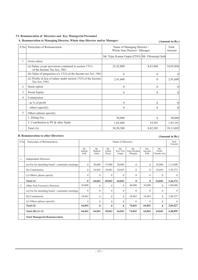## **VI. Remuneration of Directors and Key Managerial Personnel**

## **A. Remuneration to Managing Director, Whole time Director and/or Manager:**

## **(Amount in Rs.)**

| S.No           | Particulars of Remuneration                                                              | Name of Managing Director /<br>Whole time Director / Manager<br>Mr. Vijay Kumar Gupta (CEO)   Mr. Vikramajit Seth<br>8,63,004<br>25,42,800<br>$\mathbf{0}$<br>$\mathbf{0}$<br>$\theta$<br>2,91,600<br>$\theta$<br>$\Omega$<br>$\theta$<br>$\mathbf{0}$ |              | Total<br>Amount |
|----------------|------------------------------------------------------------------------------------------|--------------------------------------------------------------------------------------------------------------------------------------------------------------------------------------------------------------------------------------------------------|--------------|-----------------|
|                |                                                                                          |                                                                                                                                                                                                                                                        |              |                 |
| 1              | Gross salary                                                                             |                                                                                                                                                                                                                                                        |              |                 |
|                | (a) Salary as per provisions contained in section $17(1)$<br>of the Income Tax Act, 1961 |                                                                                                                                                                                                                                                        |              | 34,05,804       |
|                | (b) Value of perquisites $u/s$ 17(2) of the Income tax Act, 1961                         |                                                                                                                                                                                                                                                        |              | $\Omega$        |
|                | (c) Profits in lieu of salary under section $17(3)$ of the Income<br>Tax Act, 1961       |                                                                                                                                                                                                                                                        |              | 2,91,600        |
| $\overline{2}$ | Stock option                                                                             |                                                                                                                                                                                                                                                        |              | $\theta$        |
| 3              | Sweat Equity                                                                             |                                                                                                                                                                                                                                                        |              | $\mathbf{0}$    |
| 4              | Commission                                                                               |                                                                                                                                                                                                                                                        |              |                 |
|                | - as $\%$ of profit                                                                      | $\theta$                                                                                                                                                                                                                                               | $\theta$     | $\Omega$        |
|                | - others (specify)                                                                       | $\theta$                                                                                                                                                                                                                                               | $\Omega$     | $\theta$        |
| 5              | Others (please specify)                                                                  |                                                                                                                                                                                                                                                        |              |                 |
|                | 1. Sitting Fee                                                                           | 30,000                                                                                                                                                                                                                                                 | $\mathbf{0}$ | 30,000          |
|                | 2. Contribution to PF & other funds                                                      | 1,65,600                                                                                                                                                                                                                                               | 19,501       | 1,85,101        |
|                | Total $(A)$                                                                              | 30,30,500                                                                                                                                                                                                                                              | 8,82,505     | 39,13,005       |

## **B. Remuneration to other Directors:**

## **(Amount in Rs.)**

| S.No | Particulars of Remuneration                      |                         |                        |                       | Name of Directors         |                                 |                          |                              | Total<br>Amount |
|------|--------------------------------------------------|-------------------------|------------------------|-----------------------|---------------------------|---------------------------------|--------------------------|------------------------------|-----------------|
|      |                                                  | Mr.<br>Indrajit<br>Seth | Mr.<br>Mahesh<br>Sahai | Mr.<br>Ashok<br>Dayal | Mr.<br>Ravi Vira<br>Gupta | Mr.<br>Vijay Krishna<br>Shunglu | Mrs.<br>Sarvieet<br>Seth | Mr.<br>Probir<br>Chandra Sen |                 |
|      | <b>Independent Directors</b>                     |                         |                        |                       |                           |                                 |                          |                              |                 |
|      | (a) Fee for attending board / committee meetings | $\Omega$                | 30,000                 | 15,000                | 30,000                    | $\Omega$                        | $\Omega$                 | 30,000                       | 1,15,000        |
|      | (b) Commission                                   | $\Omega$                | 34,843                 | 34,843                | 34,843                    | $\Omega$                        | $\Omega$                 | 34,843                       | 1,39,372        |
|      | (c) Others, please specify                       | $\mathbf{0}$            | $\Omega$               | $\mathbf{0}$          | $\Omega$                  | $\Omega$                        | $\theta$                 | $\theta$                     | $\theta$        |
|      | Total $(1)$                                      | $\bf{0}$                | 64,843                 | 49,843                | 64,843                    | $\mathbf{0}$                    | $\mathbf{0}$             | 64,843                       | 2,44,372        |
| 2    | Other Non Executive Directors                    | 30,000                  | $\Omega$               | $\Omega$              | $\Omega$                  | 40,000                          | 30,000                   | $\Omega$                     | 1,00,000        |
|      | (a) Fee for attending board / committee meetings | $\Omega$                | $\Omega$               | $\Omega$              | $\Omega$                  | $\theta$                        | $\Omega$                 | $\Omega$                     | $\theta$        |
|      | (b) Commission                                   | 34,841                  | $\Omega$               | $\theta$              | $\Omega$                  | 34,843                          | 34,843                   | $\Omega$                     | 1,04,527        |
|      | (c) Others (please specify)                      | $\Omega$                | $\Omega$               | $\Omega$              | $\theta$                  | $\theta$                        | $\Omega$                 | $\Omega$                     | $\theta$        |
|      | Total $(2)$                                      | 64,841                  | $\mathbf{0}$           | $\mathbf{0}$          | $\mathbf{0}$              | 74,843                          | 64,843                   | $\bf{0}$                     | 2,04,527        |
|      | Total $(B)=(1+2)$                                | 64,841                  | 64,843                 | 49,843                | 64,843                    | 74,843                          | 64,843                   | 64,843                       | 4,48,899        |
|      | <b>Total Managerial Remuneration</b>             |                         |                        |                       |                           |                                 |                          |                              |                 |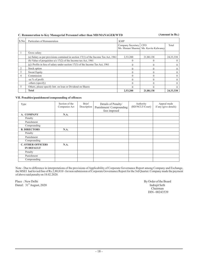## **C. Remuneration to Key Managerial Personnel other than MD/MANAGER/WTD**

**(Amount in Rs.)**

| S.No | Particulars of Remuneration                                                           | <b>KMP</b>        |                                                       |             |
|------|---------------------------------------------------------------------------------------|-------------------|-------------------------------------------------------|-------------|
|      |                                                                                       | Company Secretary | <b>CFO</b><br>Ms. Himani Sharma   Ms. Kavita Kalwaney | Total       |
|      | Gross salary                                                                          |                   |                                                       |             |
|      | (a) Salary as per provisions contained in section $17(1)$ of the Income Tax Act, 1961 | 2,53,200          | 21,80,138                                             | 24, 33, 338 |
|      | (b) Value of perquisites $u/s$ 17(2) of the Income tax Act, 1961                      |                   |                                                       |             |
|      | (c) Profits in lieu of salary under section 17(3) of the Income Tax Act, 1961         |                   |                                                       |             |
| 2    | Stock option                                                                          |                   |                                                       |             |
| 3    | Sweat Equity                                                                          |                   |                                                       |             |
| 4    | Commission                                                                            |                   |                                                       |             |
|      | -as % of profit                                                                       |                   |                                                       |             |
|      | -others (specify)                                                                     |                   |                                                       |             |
| 5    | Others, please specify Intt. on loan or Dividend on Shares                            |                   |                                                       |             |
|      | <b>Total</b>                                                                          | 2,53,200          | 21,80,138                                             | 24, 33, 338 |

## **VII. Penalties/punishment/compounding of offences**

| Type                     | Section of the<br>Companies Act | Brief<br>Description | Details of Penalty/<br>Punishment/Compounding<br>fees imposed | Authority<br>(RD/NCLT/Court) | Appeal made<br>if any (give details) |
|--------------------------|---------------------------------|----------------------|---------------------------------------------------------------|------------------------------|--------------------------------------|
| A. COMPANY               | N.A.                            |                      |                                                               |                              |                                      |
| Penalty                  |                                 |                      |                                                               |                              |                                      |
| Punishment               |                                 |                      |                                                               |                              |                                      |
| Compounding              |                                 |                      |                                                               |                              |                                      |
| <b>B. DIRECTORS</b>      | N.A.                            |                      |                                                               |                              |                                      |
| Penalty                  |                                 |                      |                                                               |                              |                                      |
| Punishment               |                                 |                      |                                                               |                              |                                      |
| Compounding              |                                 |                      |                                                               |                              |                                      |
| <b>C. OTHER OFFICERS</b> | N.A.                            |                      |                                                               |                              |                                      |
| <b>IN DEFAULT</b>        |                                 |                      |                                                               |                              |                                      |
| Penalty                  |                                 |                      |                                                               |                              |                                      |
| Punishment               |                                 |                      |                                                               |                              |                                      |
| Compounding              |                                 |                      |                                                               |                              |                                      |

Note - Due to difference in interpretations of the provisions of Applicability of Corporate Governance Report among Company and Exchange, the MSEI had levied fine of Rs.2,80,810/- for non submission of Corporate Governance Report for the 3rd Quarter. Company made the payment of above said penalty on 18.02.2020.

Place : New Delhi By Order of the Board<br>Dated :  $31^{\text{th}}$  August, 2020<br>Indrajit Seth Dated :  $31<sup>th</sup>$  August, 2020

Chairman DIN - 00243539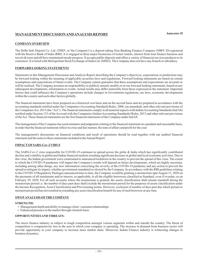## **MANAGEMENT DISCUSSIONANDANALYSIS REPORT**

## **COMPANYOVERVIEW**

The Delhi Safe Deposit Co. Ltd. ('DSD', or 'the Company') is a deposit-taking Non-Banking Finance Company (NBFC-D) registered with the Reserve Bank of India (RBI). It is engaged in three major businesses of locker rentals, interest from loan finance business and travels & tours and all have maintained steady progress. It accepts public deposits and offers a variety of financial services products to its customers. It is listed with Metropolitan Stock Exchange of India Ltd. (MSEI). The Company does not have any branch or subsidiary.

## **FORWARD LOOKING STATEMENTS**

Statements in this Management Discussion and Analysis Report describing the Company's objectives, expectations or predictions may be forward looking within the meaning of applicable securities laws and regulations. Forward looking statements are based on certain assumptions and expectations of future events. The Company cannot guarantee that these assumptions and expectations are accurate or will be realized. The Company assumes no responsibility to publicly amend, modify or revise forward-looking statements, based on any subsequent developments, information or events. Actual results may differ materially from those expressed in the statement. Important factors that could influence the Company's operations include changes in Government regulations, tax laws, economic developments within the country and such other factors globally.

The financial statements have been prepared on a historical cost basis and on the accrual basis and are prepared in accordance with the accounting standards notified under the Companies (Accounting Standard) Rules, 2006, (as amended), and other relevant provisions of the Companies Act, 2013 (the "Act"). The financial statements comply in all material aspects with Indian Accounting Standards (IndAS) notified under Section 133 of the Act read with the Companies (Indian Accounting Standards) Rules, 2015 and other relevant provisions of theAct. These financial statements are the first financial statements of the Company under IndAS.

The management of the Company has used estimates and judgments relating to the financial statement on a prudent and reasonable basis, in order that the financial statement reflect in a true and fair manner, the state of affairs and profit for the year.

The management's discussions on financial conditions and result of operations should be read together with our audited financial statement and the notes to these statements included in theAnnual Report.

## **IMPACT OFSARS-Cov-2 VIRUS**

The SARS-Cov-2 virus responsible for COVID-19 continues to spread across the globe & India which has significantly contributed decline and volatility in global and Indian financial markets resulting significant decrease in global and local economic activities. Due to this virus, the Indian government were constrained to announced lockdown in the country to prevent the spread of this virus. The extent to which the COVID-19 pandemic will impact the Company's results will depend on future developments, which are highly uncertain, including among other things, any new information concerning the severity of the COVID-19 pandemic and any action to prevent the spread or mitigate its impact, whether government-mandated or elected by the Company. In accordance with the RBI guidelines relating to the COVID-19 Regulatory Packages announced time to time, the Company would be granting a moratorium upto August 31, 2020 on the payments of all instalments and/or interest, as applicable, to all the eligible borrowers classified as Standard, even if overdue, as on February 29, 2020. For all such accounts where the moratorium is granted, the assets classification shall remain standstill during the moratorium period i.e. the number of days past dues shall exclude the moratorium period for the purposes of assets classification under the Income Recognition, Asset Classification and Provisioning norms. However, exclusion of number of days past due which pertain to moratorium period has not resulted in extending any asset classification benefit for any of such borrower at any time.

## **SWOTANALYSIS OFTHE COMPANY**

#### **STRENGTH:**

- **KENGTH:**<br>• Management depth and ability to manage client / customer relationships
- Enhanced presence in the market through clientele basis

## **OPPORTUNITIESAND THREATS:**

The micro finance industry in subject to tough competition amongst various segments within and outside the country. The threat of competition is comparatively less in the area in which your company is operating. The increase in demand from business sector will provide opportunity to your company to increase more market share. Moreover, Indian Finance industry is witnessing changes in business dynamics.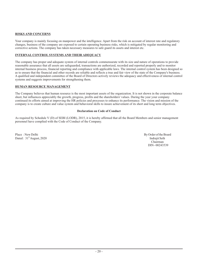## **RISKS AND CONCERNS**

Your company is mainly focusing on manpower and the intelligence. Apart from the risk on account of interest rate and regulatory changes, business of the company are exposed to certain operating business risks, which is mitigated by regular monitoring and corrective actions. The company has taken necessary measures to safe guard its assets and interest etc.

## **INTERNAL CONTROL SYSTEMS AND THEIR ADEQUACY**

The company has proper and adequate system of internal controls commensurate with its size and nature of operations to provide reasonable assurance that all assets are safeguarded, transactions are authorized, recorded and reported properly and to monitor internal business process, financial reporting and compliance with applicable laws. The internal control system has been designed so as to ensure that the financial and other records are reliable and reflects a true and fair view of the state of the Company's business. A qualified and independent committee of the Board of Directors actively reviews the adequacy and effectiveness of internal control systems and suggests improvements for strengthening them.

## **HUMAN RESOURCE MANAGEMENT**

The Company believes that human resource is the most important assets of the organization. It is not shown in the corporate balance sheet, but influences appreciably the growth, progress, profits and the shareholders' values. During the year your company continued its efforts aimed at improving the HR policies and processes to enhance its performance. The vision and mission of the company is to create culture and value system and behavioral skills to insure achievement of its short and long term objectives.

## **Declaration on Code of Conduct**

As required by Schedule V (D) of SEBI (LODR), 2015, it is hereby affirmed that all the Board Members and senior management personnel have complied with the Code of Conduct of the Company.

Place : New Delhi By Order of the Board Dated :  $31^{\text{th}}$ August, 2020 the sether of the sether of the sether of the sether of the sether of the sether of the sether of the sether of the sether of the sether of the sether of the sether of the sether of the sethe

Chairman DIN - 00243539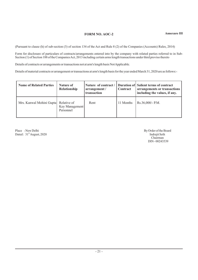## **FORM NO. AOC-2**

(Pursuant to clause (h) of sub-section (3) of section 134 of the Act and Rule 8 (2) of the Companies (Accounts) Rules, 2014)

Form for disclosure of particulars of contracts/arrangements entered into by the company with related parties referred to in Sub-Section (1) of Section 188 of the Companies Act, 2013 including certain arms length transactions under third proviso thereto

Details of contracts or arrangements or transactions not at arm's length basis Not Applicable.

Details of material contracts or arrangement or transactions at arm's length basis for the year ended March 31, 2020 are as follows:-

| <b>Name of Related Parties</b>       | <b>Nature of</b><br>Relationship | arrangement /<br>transaction | Contract  | Nature of contract / Duration of Salient terms of contract<br>arrangements or transactions<br>including the values, if any. |
|--------------------------------------|----------------------------------|------------------------------|-----------|-----------------------------------------------------------------------------------------------------------------------------|
| Mrs. Kanwal Mohini Gupta Relative of | Key Management<br>Personnel      | Rent                         | 11 Months | $Rs.36,000/- P.M.$                                                                                                          |

Place : New Delhi By Order of the Board<br>Dated :  $31<sup>th</sup>$  August, 2020<br>Indraiit Seth Indraiit Seth Dated :  $31^{\text{th}}$ August, 2020 the sether of the sether of the sether of the sether of the sether of the sether of the sether of the sether of the sether of the sether of the sether of the sether of the sether of the sethe

Chairman DIN - 00243539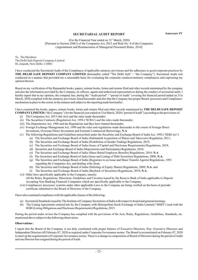## **SECRETARIAL AUDIT REPORT**

(For the Financial Year ended on  $31<sup>st</sup>$  March, 2020)

[Pursuant to Section 204(1) of the Companies Act, 2013 and Rule No. 9 of the Companies (Appointment and Remuneration of Managerial Personnel) Rules, 2014]

To, The Members The Delhi Safe Deposit Company Limited 86, Janpath, New Delhi -110001

I have conducted the Secretarial Audit of the Compliance of applicable statutory provisions and the adherence to good corporate practices by THE DELHI SAFE DEPOSIT COMPANY LIMITED (hereinafter called "The Delhi Safe" / "the Company"). Secretarial Audit was conducted in a manner that provided me a reasonable basis for evaluating the corporate conducts/statutory compliances and expressing my opinion thereon.

Based on my verification of the Rajnandini books, papers, minute books, forms and returns filed and other records maintained by the company and also the information provided by the Company, its officers, agents and authorized representatives during the conduct of secretarial audit, I hereby report that in my opinion, the company has, during the "Audit period" / "period of Audit" covering the financial period ended on 31st March, 2020 complied with the statutory provisions listed hereunder and also that the Company has proper Board- processes and Compliancemechanism in place to the extent, in the manner and subject to the reporting made hereinafter:

I have examined the books, papers, minute books, forms and returns filed and other records maintained by **THE DELHI SAFE DEPOSIT COMPANY LIMITED** ("the Company") for the financial year ended on 31st March, 2020 ("period of Audit") according to the provisions of:

- (i) The Companies Act, 2013 (the Act) and the rules made thereunder;
- (ii) The Securities Contracts (Regulation) Act, 1956 ('SCRA') and the rules made thereunder;
- (iii) The Depositories Act, 1996 and the Regulations and Bye-laws framed thereunder;
- (iv) Foreign Exchange Management Act, 1999 and the rules and regulations made thereunder to the extent of Foreign Direct Investment, Overseas Direct Investment and External Commercial Borrowings; **N.A**
- (v) The following Regulations and Guidelines prescribed under the Securities and Exchange Board of India Act, 1992 ('SEBI Act'):
	- (a) The Securities and Exchange Board of India (Substantial Acquisition of Shares and Takeovers) Regulation, 2011;
	- (b) The Securities and Exchange Board of India (Prohibition of Insider Trading) Regulations, 2015;
	- (c) The Securities and Exchange Board of India (Issue of Capital and Disclosure Requirements) Regulations, 2018;
	- (d) Securities and Exchange Board of India (Depositories and Participants) Regulations, 2018;
	- (e) The Securities and Exchange Board of India (Share Based Employee Benefits) Regulations, 2014; **N.A**
	- (f) The Securities and Exchange Board of India (Issue and Listing of Debt Securities) Regulations, 2008; **N.A.**
	- (g) The Securities and Exchange Board of India (Registrars to an Issue and Share Transfer Agents) Regulations, 1993 regarding the Companies Act, and dealing with client;
	- (h) The Securities and Exchange Board of India (Delisting of Equity Shares) Regulations, 2009; N.A. and
	- (i) The Securities and Exchange Board of India (Buyback of Securities) Regulations, 2018; **N.A.**
- (vi) Other laws specifically applicable to the Company, namely:

All the Rules, Regulations, Directions, Guidelines and Circulars issued by the Reserve Bank of India applicable to Deposit Accepting Non-Banking Financial Companies which are specifically applicable to the Company.

(vii) Compliances/ processes/ systems under other applicable Laws to the Company are being verified on the basis of periodic certificate submitted to the Board of Directors of the Company.

I have also examined compliance with the applicable clauses of the following:

- (a) Secretarial Standards issued by The Institute of Company Secretaries of India with respect to board and general meetings.
- (b) The Listing Agreements entered into by the Company with Metropolitan Stock Exchange of India Limited ("MSEI") read with the SEBI (Listing Obligations and Disclosure Requirements) Regulations, 2015.

During the period under review the Company has complied with the provisions of the Acts, Rules, Regulations, Guidelines, Standards, etc. mentioned above subject to the following observation:

#### **Observations :**

I report that the Board of the Company is not duly constituted with proper balance of Executive Directors, Non -Executive Directors and Independent Directors till February 07, 2020 as required under Corporate Governance norms. The Board is reconstituted on February 07, 2020 to meet up the requirements of Corporate Governance norms. There is a change in composition of Board of Directors during the period of Audit and one Director has resigned during the period of Audit.

**Annexure IV**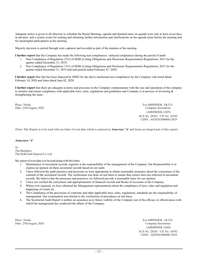Adequate notice is given to all directors to schedule the Board Meetings, agenda and detailed notes on agenda were sent at least seven days in advance, and a system exists for seeking and obtaining further information and clarifications on the agenda items before the meeting and for meaningful participation at the meeting.

Majority decision is carried through were captured and recorded as part of the minutes of the meeting.

I further report that the Company has made the following non compliances / delayed compliances during the period of audit:

- 1. Non Compliance of Regulation 27(2) of SEBI (Listing Obligations and Disclosure Requirements) Regulations, 2015 for the quarter ended December 31, 2019;
- 2. Non Compliance of Regulation 17(1) of SEBI (Listing Obligations and Disclosure Requirements) Regulations, 2015 for the quarter ended December 31, 2019 and stub period ended February 07, 2020;

I further report that fine has been imposed by MSEI for the above mentioned non compliances by the Company vide email dated February 18, 2020 and letter dated June 02, 2020.

I further report that there are adequate systems and processes in the Company commensurate with the size and operations of the company to monitor and ensure compliance with applicable laws, rules, regulations and guidelines and Company is in process of reviewing  $\&$ strengthening the same.

Place : Noida For ABHISHEK J & CO. Date : 25thAugust, 2020 Company Secretaries (ABHISHEK JAIN) ACS No. 28201 / CP. No. 16592 UDIN : A028201B000612829

(Note: This Report is to be read with our letter of even date which is annexed as **Annexure 'A'** and forms an integral part of this report)

## **Annexure 'A'**

To The Members The Delhi Safe Deposit Co. Ltd.

My report of even date is to be read along with this letter.

- 1. Maintenance of secretarial records, registers is the responsibility of the management of the Company. Our Responsibility is to express an opinion on these secretarial records based on our audit.
- 2. I have followed the audit practices and processes as were appropriate to obtain reasonable assurance about the correctness of the contents of the secretarial records. The verification was done on test basis to ensure that correct facts are reflected in secretarial records. We believe that the processes and practices, we followed provide a reasonable basis for our opinion.
- 3. I have not verified the correctness and appropriateness of financial records and Books of Accounts of the Company.
- 4. Where ever required, we have obtained the Management representation about the compliance of laws, rules and regulation and happening of events etc.
- 5. The Compliance of the provisions of corporate and other applicable laws, rules, regulations, standards are the responsibility of management. Our examination was limited to the verification of procedures on test basis.
- 6. The Secretarial Audit Report is neither an assurance as to future viability of the Company nor of the efficacy or effectiveness with which the management has conducted the affairs of the Company.

Place : Noida For ABHISHEK J & CO. Date : 25thAugust, 2020 Company Secretaries (ABHISHEK JAIN) ACS No. 28201 / CP. No. 16592 UDIN : A028201B000612829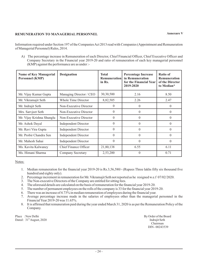## **REMUNERATION TO MANAGERIAL PERSONNEL**

Information required under Section 197 of the Companies Act 2013 read with Companies (Appointment and Remuneration of Managerial Personnel) Rules, 2014.

A) The percentage increase in Remuneration of each Director, Chief Financial Officer, Chief Executive Officer and Company Secretary in the Financial year 2019-20 and ratio of remuneration of each key managerial personnel (KMP) against the performance are as under :-

| <b>Name of Key Managerial</b><br><b>Personnel (KMP)</b> | <b>Designation</b>           | <b>Total</b><br><b>Remuneration</b><br>in Rs. | <b>Percentage Increase</b><br>in Remuneration<br>for the Financial Year<br>2019-2020 | Ratio of<br><b>Remuneration</b><br>of the Director<br>to Median* |
|---------------------------------------------------------|------------------------------|-----------------------------------------------|--------------------------------------------------------------------------------------|------------------------------------------------------------------|
| Mr. Vijay Kumar Gupta                                   | Managing Director / CEO      | 30,30,500                                     | 2.16                                                                                 | 8.50                                                             |
| Mr. Vikramajit Seth                                     | Whole Time Director          | 8,82,505                                      | 2.26                                                                                 | 2.47                                                             |
| Mr. Indrajit Seth                                       | Non-Executive Director       | $\Omega$                                      | $\theta$                                                                             | 0                                                                |
| Mrs. Sarvjeet Seth                                      | Non-Executive Director       | $\theta$                                      | $\Omega$                                                                             | $\Omega$                                                         |
| Mr. Vijay Krishna Shunglu                               | Non-Executive Director       | $\Omega$                                      | $\theta$                                                                             | $\theta$                                                         |
| Mr. Ashok Dayal                                         | <b>Independent Director</b>  | $\theta$                                      | $\Omega$                                                                             | $\Omega$                                                         |
| Mr. Ravi Vira Gupta                                     | <b>Independent Director</b>  | $\theta$                                      | $\theta$                                                                             | $\theta$                                                         |
| Mr. Probir Chandra Sen                                  | <b>Independent Director</b>  | $\Omega$                                      | $\Omega$                                                                             | $\Omega$                                                         |
| Mr. Mahesh Sahai                                        | <b>Independent Director</b>  | $\Omega$                                      | $\theta$                                                                             | $\theta$                                                         |
| Ms. Kavita Kalwaney                                     | <b>Chief Finance Officer</b> | 21,80,138                                     | 6.55                                                                                 | 6.11                                                             |
| Ms. Himani Sharma                                       | <b>Company Secretary</b>     | 2,53,200                                      | $\theta$                                                                             | 0.71                                                             |

Notes:

- 1. Median remuneration for the financial year 2019-20 is Rs.3,56,580/- (Rupees Three lakhs fifty six thousand five hundred and eighty only).
- 2. Percentage increment in remuneration for Mr. Vikramajit Seth not reported as he resigned w.e.f 07/02/2020.
- 3. The Non-executive Directors of the Company are entitled for sitting fees.
- 4. The aforesaid details are calculated on the basis of remuneration for the financial year 2019-20.
- 5. The number of permanent employees on the rolls of the company is 33 for the financial year 2019-20.
- 6. There was an increase of 4.73% in median remuneration of employees during the financial year.
- 7. Average percentage increase made in the salaries of employees other than the managerial personnel in the FinancialYear 2019-20 was 11.65%.
- 8. It is affirmed that remuneration paid during the year ended March 31, 2020 is as per the Remuneration Policy of the Company.

Place : New Delhi By Order of the Board<br>
Dated: 31<sup>th</sup> August. 2020<br> **Dated: 31<sup>th</sup> August. 2020** Dated :  $31^{\text{th}}$ August, 2020 the sether of the sether of the sether of the sether of the sether of the sether of the sether of the sether of the sether of the sether of the sether of the sether of the sether of the sethe

Chairman DIN - 00243539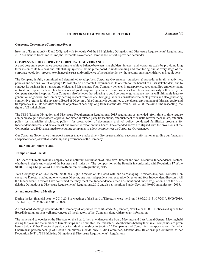## **CORPORATE GOVERNANCE REPORT Annexure VI**

## **Corporate Governance Compliance Report**

In terms of Regulation 34(3) and 53(f) read with Schedule V of the SEBI (Listing Obligation and Disclosure Requirements) Regulations, 2015 as amended from time to time, the Corporate Governance Compliance Report is provided hereunder:

## **COMPANY'S PHILOSOPHYON CORPORATE GOVERNANCE**

A good corporate governance process aims to achieve balance between shareholders interest and corporate goals by providing long term vision of its business and establishing systems that help the board in understanding and monitoring risk at every stage of the corporate evolution process to enhance the trust and confidence of the stakeholders without compromising with laws and regulations.

The Company is fully committed and determined to adopt best Corporate Governance practices & procedures in all its activities. policies and actions. Your Company's Philosophy on Corporate Governance is to operate for the benefit of all its stakeholders, and to conduct its business in a transparent, ethical and fair manner. Your Company believes in transparency, accountability, empowerment, motivation, respect for law, fair business and good corporate practices. These principles have been continuously followed by the Company since its inception. Your Company also believes that adhering to good corporate governance norms will ultimately leads to generation of goodwill for Company, earning respect from society, bringing about a consistent sustainable growth and also generating competitive returns for the investors. Board of Directors of the Company is committed to develop an environment of fairness, equity and transparency in all its activities with the objective of securing long-term shareholder value, while at the same time respecting the rights of all stakeholders.

The SEBI (Listing Obligation and Disclosure Requirements) Regulations, 2015 regulations as amended from time to time require companies to get shareholders' approval for material related party transactions, establishment of whistle-blower mechanism, establish policy for materiality disclosure, policy for preservation of documents, archival policy, conducted familiarize programs for Independent directors and have at least one women director on their board. The amended norms are aligned with the provisions of the CompaniesAct, 2013, and aimed to encourage companies to 'adopt best practices on Corporate Governance'.

Our Corporate Governance framework ensures that we make timely disclosures and share accurate information regarding our financials and performance, as well as leadership and governance of the Company.

## **1. BOARD OFDIRECTORS**

#### **Composition of Board:**

The Board of Directors of the Company has an optimum combination of Executive Director and Non- Executive Independent Directors, who have in depth knowledge of the business and industry. The composition of the Board is in conformity with Regulation 17 of the SEBI (Listing Obligations & Disclosure Requirements) Regulations, 2015.

Your Company as on 31st March, 2020, has Eight Directors on its Board with one as Managing Director/CEO, two Promoter Non executive Directors including one woman Director, one non-independent non-executive Director and four Independent directors,. All the Independent Directors have confirmed that they meet the 'Independence' criteria as mentioned under Regulation 17 of the SEBI (Listing Obligations & Disclosure Requirements) Regulations, 2015 and also as mentioned under Section 149 of Companies Act, 2013.

#### **Attendance at Board Meetings:**

During the last financial year i.e. 2019-20, Six Meetings of the Board of Directors were held on 18/05/2019, 31/07/2019, 30/09/2019, 13/11/2019, 07/02/2020 and 30/03/2020.

All the Board Meetings were held at the Company's Corporate Office situated at 86, Janpath, New Delhi 110001. Notices and agenda for Board Meetings are sent well in advance to all the directors of the Company along with relevant information.

The names and categories of the Directors on the Board, their attendance at the Board Meetings and Last Annual General Meeting held during the year and the number of Directorships and Committee Chairmanships/Memberships held by them in all companies are given herein below. Other Directorships do not include directorships in Section 25 Companies and Companies incorporated outside India. Chairmanships/Membership of Board Committees include only Audit Committee, Stakeholders Relationship Committee as per Regulation 26(1) of SEBI (Listing Obligations & Disclosure Requirements) Regulations.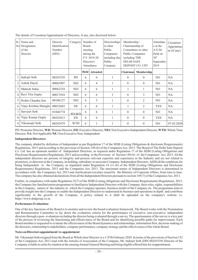| Sr.<br>No      | Name and<br>Designation<br>of the<br>Director | Director<br>Identification<br>Number<br>(DIN) | Category   | <b>Board</b><br>meeting<br>during the<br>Director's | Number of<br>F.Y. 2019-20<br>Attendance | Directorships<br>in other<br>Public<br>Companies<br>including this<br>Public<br>Company | Membership /<br>Chairmanship of<br>Public Companies<br>including THE<br><b>DELHI SAFE</b> | Committees in other<br>DEPOSIT CO. LTD | Attendanc<br>e at the<br>A.G.M<br>Held on<br>30 <sup>th</sup><br>September<br>2019 | Cessation/<br>Appointme<br>nt (if any) |
|----------------|-----------------------------------------------|-----------------------------------------------|------------|-----------------------------------------------------|-----------------------------------------|-----------------------------------------------------------------------------------------|-------------------------------------------------------------------------------------------|----------------------------------------|------------------------------------------------------------------------------------|----------------------------------------|
|                |                                               |                                               |            | <b>Held</b>                                         | <b>Attended</b>                         |                                                                                         | Chairman                                                                                  | <b>Membership</b>                      |                                                                                    |                                        |
| $\mathbf{1}$   | Indrajit Seth                                 | 00243539                                      | <b>PD</b>  | 6                                                   | 6                                       |                                                                                         | $\Omega$                                                                                  | $\Omega$                               | NO.                                                                                | NA                                     |
| $\overline{2}$ | Ashok Dayal                                   | 00065907                                      | <b>NEI</b> | 6                                                   | 4                                       | 1                                                                                       | $\theta$                                                                                  | $\Omega$                               | N <sub>O</sub>                                                                     | NA                                     |
| 3              | Mahesh Sahai                                  | 00062254                                      | <b>NEI</b> | 6                                                   | 6                                       |                                                                                         |                                                                                           | 1                                      | N <sub>O</sub>                                                                     | NA                                     |
| $\overline{4}$ | Ravi Vira Gupta                               | 00017410                                      | <b>NEI</b> | 6                                                   | 6                                       | 3                                                                                       | $\theta$                                                                                  | 3                                      | N <sub>O</sub>                                                                     | NA                                     |
| 5              | Probir Chandra Sen                            | 00106127                                      | <b>NEI</b> | 6                                                   | 5                                       |                                                                                         | $\Omega$                                                                                  | $\mathfrak{D}$                         | NO.                                                                                | <b>NA</b>                              |
| 6              | Vijay Krishna Shunglu                         | 00032683                                      | <b>NE</b>  | 6                                                   | 6                                       | 1                                                                                       | 1                                                                                         | 2                                      | <b>YES</b>                                                                         | <b>NA</b>                              |
| $\overline{7}$ | Sarvjeet Seth                                 | 01846774                                      | PD:WD      | 6                                                   | 6                                       |                                                                                         | $\theta$                                                                                  | $\Omega$                               | NO.                                                                                | <b>NA</b>                              |
| 8              | Vijay Kumar Gupta                             | 00243413                                      | ED         | 6                                                   | 6                                       |                                                                                         | $\theta$                                                                                  | $\theta$                               | <b>YES</b>                                                                         | <b>NA</b>                              |
| 9              | Vikramajit Seth                               | 00243479                                      | <b>WTD</b> | 6                                                   | 1                                       |                                                                                         | $\theta$                                                                                  | $\theta$                               | NO.                                                                                | 07.02.2020                             |

The details of Cessation/Appointment of Directors, if any, also disclosed below:

PD: Promoter Director, WD: Woman Director, ED: Executive Director, NEI: Non Executive Independent Director, WTD: Whole Time Director, NA: Not Applicable NE: Non Executive Non-Independent

### **Independent Directors:**

The company abided by definition of Independent as per Regulation 17 of the SEBI (Listing Obligations & disclosure Requirements) Regulations, 2015 and according to the provision of Section 149 (6) of the Companies Act, 2013. The Board of The Delhi Safe Deposit Co. Ltd. has an optimum number of Independent Directors, as required under Regulation 17 of the SEBI (Listing Obligations and Disclosure Requirements) Regulations, 2015 and according to the Provision of Section 149 (6) of the Companies Act, 2013. All the independent directors are persons of integrity and possess relevant expertise and experience in the Industry and are not related to promoters, or directors in the Company, its holding, subsidiary or associate Company. Independent Directors fulfill all the conditions for being Independent to the Company, as stipulated under Regulation 16 (1) (b) of the SEBI (Listing Obligations and Disclosure Requirements) Regulations, 2015 and the Companies Act, 2013. The maximum tenure of Independent Directors is determined in accordance with the Companies Act, 2013 and clarifications/circulars issued by the Ministry of Corporate Affairs, from time to time. The company has also obtained declarations from all the Independent Directors pursuant to section 149 (7) of the Companies Act, 2013.

Further, in compliance with under Regulation 25(7) of the SEBI (Listing obligations and Disclosure Requirements) Regulations, 2015, the Company has familiarization programme to familiarize Independent Directors with the Company, their roles, rights, responsibilities in the Company, nature of the industry in which the Company operates, business model of the Company etc. The programme aims to provide insight into the Company to enable the Independent Directors to understand its business and operations in depth and contribute significantly to the growth of the Company. A policy related to it shall be uploaded on the company's website i.e. https://www.dsdgroup.co.in.

#### **Performance Evaluation:**

One of the key functions of the Board is to monitor and review the board evaluation framework. The Board works with the Nomination and Remuneration Committee to lay down the evaluation criteria for the performance of executive/ non-executive/ independent directors through a peer- evaluation excluding the director being evaluated through a survey. The questionnaire of the survey is a key part of the process of reviewing the functioning and effectiveness of the Board and for identifying possible paths for improvement. Each Board member is requested to evaluate the effectiveness of the Board dynamics and relationships, information flow, decision-making of the directors, relationship to stakeholders, company performance, company strategy and the effectiveness of the whole Board.

#### **Notes on Directors appointment/ re-appointment**

Mr. Vikramajit Seth resigned from the Board as Whole time Director w.e.f. 07th February 2020. In terms of the provisions of Section 152 of the Companies Act, 2013 read with the Articles of Association of the Company, Mr. Indrajit Seth (DIN 00243539) Director of the Company is liable to retire by rotation at the ensuingAnnual General Meeting and being eligible offered him for reappointment.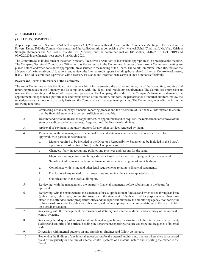## **2. COMMITTEES**

## **(A) AUDIT COMMITTEE**

As per the provisions of Section 177 of the Companies Act, 2013 read with Rule 6 and 7 of the Companies (Meetings of the Board and its Powers) Rules, 2013 the Company has constituted theAudit Committee comprising of Mr. Mahesh Sahai (Chairman), Mr. Vijay Krishna Shunglu (Member) and Mr. Probir Chandra Sen (Member) and the committee met on 18/05/2019, 31/07/2019, 13/11/2019 and 07/02/2020 in the financial year ended 31st March, 2020.

The Committee also invites such of the other Directors, Executives or Auditors as it considers appropriate to be present at the meeting. The Company Secretary/ Compliance Officer acts as the secretary to the Committee. Minutes of each Audit Committee meeting are placed before, and when considered appropriate, are discussed in the meeting of the Board. TheAudit Committee, inter-alia, reviews the adequacy of the internal control functions, and reviews the Internal Audit reports including those related to Internal Control weaknesses, if any. TheAudit Committee is provided with necessary assistance and information to carry out their functions effectively.

## **Powers and Terms of Reference of the Committee:**

The Audit Committee assists the Board in its responsibility for overseeing the quality and integrity of the accounting, auditing and reporting practices of the Company and its compliance with the legal and regulatory requirements. The Committee's purpose is to oversee the accounting and financial reporting process of the Company, the audit of the Company's financial statements, the appointment, independence, performance and remuneration of the statutory auditors, the performance of internal auditors, review the related party transactions on a quarterly basis and the Company's risk management policies. The Committee, inter -alia, performs the following functions:

| 1.  | Overseeing of the company's financial reporting process and the disclosure of its financial information to ensure<br>that the financial statement is correct, sufficient and credible.                                                                                                                                                                                                                                                                                                                       |  |
|-----|--------------------------------------------------------------------------------------------------------------------------------------------------------------------------------------------------------------------------------------------------------------------------------------------------------------------------------------------------------------------------------------------------------------------------------------------------------------------------------------------------------------|--|
| 2.  | Recommending to the Board, the appointment, re-appointment and, if required, the replacement or removal of the<br>statutory auditors and other auditors, if required and the fixation of audit fees.                                                                                                                                                                                                                                                                                                         |  |
| 3.  | Approval of payment to statutory auditors for any other services rendered by them.                                                                                                                                                                                                                                                                                                                                                                                                                           |  |
| 4.  | Reviewing, with the management, the annual financial statements before submission to the Board for<br>approval, with particular reference to:                                                                                                                                                                                                                                                                                                                                                                |  |
|     | Matters required to be included in the Director's Responsibility Statement to be included in the Board's<br>a.<br>report in terms of Section 134 (5) of the Companies Act, 2013.                                                                                                                                                                                                                                                                                                                             |  |
|     | Changes, if any, in accounting policies and practices and reasons for the same.<br>$\mathbf{b}$ .                                                                                                                                                                                                                                                                                                                                                                                                            |  |
|     | Major accounting entries involving estimates based on the exercise of judgment by management.<br>c.                                                                                                                                                                                                                                                                                                                                                                                                          |  |
|     | Significant adjustments made in the financial statements arising out of audit findings.<br>d.                                                                                                                                                                                                                                                                                                                                                                                                                |  |
|     | Compliance with listing and other legal requirements relating to financial statements.<br>e.                                                                                                                                                                                                                                                                                                                                                                                                                 |  |
|     | f.<br>Disclosure of any related party transactions and review the same on quarterly basis.                                                                                                                                                                                                                                                                                                                                                                                                                   |  |
|     | Qualifications in the draft audit report.<br>g.                                                                                                                                                                                                                                                                                                                                                                                                                                                              |  |
| 5.  | Reviewing, with the management, the quarterly financial statements before submission to the board for<br>approval.                                                                                                                                                                                                                                                                                                                                                                                           |  |
| 6.  | Reviewing, with the management, the statement of uses / application of funds as and when raised through an issue<br>(public issue, rights issue, preferential issue, etc.), the statement of funds utilized for purposes other than those<br>stated in the offer document/prospectus/notice and the report submitted by the monitoring agency monitoring the<br>utilization of proceeds of a public or rights issue, and making appropriate recommendations to the Board to take<br>up steps in this matter. |  |
| 7.  | Reviewing with the management, performance of statutory and internal auditors, and adequacy of the internal<br>control systems.                                                                                                                                                                                                                                                                                                                                                                              |  |
| 8.  | Reviewing the adequacy of internal audit function, if any, including the structure of the internal audit department,<br>staffing and seniority of the official heading the department, reporting structure coverage and frequency of internal<br>audit.                                                                                                                                                                                                                                                      |  |
| 9.  | Discussion with internal auditors on any significant findings and follow up thereon.                                                                                                                                                                                                                                                                                                                                                                                                                         |  |
| 10. | Reviewing the findings of any internal investigations by the internal auditors into matters where there is suspected<br>fraud or irregularity or a failure of internal control systems of a material nature and reporting the matter to the<br>Board.                                                                                                                                                                                                                                                        |  |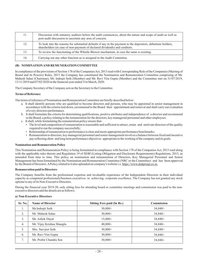| 11. | Discussion with statutory auditors before the audit commences, about the nature and scope of audit as well as<br>post-audit discussion to ascertain any area of concern.                    |
|-----|---------------------------------------------------------------------------------------------------------------------------------------------------------------------------------------------|
| 12. | To look into the reasons for substantial defaults if any in the payment to the depositors, debenture holders,<br>shareholders (in case of non-payment of declared dividends) and creditors. |
| 13. | To review the functioning of the Whistle Blower mechanism, in case the same is existing.                                                                                                    |
| 14. | Carrying out any other function as is assigned to the Audit Committee.                                                                                                                      |

## **(B) NOMINATIONAND REMUNERATION COMMITTEE**

In compliance of the provisions of Section 178 of the Companies Act, 2013 read with Corresponding Rule of the Companies (Meeting of Board and its Powers) Rules, 2013 the Company has constituted the Nomination and Remuneration Committee comprising of Mr. Mahesh Sahai (Chairman), Mr. Indrajit Seth (Member) and Mr. Ravi Vira Gupta (Member) and the Committee met on 31/07/2019, 13/11/2019 and 07/02/2020 in the financial year ended 31st March, 2020.

The Company Secretary of the Company acts as the Secretary to the Committee.

## **Terms of Reference**

The terms of reference of Nomination and Remuneration Committee are briefly described below:

- a. It shall identify persons who are qualified to become directors and persons, who may be appointed in senior management in accordance with the criteria laid down, recommend to the Board their appointment and removal and shall carry out evaluation of every directors performance.
- b. It shall formulate the criteria for determining qualifications, positive attributes and independence of a director and recommend to the Board, a policy relating to the remuneration for the directors, key managerial personnel and other employees.
- c. It shall, while formulating the remuneration policy ensure that-
	- The level and composition of remuneration is reasonable and sufficient to attract, retain and motivate directors of the quality required to run the company successfully;
	- Relationship of remuneration to performance is clear and meets appropriate performance benchmarks;
	- Remuneration to directors, key managerial personnel and senior management involves a balance between fixed and incentive pay reflecting short and long term performance objectives appropriate to the working of the company and its goals.

#### **Nomination and Remuneration Policy**

This Nomination and Remuneration Policy is being formulated in compliance with Section 178 of the Companies Act, 2013 read along with the applicable rules thereto and Regulation 19 of SEBI (Listing Obligation and Disclosure Requirements) Regulations, 2015, as amended from time to time. This policy on nomination and remuneration of Directors, Key Managerial Personnel and Senior Management has been formulated by the Nomination and Remuneration Committee (NRC or the Committee) and has been approved by the Board of Directors. A Policy related to it also uploaded on company's website i.e. https://www.dsdgroup.co.in.

#### **Remuneration paid to Directors**

The Company benefits from the professional expertise and invaluable experience of the Independent Directors in their individual capacity as competent professionals/business executives in achieving corporate excellence. The Company has not granted any stock options to any of its Non-Executive Directors.

During the financial year 2019-20, only sitting fees for attending board or committee meetings and commission was paid to the nonexecutive directors and the details are as follows:

#### **a) Non-Executive Directors**

| Sr. No.        | <b>Name of Director</b>   | <b>Sitting Fees paid (In Rs.)</b> | <b>Commission</b> |
|----------------|---------------------------|-----------------------------------|-------------------|
| 1.             | Mr.Indrajit Seth          | $30,000/-$                        | $34,840/-$        |
| 2.             | Mr. Mahesh Sahai          | $30,000/-$                        | $34,840/-$        |
| 3.             | Mr. Ashok Dayal           | $15,000/-$                        | $34,840/-$        |
| 4.             | Mr. Vijay Krishna Shunglu | $40,000/-$                        | $34,840/-$        |
| 5.             | Mrs. Sarvjeet Seth        | $30,000/-$                        | $34,840/-$        |
| 6.             | Mr. Ravi Vira Gupta       | $30,000/-$                        | $34,840/-$        |
| $\overline{7}$ | Mr. Probir Chandra Sen    | $30,000/-$                        | $34,840/-$        |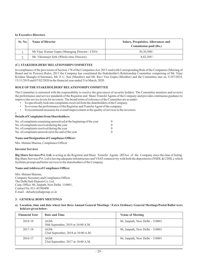## **b) Executive Directors**

| Sr. No.  | <b>Name of Director</b>                         | Salary, Perquisites, Allowances and<br><b>Commission paid (Rs.)</b> |
|----------|-------------------------------------------------|---------------------------------------------------------------------|
|          | Mr. Vijay Kumar Gupta (Managing Director / CEO) | $30.30.500/-$                                                       |
| <u>.</u> | Mr. Vikramajit Seth (Whole-time Director)       | $8.82.505/-$                                                        |

## **(C) STAKEHOLDERS' RELATIONSHIPCOMMITTEE**

In compliance of the provisions of Section 178 of the Companies Act, 2013 read with Corresponding Rule of the Companies (Meeting of Board and its Powers) Rules, 2013 the Company has constituted the Stakeholder's Relationship Committee comprising of Mr. Vijay Krishna Shunglu (Chairman), Mr. P. C. Sen (Member) and Mr. Ravi Vira Gupta (Member) and the Committee met on 31/07/2019, 13/11/2019 and 07/02/2020 in the financial year ended 31st March, 2020.

## **ROLE OFTHE STAKEHOLDERS' RELATIONSHIPCOMMITTEE**

The Committee is entrusted with the responsibility to resolve the grievances of security holders. The Committee monitors and reviews the performance and service standards of the Registrar and Share Transfer Agents of the Company and provides continuous guidance to improve the service levels for investors. The broad terms of reference of the Committee are as under: -

- To specifically look into complaints received from the shareholders of the Company. -
- To oversee the performance of the Registrar and TransferAgent of the company. -
- To recommend measures for overall improvement in the quality of services to the investors.

## **Details of Complaints from Shareholders:**

| No. of complaints remaining unresolved at the beginning of the year | 0        |
|---------------------------------------------------------------------|----------|
| No. of complaints received during the year                          | $\Omega$ |
| No. of complaints resolved during the year                          | $\Omega$ |
| No. of complaints unresolved at the end of the year                 | 0        |
|                                                                     |          |

## **Name and Designation of Compliance Officer:**

Mrs. Himani Sharma, Compliance Officer

#### **Investor Services**

**Big Share Services Pvt. Ltd.** is acting as the Registrar and Share Transfer Agents (RTAs) of the Company since the time of listing. Big Share Services Pvt. Ltd is having adequate infrastructure and VSAT connectivity with both the depositories (NSDL& CDSL), which facilitate prompt and better services to the shareholders of the Company.

#### **Name andAddress of Compliance Officer**

Mrs. Himani Sharma, Company Secretary and Compliance Officer The Delhi Safe Deposit Co. Ltd. Corp. Office: 86, Janpath, New Delhi–110001, Contact No. 011-43580400 E-mail – delsafe@dsdgroup.co.in

## **3. GENERALBODYMEETINGS**

### **a) Location, time and date where last three Annual General Meetings / Extra Ordinary General Meetings/Postal Ballot were held are given below:**

| <b>Financial Year</b> | Date and Time                                | <b>Venue of Meeting</b>         |
|-----------------------|----------------------------------------------|---------------------------------|
| 2018-19               | $AGM-$<br>30th September, 2019 at 10:00 A.M. | 86, Janpath, New Delhi - 110001 |
| 2017-18               | $AGM-$<br>22nd September, 2018 at 10:00 A.M. | 86, Janpath, New Delhi - 110001 |
| 2016-17               | $AGM-$<br>23rd September, 2017 at 10:00 A.M. | 86, Janpath, New Delhi - 110001 |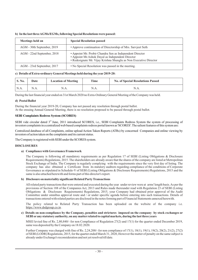| Meetings held on           | <b>Special Resolution passed</b>                                                                                                                                                   |
|----------------------------|------------------------------------------------------------------------------------------------------------------------------------------------------------------------------------|
| AGM - 30th September, 2019 | • Approve continuation of Directorship of Mrs. Sarvieet Seth                                                                                                                       |
| AGM - 22nd September, 2018 | • Appoint Mr. Probir Chandra Sen as Independent Director<br>• Appoint Mr. Ashok Dayal as Independent Director<br>• Redesignate Mr. Vijay Krishna Shunglu as Non Executive Director |
| AGM - 23rd September, 2017 | • No Special Resolution was passed in the meeting.                                                                                                                                 |

## **b) In the last threeAGMs/EGMs, following Special Resolutions were passed:**

## **c) Details of Extra-ordinary General Meetings held during the year 2019-20:**

| $^{\prime}$ S. No. | <b>Date</b> | <b>Location of Meeting</b> | <b>Time</b> | <b>No. of Special Resolutions Passed</b> |
|--------------------|-------------|----------------------------|-------------|------------------------------------------|
| N.A.               | N.A.        | N.A.                       | N.A.        | N.A.                                     |

During the last financial year ended on 31st March 2020 no Extra-Ordinary General Meeting of the Company was held.

## **d) Postal Ballot**

During the financial year 2019-20, Company has not passed any resolution through postal ballot. At the ensuing Annual General Meeting, there is no resolution proposed to be passed through postal ballot.

## **SEBI Complaints Redress System (SCORES)**

SEBI vide circular dated  $3<sup>rd</sup>$  June, 2011 introduced SCORES, i.e., SEBI Complaints Redress System the system of processing of investors complaints in a centralized web based complaints redress portal known as 'SCORES'. The salient features of this system are:

Centralized database of all Complaints, online upload Action Taken Reports (ATRs) by concerned Companies and online viewing by investors of action taken on the complaints and its current status.

The Company is registered with SEBI under the SCORES system.

#### **DISCLOSURES**

#### **a) Compliance with Governance Framework**

The Company is following all mandatory requirements as per Regulation 17 of SEBI (Listing Obligations & Disclosure Requirements) Regulations, 2015. The shareholders are already aware that the shares of the company are listed at Metropolitan Stock Exchange of India. The Company is regularly complying with the requirements since the very first day of listing. The company has also obtained a Certificate from its statutory auditors regarding compliance of the conditions of Corporate Governance as stipulated in Schedule-V of SEBI (Listing Obligations & Disclosure Requirements) Regulations, 2015 and the same is also attached herewith and forms part of this director's report.

#### **b) Disclosure on materiality significant Related Party Transactions**

All related party transactions that were entered and executed during the year under review were at arms' length basis.As per the provisions of Section 188 of the Companies Act, 2013 and Rules made thereunder read with Regulation 23 of SEBI (Listing Obligations & Disclosure Requirements) Regulations, 2015, your Company had obtained prior approval of the Audit Committee under omnibus approval route and / or under specific agenda before entering into such transactions. Details of transactions entered with related parties are disclosed in the notes forming part of Financial Statements annexed herewith.

The policy related to Related Party Transaction has been uploaded on the website of the company i.e. https://www.dsdgroup.co.in.

### **c) Details on non-compliance by the Company, penalties and strictures imposed on the company by stock exchanges or SEBI or any statutory authority, on any matter related to capital markets, during the last three years**

MSEI levied fine of Rs. 2,80,840/- for non Compliance of Regulation 27(2) and 17(1) for the quarter ended December 2019, same was deposited by the Company on 18.02.2020.

Further Company was charged with fine of Rs. 2,24,200/- for non compliance of 17(1), 18(1), 19(1), 19(2), 20(2), 21(2), 27(2) of SEBI (LODR) Regulations, 2015, for the quarter ended March 31, 2020, However the matter of penalty on the same subject is already under Exchange's reconsideration and not yet resolved till date.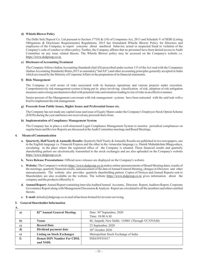## **d) Whistle Blower Policy**

The Delhi Safe Deposit Co. Ltd pursuant to Section 177(9) & (10) of Companies Act, 2013 and Schedule V of SEBI (Listing Obligations & Disclosure Requirements) Regulations, 2015 has formulated Whistle Blower Policy for Directors and employees of the Company, to report concerns about unethical behavior, actual or suspected fraud or violation of the Company's code of conduct or ethics policy. Further, the Company affirms that no personnel have been denied access to Audit Committee on any issue related thereto. The Whistle Blower policy may be accessed on the Company's website i.e. https://www.dsdgroup.co.in.

## **e) Disclosure ofAccounting Treatment**

The Company follows Indian Accounting Standards (Ind AS) prescribed under section 133 of the Act read with the Companies (Indian Accounting Standards) Rules,2015 as amended,("Ind AS") and other accounting principles generally accepted in India which are issued by the Ministry of Corporate Affairs in the preparation of its financial statements.

## **f) Risk Management**

The Company is well aware of risks associated with its business operations and various projects under execution. Comprehensively risk management system is being put in place involving classification of risk, adoption of risk mitigation measures and a strong mechanism to deal with potential risks and situation leading to rise of risks in an effective manner.

Senior persons of the Management conversant with risk management systems have been entrusted with the said task with a brief to implement the risk management.

## **g) Proceeds from Public Issues, Rights Issues and Preferential Issues etc.**

The Company has not made any capital issue and issue of Equity Shares under the Company's Employee Stock Option Scheme (ESOS) during the year and hence not received any proceeds there from.

## **h) Implementation of Compliance Management System**

The Company has in place a well-structured Legal Compliance Management System to monitor periodical compliances on regular basis and Review Reports are discussed at theAudit Committee meetings and Board Meetings.

## **4. Means of Communication**

- **a. Quarterly, Half Yearly & Annually Results:** Quarterly Half Yearly & Annually Results are published in two newspapers, one in the English language i.e. Financial Express and the other in the vernacular language i.e. Dainik Mahalakshmi Bhagyodaya, circulating in the place where the registered office of the Company is situated. These financial results and quarterly shareholding pattern are electronically transmitted to the stock exchanges and are also uploaded on the Company's website https://www.dsdgroup.co.in.
- **b. News Release Presentations:** Official news releases are displayed on the Company's website.
- c. Website: The Company's website https://www.dsdgroup.co.in makes online announcements of Board Meeting dates, results of the meetings, quarterly financial results, announcement of the date of Annual General Meeting, changes in Directors and other announcements. The website also provides quarterly shareholding pattern. Copies of Notices and Annual Reports sent to Shareholders are also available on the website. The website https://www.dsdgroup.co.in gives information about the company and the products offered by it.
- d. Annual Report: Annual Report containing inter alia Audited Annual Accounts, Directors Report, Auditors Report, Corporate Governance Report along with Management Discussion & Analysis Report are circulated to all the members and others entitled thereto.
- **e. E-mail:** delsafe@dsdgroup.co.in mail id has been formed for investor servicing.

## **5. General Shareholder Information**

**A.**

| a)           | 82 <sup>nd</sup> Annual General Meeting | Date: 30 <sup>th</sup> September, 2020          |  |
|--------------|-----------------------------------------|-------------------------------------------------|--|
|              |                                         | Time: 10:00 A.M.                                |  |
| $\mathbf{b}$ | Venue                                   | 86, Janpath, New Delhi-110001 (Through VC/OVAM) |  |
| c)           | <b>Record Date</b>                      | 23 September, 2020                              |  |
| d)           | Dividend payment date                   | $30th$ October 2020                             |  |
| e)           | <b>Listing on Stock Exchanges</b>       | Metropolitan Stock Exchange of India            |  |
|              | <b>Demat ISIN Number For CDSL</b>       | INE639Y01017                                    |  |
|              | and NSDL                                |                                                 |  |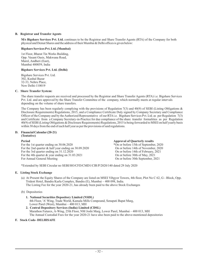### **B. Registrar and Transfer Agents**

**M/s Bigshare Services Pvt. Ltd.** continues to be the Registrar and Share Transfer Agents (RTA) of the Company for both physical and Demat Shares and the address of their Mumbai & Delhi offices is given below:

### **Bigshare Services Pvt. Ltd. (Mumbai)**

1st Floor, Bharat Tin Works Building, Opp. Vasant Oasis, Makwana Road, Marol, Andheri (East), Mumbai 400059, India

## **Bigshare Services Pvt. Ltd. (Delhi)**

Bigshare Services Pvt. Ltd. 302, Kushal Bazar 32-33, Nehru Place, New Delhi-110019

## **C. Share Transfer System:**

The share transfer requests are received and processed by the Registrar and Share Transfer Agents (RTA) i.e. Bigshare Services Pvt. Ltd. and are approved by the Share Transfer Committee of the company, which normally meets at regular intervals depending on the volume of share transfers.

The Company has been regularly complying with the provisions of Regulation 7(3) and 40(9) of SEBI (Listing Obligations  $\&$ Disclosure Requirements) Regulations, 2015, and a Compliance Certificate Duly signed by Company Secretary and Compliance Officer of the Company and by the Authorized Representative of our RTA i.e. Bigshare Services Pvt. Ltd. as per Regulation 7(3) and Certificate from a Company Secretary-in-Practice for due compliance of the share transfer formalities as per Regulation 40(9) of SEBI (Listing Obligations & Disclosure Requirements) Regulations, 2015 is being forwarded to MSEI on half yearly basis within 30 days from the end of each half year as per the provisions of said regulations.

#### **D. Financial Calendar (20-21) (Tentative)**

For the 1st quarter ending on 30.06.2020 \*On or before 15th of September, 2020<br>For the 2nd quarter & half year ending on 30.09.2020 0 0 On or before 14th of November, 2020 For the 2nd quarter & half year ending on 30.09.2020 On or before 14th of November, 2021<br>For the 3rd quarter ending on 31.12.2020 On or before 14th of February, 2021 For the 3rd quarter ending on 31.12.2020<br>
For the 4th quarter & year ending on 31.03.2021<br>
On or before 30th of May, 2021 For the 4th quarter  $&$  year ending on 31.03.2021<br>For Annual General Meeting

On or before 30th September, 2021 **Period Approval of Quarterly results** 

\*Extended by SEBI Circular no SEBI/HO/CFD/CMD1/CIR/P/2020/140 dated 29 July 2020

## **E. Listing Stock Exchange**

(a) At Present the Equity Shares of the Company are listed on MSEI Vibgyor Towers, 4th floor, Plot No C 62, G - Block, Opp. Trident Hotel, Bandra Kurla Complex, Bandra (E), Mumbai – 400 098, India. The Listing Fee for the year 2020-21, has already been paid to the above Stock Exchanges

(b) Depositories

- 4th Floor, 'A' Wing, Trade World, Kamala Mills Compound, Senapati Bapat Marg, Lower Parel (West), Mumbai – 400 013, MH **1. National Securities Depository Limited (NSDL)**
- Marathon Futurex, A-Wing, 25th Floor, NM Joshi Marg, Lower Parel, Mumbai 400 013, MH The Annual Custodial Fees for the year 2020-21 have also been paid to the above-mentioned depositories **2. Central Depository Services (India) Limited (CDSL)**

## **F. Stock Code- DELHISAFE**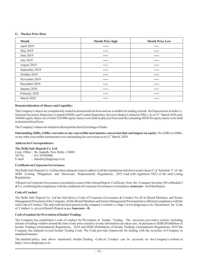## **G. Market Price Data**

| <b>Month</b>     | <b>Month Price high</b> | <b>Month Price Low</b> |
|------------------|-------------------------|------------------------|
| April 2019       | ------                  | ----                   |
| May 2019         | -----                   | ------                 |
| June 2019        | ------                  | ------                 |
| <b>July 2019</b> | ------                  | ------                 |
| August 2019      | ------                  | ------                 |
| September 2019   | -----                   | ------                 |
| October 2019     | ------                  | ------                 |
| November 2019    | -----                   | ------                 |
| December 2019    | ------                  | ------                 |
| January 2020     | -----                   | ------                 |
| February 2020    | -----                   | ------                 |
| March 2020       | ------                  | ------                 |

## **Dematerialization of Shares and Liquidity:**

The Company's shares are compulsorily traded in dematerialized form and are available for trading on both the Depositories in India i.e. National Securities Depository Limited (NSDL) and Central Depository Services (India) Limited (CDSL). As at 31<sup>st</sup> March 2020 only 364464 equity shares out of total 5223000 equity shares were held in physical form and the remaining 4858536 equity shares were held in dematerialized form.

The Company's shares are traded on Metropolitan Stock Exchange of India.

**Outstanding ADRs, GDRs, warrants or any convertible instruments, conversion date and impact on equity:** No ADRs or GDRs, or any other convertible instruments were outstanding for conversion as on 31<sup>st</sup> March, 2020.

#### **Address for Correspondence:**

**The Delhi Safe Deposit Co. Ltd** Corp. Office : 86, Janpath, New Delhi- 110001<br>Tel No (011-43580400) Tel No.  $\qquad \qquad : 011-43580400;$ <br>E-mail  $\qquad \qquad : \text{delsafe@dsdor}$ : delsafe@dsdgroup.co.in

## **Certificate on Corporate Governance**

The Delhi Safe Deposit Co. Ltd has taken adequate steps to adhere to all the stipulations laid down as per clause C of Schedule V of the SEBI (Listing Obligations and Disclosure Requirement) Regulations, 2015 read with regulation 34(3) of the said Listing Regulations.

AReport on Corporate Governance is included as a part of thisAnnual Report. Certificate from the Company Secretary M/sAbhishek J & Co. confirming the compliance with the conditions of Corporate Governance is included as **Annexure** - A of this Report.

## **Code of Conduct**

The Delhi Safe Deposit Co. Ltd has laid down a Code of Corporate Governance & Conduct for all its Board Members and Senior Management Personnel of the Company.All the Board Members and Senior Management Personnel have affirmed compliance with the said Code of Conduct. The said code has been posted on the company's website i.e. https://www.dsdgroup.co.in/. Declaration for Code of Conduct is given in Board's Report as per **Annexure – B.**

## **Code of conduct for Prevention of InsiderTrading:**

The Company has established a code of conduct for Prevention of Insider Trading. The necessary preventive actions, including closure of trading window around the time of any price sensitive events information are taken care. In pursuant to SEBI (Prohibition of Insider Trading) (Amendment) Regulations, 2018 and SEBI (Prohibition of Insider Trading) (Amendment) Regulations, 2019 the Company has adopted revised Insider Trading Code. The Code provides framework for dealing with the securities of Company in mandated manner.

The detailed policy and above mentioned Insider Trading -Code of Conduct can be accessed on the Company's website at https://www.dsdgroup.co.in.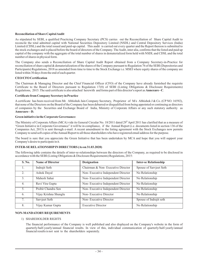## **Reconciliation of Share CapitalAudit**

As stipulated by SEBI, a qualified Practicing Company Secretary (PCS) carries out the Reconciliation of Share Capital Audit to reconcile the total admitted capital with National Securities Depository Limited (NSDL) and Central Depository Services (India) Limited (CDSL) and the total issued and paid-up capital. This audit is carried out every quarter and the Report thereon is submitted to the stock exchanges and is placed before the board of directors of the Company. TheAudit, inter alia, confirms that the listed and paid up capital of the company with the aggregate of the total number of shares in dematerialized form held with NSDL and CDSL and the total number of shares in physical form.

The Company also sends a Reconciliation of Share Capital Audit Report obtained from a Company Secretary-in-Practice for reconciliation of share capital & dematerialization of the shares of the Company pursuant to Regulation 76 of the SEBI (Depositories and Participants) Regulations, 2018 as amended from time to time to the Stock Exchange i.e. MSEI where equity shares of the company are listed within 30 days from the end of each quarter.

## **CEO/CFO Certification**

Regulations, 2015. The said certificate is also attached herewith and forms part of this director's report as **Annexure - C**. The Chairman & Managing Director and the Chief Financial Officer (CFO) of the Company have already furnished the requisite Certificate to the Board of Directors pursuant to Regulation 17(8) of SEBI (Listing Obligations & Disclosure Requirements)

#### **Certificate from Company Secretary in Practice**

**Annexure – D.** A certificate has been received from Mr. Abhishek Jain Company Secretary, Proprietor of M/s Abhishek J & Co. (CP NO. 16592), that none of the Directors on the Board of the Company has been debarred or disqualified from being appointed or continuing as directors of companies by the Securities and Exchange Board of India, Ministry of Corporate Affairs or any such statutory authority as

### **Green initiative in the Corporate Governance:**

The Ministry of Corporate Affairs (MCA) vide its General Circular No. 18/2011 dated 29<sup>th</sup> April 2011 has clarified that as a measure of "Green Initiative in Corporate Governance" it will be in compliance, if the Annual Report (i.e. documents listed in section 136 of the Companies Act, 2013) is sent through e-mail. A recent amendment to the listing agreement with the Stock Exchanges now permits Company to send soft copies of theAnnual Report to all those shareholders who have registered email address for the purpose.

The board is sure that you appreciate the Green Initiative that has been undertaken by MCA and hope that you will support your Company's desire to participate in it.

### **INTER-SE RELATIONSHIPIN DIRECTORS (As on 31.03.2020)**

The following table contains the details of inter-se-relationships between the directors of the Company, as required to be disclosed in accordance with the SEBI (Listing Obligations & Disclosure Requirements) Regulations, 2015:

| S. No.           | <b>Name of Director</b> | <b>Designation</b>                 | <b>Inter-se Relationship</b> |
|------------------|-------------------------|------------------------------------|------------------------------|
|                  | Indrajit Seth           | Chairman & Non-Executive Director  | Spouse of Sarvjeet Seth      |
| 2.               | Ashok Dayal             | Non-Executive Independent Director | No Relationship              |
| 3.               | Mahesh Sahai            | Non-Executive Independent Director | No Relationship              |
| $\overline{4}$ . | Ravi Vira Gupta         | Non-Executive Independent Director | No Relationship              |
| 5.               | Probir Chandra Sen      | Non-Executive Independent Director | No Relationship              |
| 6.               | Vijay Krishna Shunglu   | Non-Executive Director             | No Relationship              |
| 7.               | Sarvjeet Seth           | Non-Executive Director             | Spouse of Indrajit seth      |
| 8.               | Vijay Kumar Gupta       | <b>Executive Director</b>          | No Relationship              |

## **NON-MANDATORYREQUIREMENTS**

#### 1) SHAREHOLDER RIGHTS

The financial performance of the Company is well published and also displayed on the Company's website in the form of quarterly/half-yearly/annual financial results. In view of this, individual communication of quarterly/half-yearly/annual financial results is not sent to the shareholders separately.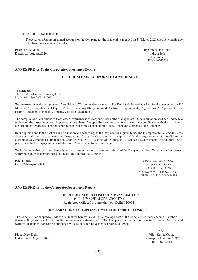#### 2) AUDIT QUALIFICATIONS

The Auditor's Report on annual accounts of the Company for the financial year ended on 31<sup>st</sup> March 2020 does not contain any qualifications or adverse remarks.

Place : New Delhi By Order of the Board<br>
Dated: 26<sup>th</sup> August. 2020<br> **Dated: 26<sup>th</sup> August. 2020** Dated :  $26^{\circ}$ August, 2020 the control of the control of the control of the control of the control of the control of the control of the control of the control of the control of the control of the control of the control o

Chairman DIN - 00243539

# **ANNEXURE -A To the Corporate Governance Report**

# **CERTIFICATE ON CORPORATE GOVERNANCE**

To, The Members The Delhi Safe Deposit Company Limited 86, Janpath, New Delhi -110001

We have examined the compliance of conditions of Corporate Governance by The Delhi Safe Deposit Co. Ltd, for the year ended on 31<sup>s</sup> March 2020, as stipulated in Chapter IV of SEBI (Listing Obligations and Disclosure Requirements) Regulations, 2015 pursuant to the ListingAgreement of the said Company with stock exchanges.

The compliance of conditions of Corporate Governance is the responsibility of the Management. Our examination has been limited to a review of the procedures and implementations thereof, adopted by the Company for ensuring the compliance with the conditions of Corporate Governance. It is neither an audit nor an expression of opinion on the financial statements of the Company.

In our opinion and to the best of our information and according to the explanations given to us, and the representations made by the directors and the management, we hereby certify that the Company has complied with the requirements & conditions of Corporate Governance as stipulated in Chapter IV of SEBI (Listing Obligations and Disclosure Requirements) Regulations, 2015 pursuant to the ListingAgreement of the said Company with stock exchanges.

We further state that such compliance is neither an assurance as to the future viability of the Company nor the efficiency or effectiveness with which the Management has conducted the affairs of the Company.

UDIN: A028201B000620287 Place : Noida For ABHISHEK J & CO. Date : 26thAugust, 2020 Company Secretaries (ABHISHEK JAIN) ACS No. 28201 / CP. No. 16592

# **ANNEXURE - B To the Corporate Governance Report**

# **THE DELHI SAFE DEPOSIT COMPANYLIMITED**

(CIN: L74899DL1937PLC000478) Registered Office: 86, Janpath, New Delhi-110001

# **DECLARATION OF COMPLIANCE WITH THE CODE OF CONDUCT**

The Company has adopted a Code of Conduct for Directors and Senior Management of the Company, as per Schedule-V of the SEBI (Listing Obligations and Disclosure Requirements) Regulations, 2015. The Company has received confirmation from the Directors and Senior Management regarding compliance with the code for the year ended March 31, 2020.

Dated : 26th August, 2020

Sd/- Place : New Delhi Vijay Kumar Gupta<br>
Dated : 26th August, 2020<br>
Managing Director / CEO DIN - 00243413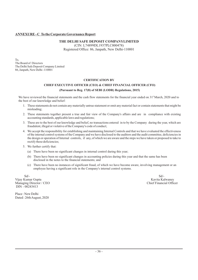# **ANNEXURE - C To the Corporate Governance Report**

# **THE DELHI SAFE DEPOSIT COMPANYLIMITED**

(CIN: L74899DL1937PLC000478) Registered Office: 86, Janpath, New Delhi-110001

To, The Board of Directors The Delhi Safe Deposit Company Limited 86, Janpath, New Delhi -110001

#### **CERTIFICATION BY**

# **CHIEF EXECUTIVE OFFICER (CEO) & CHIEF FINANCIAL OFFICER (CFO) (Pursuant to Reg. 17(8) of SEBI (LODR) Regulations, 2015)**

We have reviewed the financial statements and the cash flow statements for the financial year ended on 31<sup>st</sup> March, 2020 and to the best of our knowledge and belief:

- 1. These statements do not contain any materially untrue statement or omit any material fact or contain statements that might be misleading;
- 2. These statements together present a true and fair view of the Company's affairs and are in compliance with existing accounting standards, applicable laws and regulations;
- 3. These are to the best of our knowledge and belief, no transactions entered in to by the Company during the year, which are fraudulent, illegal or violative of the Company's code of conduct;
- 4. We accept the responsibility for establishing and maintaining Internal Controls and that we have evaluated the effectiveness of the internal control systems of the Company and we have disclosed to the auditors and the audit committee, deficiencies in the design or operation of Internal controls, if any, of which we are aware and the steps we have taken or proposed to take to rectify these deficiencies;
- 5. We further certify that:
	- (a) There have been no significant changes in internal control during this year;
	- (b) There have been no significant changes in accounting policies during this year and that the same has been disclosed in the notes to the financial statements; and
	- (c) There have been no instances of significant fraud, of which we have become aware, involving management or an employee having a significant role in the Company's internal control systems.

Sd/- Sd/- Vijay Kumar Gupta Kavita Kalwaney<br>
Managing Director / CEO **Kavita Kalwaney Kavita Kalwaney**<br>
Chief Financial Officer Managing Director / CEO DIN - 00243413

Place : New Delhi Dated : 26thAugust, 2020

- 36 -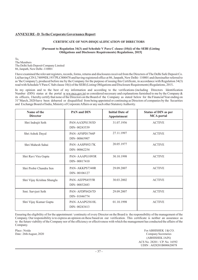# **ANNEXURE - D To the Corporate Governance Report**

#### **CERTIFICATE OF NON-DISQUALIFICATION OF DIRECTORS**

#### **[Pursuant to Regulation 34(3) and Schedule V Para C clause (10)(i) of the SEBI (Listing Obligations and Disclosure Requirements) Regulations, 2015]**

To, The Members The Delhi Safe Deposit Company Limited 86, Janpath, New Delhi -110001

**.** read with Schedule V Para-C Sub clause 10(i) of the SEBI (Listing Obligations and Disclosure Requirements) Regulations, 2015 I have examined the relevant registers, records, forms, returns and disclosures received from the Directors of The Delhi Safe Deposit Co. Ltd having CIN L74899DL1937PLC000478 and having registered office at 86, Janpath, New Delhi- 110001 and (hereinafter referred to as 'the Company'), produced before me by the Company for the purpose of issuing this Certificate, in accordance with Regulation 34(3)

In my opinion and to the best of my information and according to the verifications (including Directors Identification Number (DIN) status at the portal  $\underline{w}$  ww.mca.gov.in) as considered necessary and explanations furnished to me by the Company & its officers, I hereby certify that none of the Directors on the Board of the Company as stated below for the FinancialYear ending on 31<sup>st</sup> March, 2020 have been debarred or disqualified from being appointed or continuing as Directors of companies by the Securities and Exchange Board of India, Ministry of Corporate Affairs or any such other Statutory Authority.

| Name of the<br><b>Director</b> | <b>PAN and DIN</b>             | <b>Initial Date of</b><br>Appointment | <b>Status of DIN as per</b><br><b>MCA</b> portal |
|--------------------------------|--------------------------------|---------------------------------------|--------------------------------------------------|
| Shri Indrajit Seth             | PAN-AAXPS1383D<br>DIN-00243539 | 31.07.1956                            | <b>ACTIVE</b>                                    |
| Shri Ashok Dayal               | PAN-AFSPD1766P<br>DIN-00065907 | 27.11.1997                            | <b>ACTIVE</b>                                    |
| Shri Mahesh Sahai              | PAN-AASPS9217K<br>DIN-00062254 | 20.05.1977                            | <b>ACTIVE</b>                                    |
| Shri Ravi Vira Gupta           | PAN-AAAPG1093R<br>DIN-00017410 | 30.10.1998                            | <b>ACTIVE</b>                                    |
| Shri Probir Chandra Sen        | PAN-AKKPS7348R<br>DIN-00106127 | 29.09.2007                            | <b>ACTIVE</b>                                    |
| Shri Vijay Krishna Shunglu     | PAN-AEFPS4555R<br>DIN-00032683 | 30.03.2002                            | <b>ACTIVE</b>                                    |
| Smt. Sarvjeet Seth             | PAN-AFDPS4267D<br>DIN-01846774 | 29.09.2007                            | <b>ACTIVE</b>                                    |
| Shri Vijay Kumar Gupta         | PAN-AAAPG5610L<br>DIN-00243413 | 01.10.1998                            | <b>ACTIVE</b>                                    |

Ensuring the eligibility of for the appointment / continuity of every Director on the Board is the responsibility of the management of the Company. Our responsibility is to express an opinion on these based on our verification. This certificate is neither an assurance as to the future viability of the Company nor of the efficiency or effectiveness with which the management has conducted the affairs of the Company.

Place : Noida For ABHISHEK J & CO. Date : 26th August, 2020 Company Secretaries (ABHISHEK JAIN) ACS No. 28201 / CP. No. 16592 UDIN : A028201B000620078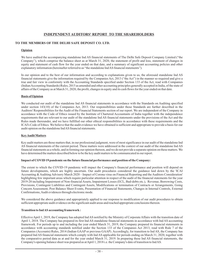# **INDEPENDENT AUDITORS' REPORT TO THE SHAREHOLDERS**

# **TO THE MEMBERS OF THE DELHI SAFE DEPOSIT CO. LTD.**

#### **Opinion**

We have audited the accompanying standalone Ind AS financial statements of The Delhi Safe Deposit Company Limited ("the Company"), which comprise the balance sheet as at March 31, 2020, the statement of profit and loss, statement of changes in equity and statement of cash flow for the year ended on that date, and a summary of significant accounting policies and other explanatory information (hereinafter referred to as "the standalone IndAS financial statements").

In our opinion and to the best of our information and according to explanations given to us, the aforesaid standalone Ind AS financial statements give the information required by the Companies Act, 2013 ("the Act") in the manner so required and give a true and fair view in conformity with the Accounting Standards specified under Section 133 of the Act, read with Companies (IndianAccounting Standards) Rules, 2015 as amended and other accounting principles generally accepted in India, of the state of affairs of the Company as at March 31, 2020, the profit, changes in equity and its cash flows for the year ended on that date.

# **Basis of Opinion**

We conducted our audit of the standalone Ind AS financial statements in accordance with the Standards on Auditing specified under section 143(10) of the Companies Act, 2013. Our responsibilities under those Standards are further described in the Auditors' Responsibilities for the Audit of the Financial Statements section of our report. We are independent of the Company in accordance with the Code of Ethics issued by the Institute of Chartered Accountants of India together with the independence requirements that are relevant to our audit of the standalone Ind AS financial statements under the provisions of the Act and the Rules made thereunder, and we have fulfilled our other ethical responsibilities in accordance with these requirements and the ICAI's Code of Ethics. We believe that the audit evidence we have obtained is sufficient and appropriate to provide a basis for our audit opinion on the standalone IndAS financial statements.

# **KeyAudit Matters**

Key audit matters are those matters that, in our professional judgment, were of most significance in our audit of the standalone Ind AS financial statements of the current period. These matters were addressed in the context of our audit of the standalone Ind AS financial statements as a whole, and in forming our opinion thereon, and we do not provide a separate opinion on these matters. We have determined the matters described below to be the key audit matters to be communicated in our report.

#### **Impact of COVID 19 pandemic on the future financial performance and position of the Company:**

The extent to which the COVID-19 pandemic will impact the Company's financial performance and position will depend on future developments, which are highly uncertain. Our audit procedures considered the guidance laid down by the 'ICAI Accounting & Auditing Advisory March 2020 – Impact of Corona virus on Financial Reporting and the Auditors Consideration' highlighting few important areas which require particular attention in respect of the audit of the financial statements for the year 2019-20 including Impairment of Non-financial Assets, Impairment Losses (ECL, Bad-debts etc.), Revenue, Borrowing Costs, Provisions, Contingent Liabilities and Contingent Assets, Modifications or termination of Contracts or Arrangements, Going Concern Assessment, Post Balance Sheet Events, Presentation of Financial Statements, Changes in Internal Controls, External Confirmations,Audit evidences through electronic mode.

We considered the above guidance and appropriately applied to our response to modification of our audit procedures to obtain sufficient appropriate audit evidence on the significant audit areas and reached appropriate conclusions thereon.

#### **Transition to IndAS accounting framework :**

Effective April 1, 2019, the Company has adopted Ind AS notified by the Ministry of Corporate Affairs with the transition date of April 1, 2018. The Company has prepared its first Ind AS standalone financial statements in accordance with Ind AS accounting framework. For periods up to and including the year ended March 31, 2019, the Company prepared its financial statements in accordance with accounting standards notified under the Section 133 of the Companies Act 2013, read with Rule 7 of the Companies (Accounts) Rules, 2014 (Indian GAAP or previous GAAP). Accordingly, for transition to Ind AS, the Company has prepared Ind AS financial statements which comply with Ind AS applicable for periods ending on March 31, 2020, together with the comparative period data as at and for the year ended March  $31$ , 2019. In preparing these Ind AS financial statements, the Company's opening balance sheet was prepared as atApril 1, 2018 i.e. the Company's date of transition to IndAS.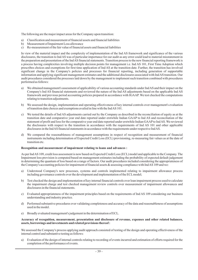The following are the major impact areas for the Company upon transition:

- a) Classification and measurement of financial assets and financial liabilities
- b) Measurement of Impairment Loss allowance
- c) Re-measurement of the fair value of financial assets and financial liabilities

In view of the material impact and the complexity of implementation of the Ind AS framework and significance of the various disclosures, the transition to Ind AS was of particular importance for our audit as any error could lead to material misstatement in the preparation and presentation of the IndAS financial statements. Transition process to the new financial reporting framework is a process having complexities involving multiple decision points for management i.e. Ind AS 101, First Time Adoption which prescribes choices and exemptions for first time application of Ind AS at the transition date. Further, the transition has involved significant change in the Company's policies and processes for financial reporting, including generation of supportable information and applying significant management estimates and the additional disclosures associated with IndAS transition. Our audit procedures considered the processes laid down by the management to implement such transition combined with procedures performed as follows:

- a) We obtained management's assessment of applicability of various accounting standards under IndAS and their impact on the Company's Ind AS financial statements and reviewed the nature of the Ind AS adjustments based on the applicable Ind AS framework and previous period accounting policies prepared in accordance with IGAAP. We test checked the computations relating to transition adjustments.
- b) We assessed the design, implementation and operating effectiveness of key internal controls over management's evaluation of transition date choices and exemptions availed in line with the IndAS 101.
- c) We tested the details of Ind AS adjustments carried out by the Company as described in the reconciliation of equity as at the transition date and comparative year end date reported under erstwhile Indian GAAP to Ind AS and reconciliation of the statement of profit and loss for the comparative year end date reported under erstwhile Indian GAAP to IndAS. We reviewed the disclosures with respect to the transition in accordance with the requirements of Ind AS 101 and other applicable disclosures in the IndAS financial statements in accordance with the requirements under respective IndAS.
- d) We compared the reasonableness of management assumptions in respect of recognition and measurement of financial instruments including determination of Expected Credit Loss (ECL) provisioning, re-measuring fair values as at the date of transition etc.

#### **Recognition and measurement of impairment relating to loans and advances :**

As per IndAS 109, credit loss assessment is now based on Expected Credit Loss (ECL) model and applicable to the Company. The Impairment loss provision is computed based on management estimates including the probability of expected default judgement in determining the quantum of loss based on a range of factors. Our audit procedures included considering the appropriateness of the Company's accounting policies for impairment of financial assets & assessing compliance with IndAS 109 and we:

- a) Understood Company's new processes, systems and controls implemented relating to impairment allowance process including governance controls over the development and implementation of the ECLmodel;
- b) Test checked the design and implementation of key internal financial controls over loan impairment process used to calculate the impairment charge and test checked management review controls over measurement of impairment allowances and disclosures in the financial statements.
- c) Evaluated appropriateness of the impairment principles based on the requirements of Ind AS 109 considering our business understanding and industry practice.
- d) Performed substantive procedures over validating completeness and accuracy of the data and reasonableness of assumptions used in the model.
- e) Broadly evaluated management's judgement in the determination of ECL.

#### **Accuracy of recognition, measurement, presentation and disclosure of revenue, expenses and other related balances, assets, borrowings and investments and related provisions thereof :**

We assessed the Company's process applying audit approach consisted of testing of the design and operating effectiveness of the internal control and substantive testing as follows:

a) Evaluation of the design of internal controls relating to recording of events incurred and estimation of efforts required for the completion of the performance of events.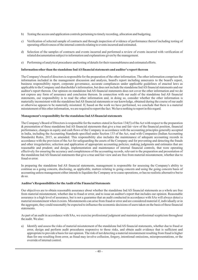- b) Testing the access and application controls pertaining to timely recording, allocation and budgeting.
- c) Verification of selected sample of contracts and through inspection of evidence of performance thereof including testing of operating effectiveness of the internal controls relating to events incurred and estimated.
- d) Selection of the samples of contracts and events incurred and performed a review of events incurred with verification of related documentation subject to information and explanations given by the management.
- e) Performing of analytical procedures and testing of details for their reasonableness and estimated efforts.

#### **Information other than the standalone IndAS financial statements and auditor's report thereon**

The Company's board of directors is responsible for the preparation of the other information. The other information comprises the information included in the management discussion and analysis, board's report including annexures to the board's report, business responsibility report, corporate governance, accurate compliances under applicable guidelines of enacted laws as applicable to the Company and shareholder's information, but does not include the standalone IndAS financial statements and our auditor's report thereon. Our opinion on standalone Ind AS financial statements does not cover the other information and we do not express any form of assurance and conclusion thereon. In connection with our audit of the standalone Ind AS financial statements, our responsibility is to read the other information and, in doing so, consider whether the other information is materially inconsistent with the standalone IndAS financial statements or our knowledge, obtained during the course of our audit or otherwise appears to be materially misstated. If, based on the work we have performed, we conclude that there is a material misstatement of this other information, we are required to report the fact. We have nothing to report in this regard.

# **Management's responsibility for the standalone IndAS financial statements**

The Company's Board of Directors is responsible for the matters stated in Section 134(5) of the Act with respect to the preparation  $\&$  presentation of these standalone Ind AS financial statements that give a true and fair view of the financial position, financial performance, changes in equity and cash flows of the Company in accordance with the accounting principles generally accepted in India, including the Accounting Standards specified under Section 133 of the Act, read with Companies (Indian Accounting Standards) Rules, 2015, as amended. This responsibility also includes the maintenance of adequate accounting records in accordance with the provision of the Act for safeguarding the assets of the Company and for preventing and detecting the frauds and other irregularities; selection and application of appropriate accounting policies; making judgments and estimates that are reasonable and prudent; and design, implementation and maintenance of internal financial controls, that were operating effectively for ensuring the accuracy and completeness of the accounting records, relevant to the preparation and presentation of the standalone Ind AS financial statements that give a true and fair view and are free from material misstatement, whether due to fraud or error.

In preparing the standalone Ind AS financial statements, management is responsible for assessing the Company's ability to continue as a going concern, disclosing, as applicable, matters relating to going concern and using the going concern basis of accounting unless management either intends to liquidate the Company or to cease operations, or has no realistic alternative but to do so.

#### **Auditor's Responsibilities for theAudit of the Financial Statements**

Our objectives are to obtain reasonable assurance about whether the standalone Ind AS financial statements as a whole are free from material misstatement, whether due to fraud or error, and to issue an auditor's report that includes our opinion. Reasonable assurance is a high level of assurance, but is not a guarantee that an audit conducted in accordance with SAs will always detect a material misstatement when it exists. Misstatements can arise from fraud or error and are considered material if, individually or in the aggregate, they could reasonably be expected to influence the economic decisions of users taken on the basis of these financial statements.

As part of an audit in accordance with SAs, we exercise professional judgment and maintain professional scepticism throughout the audit. We also:

a) Identify and assess the risks of material misstatement of the standalone Ind AS financial statements, whether due to fraud or error, design and perform audit procedures responsive to those risks, and obtain audit evidence that is sufficient and appropriate to provide a basis for our opinion. The risk of not detecting a material misstatement resulting from fraud is higher than for one resulting from error, as fraud may involve collusion, forgery, intentional omissions, misrepresentations, or the override of internal control.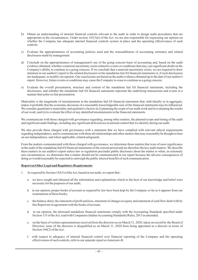- b) Obtain an understanding of internal financial controls relevant to the audit in order to design audit procedures that are appropriate in the circumstances. Under section  $143(3)(i)$  of the Act, we are also responsible for expressing our opinion on whether the Company has adequate internal financial controls system in place and the operating effectiveness of such controls.
- c) Evaluate the appropriateness of accounting policies used and the reasonableness of accounting estimates and related disclosures made by management.
- d) Conclude on the appropriateness of management's use of the going concern basis of accounting and, based on the audit evidence obtained, whether a material uncertainty exists related to events or conditions that may cast significant doubt on the Company's ability to continue as a going concern. If we conclude that a material uncertainty exists, we are required to draw attention in our auditor's report to the related disclosures in the standalone Ind AS financial statements or, if such disclosures are inadequate, to modify our opinion. Our conclusions are based on the audit evidence obtained up to the date of our auditor's report. However, future events or conditions may cause the Company to cease to continue as a going concern.
- e) Evaluate the overall presentation, structure and content of the standalone Ind AS financial statements, including the disclosures, and whether the standalone Ind AS financial statements represent the underlying transactions and events in a manner that achieves fair presentation.

Materiality is the magnitude of misstatements in the standalone Ind AS financial statements that, individually or in aggregate, makes it probable that the economic decisions of a reasonably knowledgeable user of the financial statements may be influenced. We consider quantitative materiality and qualitative factors in (i) planning the scope of our audit work and in evaluating the results of our work; and (ii) to evaluate the effect of any identified misstatements in the financial statements.

We communicate with those charged with governance regarding, among other matters, the planned scope and timing of the audit and significant audit findings, including any significant deficiencies in internal control that we identify during our audit.

We also provide those charged with governance with a statement that we have complied with relevant ethical requirements regarding independence, and to communicate with them all relationships and other matters that may reasonably be thought to bear on our independence, and where applicable, related safeguards.

From the matters communicated with those charged with governance, we determine those matters that were of most significance in the audit of the standalone IndAS financial statements of the current period and are therefore the key audit matters. We describe these matters in our auditor's report unless law or regulation precludes public disclosure about the matter or when, in extremely rare circumstances, we determine that a matter should not be communicated in our report because the adverse consequences of doing so would reasonably be expected to outweigh the public interest benefits of such communication.

# **Report on Other Legal and Regulatory Requirements**

- 1. As required by Section 143(3) of theAct, based on our audit, we report that :
	- a. we have sought and obtained all the information and explanations which to the best of our knowledge and belief were necessary for the purposes of our audit;
	- b. in our opinion, proper books of account as required by law have been kept by the Company so far as it appears from our examination of those books;
	- c. the balance sheet, the statement of profit and loss, statement of changes in equity and statement of cash flow dealt with by this Report are in agreement with the books of account;
	- d. in our opinion, the aforesaid standalone financial statements comply with the Accounting Standards specified under Section 133 of the Act, read with Companies (Indian Accounting Standards) Rules, 2015 as amended;
	- e. on the basis of written representations received from the directors as on March 31, 2020, taken on record by the Board of Directors, none of the directors is disqualified as on March 31, 2020 from being appointed as a director in terms of Section 164(2) of the Act;
	- f. with respect to adequacy of internal financial control over financial reporting of the Company and the operating effectiveness of such controls, refer to our separate report as Annexure-B.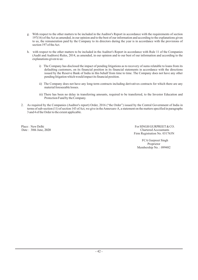- g. With respect to the other matters to be included in the Auditor's Report in accordance with the requirements of section 197(16) of theAct as amended, in our opinion and to the best of our information and according to the explanations given to us, the remuneration paid by the Company to its directors during the year is in accordance with the provisions of section 197 of the Act.
- h. with respect to the other matters to be included in the Auditor's Report in accordance with Rule 11 of the Companies (Audit and Auditors) Rules, 2014, as amended, in our opinion and to our best of our information and according to the explanations given to us:
	- i) The Company has disclosed the impact of pending litigations as to recovery of sums relatable to loans from its defaulting customers, on its financial position in its financial statements in accordance with the directions issued by the Reserve Bank of India in this behalf from time to time. The Company does not have any other pending litigation which would impact its financial position.
	- ii) The Company does not have any long-term contracts including derivatives contracts for which there are any material foreseeable losses.
	- iii) There has been no delay in transferring amounts, required to be transferred, to the Investor Education and Protection Fund by the Company.
- 2. As required by the Companies (Auditor's report) Order, 2016 ("the Order") issued by the Central Government of India in terms of sub-section (11) of section 143 ofAct, we give in theAnnexure-A, a statement on the matters specified in paragraphs 3 and 4 of the Order to the extent applicable.

Place : New Delhi For SINGH GURPREET & CO.<br>
Date : 30th June. 2020 Date : 30th June, 2020 Chartered Accountants Firm Registration No. 031763N

> FCA Gurpreet Singh Proprietor Membership No. : 099482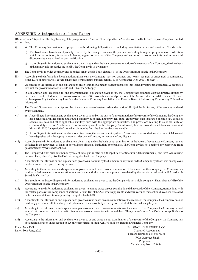# **ANNEXURE -A Independent Auditors' Report**

(Referred to in "Report on other legal and regulatory requirements" section of our report to the Members of The Delhi Safe Deposit Company Limited of even date)

- i) a) The Company has maintained proper records showing full particulars, including quantitative details and situation of fixed assets.
	- b) The fixed assets have been physically verified by the management as at the year end according to regular programme of verification which, in our opinion, is reasonable having regard to the size of the Company and nature of its assets. As informed, no material discrepancies were noticed on such verification.
	- c) According to information and explanations given to us and on the basis on our examination of the records of the Company, the title deeds of the immovable properties are held by the Company in its own name.
- ii) The Company is a service company and does deal in any goods. Thus, clause 3(ii) of the Order is not applicable to the Company.
- iii) According to the information & explanations given to us, the Company has not granted any loans, secured or unsecured, to companies, firms, LLPs or other parties covered in the register maintained under section 189 of Companies Act, 2013 ("theAct").
- iv) According to the information and explanations given to us, the Company has not transacted into loans, investments, guarantees & securities to which the provisions of sections 185 and 186 of theAct apply.
- v) In our opinion and according to the information and explanation given to us, the Company has complied with the directives issued by the Reserve Bank of India and the provisions of sections 73 to 76 or other relevant provisions of theAct and rules framed thereunder. No order has been passed by the Company Law Board or National Company Law Tribunal or Reserve Bank of India or any Court or any Tribunal in this regard.
- vi) The Central Government has not prescribed the maintenance of cost records under section 148(1) of the Act for any of the services rendered by the Company.
- vii) a) According to information and explanations given to us and on the basis of our examination of the records of the Company, the Company has been regular in depositing undisputed statutory dues including provident fund, employees' state insurance, income-tax, goods & service tax, cess and other applicable statutory dues with the appropriate authorities. The provisions relating to sales-tax, duty of customs, duty of excise & value added tax are not applicable to the Company. As informed, there are no undisputed dues in arrears as at March 31, 2020 for a period of more than six months from the date they became payable.
	- b) According to information and explanations given to us, there are no statutory dues of income-tax and goods  $\&$  service tax which have not been deposited with the appropriate authorities by the Company on account of any dispute.
- viii) According to the information and explanations given to us and on the basis of our examination of the books of accounts, the Company has not defaulted in the repayment of loans or borrowing to financial institution(s) or bank(s). The Company has not obtained any borrowing from government or by way of debentures.
- ix) The Company did not raise any money by way of intial public offer or futher public offer (including debt instruments) and term loans during the year. Thus, clause 3(ix) of the Order is not applicable to the Company.
- x) According to the information and explanations given to us, no fraud by the Company or any fraud on the Company by its officers or employee has been noticed or reported during the year.
- xi) According to the information and explanations given to us and based on our examination of the records of the Company, the Company has paid/provided managerial remuneration in accordance with the requisite approvals mandated by the provisions of section 197 read with Schedule V to theAct.
- $xii)$  In our opinion and according to the information and explanations given to us, the Company is not a nidhi company. Thus, clause  $3(xii)$  of the Order is not applicable to the Company.
- xiii) According to the information and explanations given to us and based on our examination of the records of the Company, transactions with the related parties are in compliance of sections 177 and 188 of theAct, where applicable and details of such transactions have been disclosed in the financial statements as required by the applicable IndAS.
- xiv) According to the information and explanations given to us and based on our examination of the records of the Company, the Company has not made any preferential allotment or private placement of shares or fully or partly convertible debentures during the year.
- xv) According to the information and explanations given to us and based on our examination of the records of the Company, the Company has not entered into non-cash transactions with directors or persons connected with any of them. Thus, clause 3(xv) of the Order is not applicable to the Company.
- xvi) According to the information and explanations given to us and based on our examination of the records of the Company, the Company has obtained registration under section 45-IAof Reserve Bank of IndiaAct, 1934 as Non-Banking Financial Company.

Date: 30th June, 2020

Place : New Delhi For SINGH GURPREET & CO. Chartered Accountants Firm Registration No. 031763N FCA Gurpreet Singh Proprietor Membership No. : 099482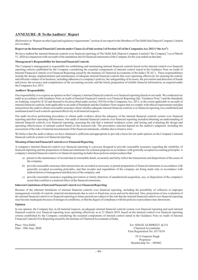# **ANNEXURE - B To theAuditors' Report**

(Referred to in "Report on other legal and regulatory requirements" section of our report to the Members of The Delhi Safe Deposit Company Limited of even date)

#### **Report on the Internal Financial Controls under Clause (i) of Sub-section 3 of Section 143 of the CompaniesAct, 2013 ("theAct")**

We have audited the internal financial controls over financial reporting of The Delhi Safe Deposit Company Limited ("the Company") as of March 31, 2020 in conjunction with our audit of the standalone IndAS financial statements of the Company for the year ended on that date.

#### **Management's Responsibility for Internal Financial Controls**

The Company's management is responsible for establishing and maintaining internal financial controls based on the internal control over financial reporting criteria established by the Company considering the essential components of internal control stated in the Guidance Note on Audit of Internal Financial Controls over Financial Reporting issued by the Institute of Chartered Accountants of the India ("ICAI"). These responsibilities include the design, implementation and maintenance of adequate internal financial controls that were operating effectively for ensuring the orderly and efficient conduct of its business, including adherence to company's policies, the safeguarding of its assets, the prevention and detection of frauds and errors, the accuracy and completeness of the accounting records, and the timely preparation of reliable financial information, as required under the Companies Act, 2013.

#### **Auditors' Responsibility**

Our responsibility is to express an opinion on the Company's internal financial controls over financial reporting based on our audit. We conducted our audit in accordance with Guidance Note on Audit of Internal Financial Controls over Financial Reporting (the "Guidance Note") and the Standards on Auditing, issued by ICAI and deemed to be prescribed under section 143(10) of the Companies Act, 2013, to the extent applicable to an audit of internal financial controls, both applicable to an audit of Standards and the Guidance Note require that we comply with ethical requirements and plan and perform the audit to obtain reasonable assurance about whether adequate internal financial controls over financial reporting was established and maintained and if such controls operated effectively in all material respects.

Our audit involves performing procedures to obtain audit evidence about the adequacy of the internal financial controls system over financial reporting and their operating effectiveness. Our audit of internal financial controls over financial reporting included obtaining an understanding of internal financial controls over financial reporting, assessing the risk that a material weakness exists, and testing and evaluating the design and operating effectiveness of internal control based on the assessed risk. The procedures selected depend on the auditor's judgment, including the assessment of the risks of material misstatement of the financial statements, whether due to fraud or error.

We believe that the audit evidence we have obtained is sufficient and appropriate to provide a basis for our audit opinion on the Company's internal financial controls system over financial reporting.

#### **Meaning of Internal Financial Controls over Financial Reporting**

A company's internal financial control over financial reporting is a process designed to provide reasonable assurance regarding the reliability of financial reporting and the preparation of financial statements for external purposes in accordance with generally accepted accounting principles. A company's internal financial control over financial reporting includes those policies and procedures that:

- a) pertain to the maintenance of records that in reasonable detail, accurately and fairly reflect the transactions and dispositions of the assets of the company;
- b) provide reasonable assurance that transactions are recorded as necessary to permit preparation of financial statements in accordance with generally accepted accounting principles, and that receipts and expenditure of the company are being made only in accordance with authorizations of management and directors of the company; and
- c) provide reasonable assurance regarding prevention or timely detection of unauthorized acquisition, use, or disposition of the company's assets that could have a material effect on the financial statements.

#### **Inherent Limitations of Internal Financial Control over Financial Reporting**

Because of the inherent limitations of internal financial controls over financial reporting, including the possibility of collusion or improper management override of controls, material misstatements due to error or fraud may occur and not be detected. Also, projections of any evaluation of the internal financial control over financial reporting to future periods are subject to the risk that the internal financial control over financial reporting may become inadequate because of changes in conditions, or that the degree of compliance with the policies or procedures may deteriorate.

#### **Opinion**

In our opinion, the Company has, in all material respects, an adequate internal financial controls system over financial reporting and such internal financial controls over financial reporting were operating effectively as at 31 March 2019, based on the internal control over financial reporting criteria established by the Company considering the essential components of internal control stated in the Guidance Note on Audit of Internal Financial Controls Over Reporting issued by the Institute of Chartered Accountants of India.

Date: 30th June, 2020

Place : New Delhi For SINGH GURPREET  $\&$  CO. Chartered Accountants Firm Registration No. 031763N

> FCA Gurpreet Singh Proprietor Membership No.: 099482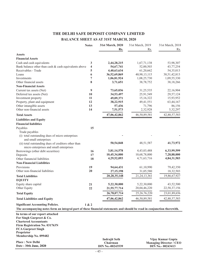# **THE DELHI SAFE DEPOSIT COMPANY LIMITED**

# **BALANCE SHEET AS AT 31ST MARCH, 2020**

|                                                                                                                         | <b>Notes</b>            | 31st March, 2020        | 31st March, 2019 | 31st March, 2018               |
|-------------------------------------------------------------------------------------------------------------------------|-------------------------|-------------------------|------------------|--------------------------------|
|                                                                                                                         |                         | Rs.                     | Rs.              | Rs.                            |
| <b>Assets</b>                                                                                                           |                         |                         |                  |                                |
| <b>Financial Assets</b>                                                                                                 |                         |                         |                  |                                |
| Cash and cash equivalents                                                                                               | 3                       | 2,44,28,215             | 1,67,71,138      | 53,98,307                      |
| Bank balance other than cash & cash equivalents above                                                                   | $\overline{\mathbf{4}}$ | 54,67,741               | 52,00,503        | 43,77,254                      |
| Receivables - Trade                                                                                                     | 5                       | 4,40,63,634             | 61,20,662        | 54,35,013                      |
| Loans                                                                                                                   | 6                       | 36,52,69,869            | 40,98,13,115     | 38,51,42,813                   |
| Investments                                                                                                             | 7                       | 1,06,81,924             | 1,08,25,730      | 1,09,55,330                    |
| Other financial assets                                                                                                  | 8                       | 3,71,651                | 38,78,752        | 38,18,266                      |
| <b>Non-Financial Assets</b>                                                                                             |                         |                         |                  |                                |
| Current tax assets (Net)                                                                                                | 9                       | 73,65,036               | 31,25,535        | 22,16,904                      |
| Deferred tax assets (Net)                                                                                               | 10                      | 34,53,497               | 25,91,549        | 29,57,124                      |
| Investment property                                                                                                     | 11                      | 49,09,371               | 15,16,322        | 15,93,952                      |
| Property, plant and equipment                                                                                           | 12                      | 38,22,915               | 49,41,551        | 63,44,167                      |
| Other intangible assets<br>Other non-financial assets                                                                   | 13                      | 57,436                  | 71,796           | 86,156                         |
|                                                                                                                         | 14                      | 7,51,573                | 2,32,928         | 5,32,297                       |
| <b>Total Assets</b>                                                                                                     |                         | 47,06,42,862            | 46,50,89,581     | 42,88,57,583                   |
| <b>Liabilities and Equity</b>                                                                                           |                         |                         |                  |                                |
| <b>Financial liabilities</b>                                                                                            |                         |                         |                  |                                |
| Payables                                                                                                                | 15                      |                         |                  |                                |
| Trade payables                                                                                                          |                         |                         |                  |                                |
| (i) total outstanding dues of micro enterprises<br>and small enterprises                                                |                         |                         |                  |                                |
| (ii) total outstanding dues of creditors other than<br>micro enterprises and small enterprises                          |                         | 50,54,848               | 48,51,587        | 41,73,972                      |
| Borrowings (other debt securities)                                                                                      | 16                      | 3,81,14,578             | 4,43,03,488      | 6,33,99,599                    |
| Deposits                                                                                                                | 17                      | 10,45,34,000            | 10,68,78,000     | 7,28,88,000                    |
| Other fianancial liabilities                                                                                            | 18                      | 4,29,52,093             | 4,71,63,716      | 4,84,31,503                    |
| <b>Non-Financial Liabilities</b>                                                                                        |                         |                         |                  |                                |
| Provisions                                                                                                              | 19                      | 94,64,431               | 61,10,990        | 79,42,350                      |
| Other non-financial liabilities                                                                                         | 20                      | 27,15,198               | 31,05,580        | 18,32,503                      |
| <b>Total Liabilities</b>                                                                                                |                         | 20, 28, 35, 148         | 21, 24, 13, 361  | 19,86,67,927                   |
| <b>EQUITY</b>                                                                                                           |                         |                         |                  |                                |
| Equity share capital                                                                                                    | 21                      | 5,22,30,000             | 5,22,30,000      | 43,52,500                      |
| Other Equity                                                                                                            | 22                      | 21,55,77,714            | 20,04,46,220     | 22,58,37,156                   |
| <b>Total Equity</b>                                                                                                     |                         | 26,78,07,714            | 25, 26, 76, 220  | 23,01,89,656                   |
| <b>Total Liabilities and Equity</b>                                                                                     |                         | 47,06,42,862            | 46, 50, 89, 581  | 42,88,57,583                   |
| <b>Significant Accounting Policies.</b>                                                                                 | 1 & 2                   |                         |                  |                                |
| The accompanying notes form an integral part of these financial statements and should be read in conjunction therewith. |                         |                         |                  |                                |
| In terms of our report attached                                                                                         |                         |                         |                  |                                |
| For Singh Gurpreet & Co.                                                                                                |                         |                         |                  |                                |
| <b>Chartered Accountants</b>                                                                                            |                         |                         |                  |                                |
| Firm Registration No. 031763N                                                                                           |                         |                         |                  |                                |
| <b>FCA Gurpreet Singh</b>                                                                                               |                         |                         |                  |                                |
| Proprietor                                                                                                              |                         |                         |                  |                                |
| Membership No. 099482                                                                                                   |                         | <b>Indrajit Seth</b>    |                  | Vijay Kumar Gupta              |
| <b>Place: New Delhi</b><br>Date: 30th June, 2020                                                                        |                         | Chairman                |                  | <b>Managing Director / CEO</b> |
|                                                                                                                         |                         | <b>DIN No.-00243539</b> |                  | DIN No.- 00243413              |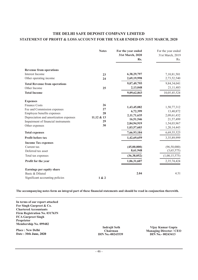# **THE DELHI SAFE DEPOSIT COMPANY LIMITED STATEMENT OF PROFIT & LOSS ACCOUNT FOR THE YEAR ENDED ON 31ST MARCH, 2020**

|                                        | <b>Notes</b> | For the year ended<br>31st March, 2020<br>Rs. | For the year ended<br>31st March, 2019<br>R <sub>s</sub> . |
|----------------------------------------|--------------|-----------------------------------------------|------------------------------------------------------------|
| <b>Revenue from operations</b>         |              |                                               |                                                            |
| <b>Interest Income</b>                 | 23           | 6,38,29,797                                   | 7,10,81,501                                                |
| Other operating income                 | 24           | 2,69,19,998                                   | 2,73,52,540                                                |
| <b>Total Revenue from operations</b>   |              | 9,07,49,795                                   | 9,84,34,041                                                |
| Other Income                           | 25           | 2,13,048                                      | 21, 11, 483                                                |
| <b>Total Income</b>                    |              | 9,09,62,843                                   | 10,05,45,524                                               |
| <b>Expenses</b>                        |              |                                               |                                                            |
| <b>Finance Costs</b>                   | 26           | 1,43,45,082                                   | 1,50,77,312                                                |
| Fee and Commission expenses            | 27           | 6,72,399                                      | 13,40,872                                                  |
| Employee benefits expenses             | 28           | 2,11,71,635                                   | 2,09,61,432                                                |
| Depreciation and amortization expenses | 11,12 & 13   | 16,51,546                                     | 21,57,499                                                  |
| Impairment of financial instruments    | 29           | 2,84,94,919                                   | 1,54,03,967                                                |
| Other expenses                         | 30           | 1,03,57,603                                   | 1,20,14,443                                                |
| <b>Total expenses</b>                  |              | 7,66,93,184                                   | 6,69,55,525                                                |
| Profit before tax                      |              | 1,42,69,659                                   | 3,35,89,999                                                |
| <b>Income Tax expenses</b>             |              |                                               |                                                            |
| Current tax                            |              | (45,00,000)                                   | (96, 50, 000)                                              |
| Deferred tax asset                     |              | 8,61,948                                      | (3,65,575)                                                 |
| Total tax expenses                     |              | (36, 38, 052)                                 | (1,00,15,575)                                              |
| Profit for the year                    |              | 1,06,31,607                                   | 2,35,74,424                                                |
| Earnings per equity share              |              |                                               |                                                            |
| Basic & Diluted                        |              | 2.04                                          | 4.51                                                       |
| Significant accounting policies        | 1 & 2        |                                               |                                                            |

**The accompanying notes form an integral part of these financial statements and should be read in conjunction therewith.**

**In terms of our report attached For Singh Gurpreet & Co. Chartered Accountants Firm Registration No. 031763N FCA Gurpreet Singh Proprietor Membership No. 099482**

**Place : New Delhi Date : 30th June, 2020**

**Chairman Managing Director / CEO**<br>DIN No.-00243539 DIN No.-00243413 **Indrajit Seth Vijay Kumar Gupta DIN No.- 00243413**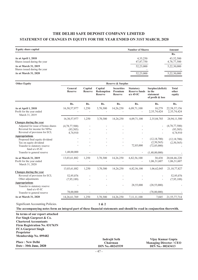# **THE DELHI SAFE DEPOSIT COMPANY LIMITED STATEMENT OF CHANGES IN EQUITY FOR THE YEAR ENDED ON 31ST MARCH, 2020**

| <b>Equity share capital</b>                           | <b>Number of Shares</b> | Amount                   |
|-------------------------------------------------------|-------------------------|--------------------------|
|                                                       |                         | Rs.                      |
| As at April 1, 2018<br>Shares issued during the year  | 4,35,250<br>47,87,750   | 43,52,500<br>4,78,77,500 |
| As at March 31, 2019<br>Shares issued during the year | 52,23,000               | 5,22,30,000              |
| As at March 31, 2020                                  | 52,23,000               | 5,22,30,000              |

| <b>Other Equity</b>                                                | <b>Reserve &amp; Surplus</b> |                           |                                         |                                                |                                                         |                                                              |                                 |
|--------------------------------------------------------------------|------------------------------|---------------------------|-----------------------------------------|------------------------------------------------|---------------------------------------------------------|--------------------------------------------------------------|---------------------------------|
|                                                                    | General<br><b>Reserve</b>    | Capital<br><b>Reserve</b> | Capital<br>Redemption<br><b>Reserve</b> | <b>Securities</b><br>Premium<br><b>Reserve</b> | <b>Statutory</b><br><b>Reserve funds</b><br>$u/s$ 45-IC | Surplus/(deficit)<br>in the<br>statement<br>of profit & loss | <b>Total</b><br>other<br>equity |
|                                                                    | Rs.                          | Rs.                       | Rs.                                     | Rs.                                            | Rs.                                                     | Rs.                                                          | Rs.                             |
| As at April 1, 2018<br>Profit for the year ended<br>March 31, 2019 | 16,30,57,977                 | 1,250                     | 3,70,300                                | 14,26,250                                      | 6,09,71,100                                             | 10,279<br>2,35,74,424                                        | 22,58,37,156<br>2,35,74,424     |
|                                                                    | 16,30,57,977                 | 1,250                     | 3,70,300                                | 14,26,250                                      | 6,09,71,100                                             | 2,35,84,703                                                  | 24,94,11,580                    |
| Changes during the year                                            |                              |                           |                                         |                                                |                                                         |                                                              |                                 |
| Adjusted for issue of bonus shares                                 | (4,78,77,500)                |                           |                                         |                                                |                                                         |                                                              | (4,78,77,500)                   |
| Reversal for income for NPAs                                       | (93, 505)                    |                           |                                         |                                                |                                                         |                                                              | (93, 505)                       |
| Reversal of provision for ECL                                      | 4,74,910                     |                           |                                         |                                                |                                                         |                                                              | 4,74,910                        |
| <b>Appropriations</b>                                              |                              |                           |                                         |                                                |                                                         |                                                              |                                 |
| Proposed final equity dividend                                     |                              |                           |                                         |                                                |                                                         | (12, 18, 700)                                                | (12, 18, 700)                   |
| Tax on equity dividend                                             |                              |                           |                                         |                                                | 72,85,000                                               | (2,50,565)<br>(72, 85, 000)                                  | (2,50,565)                      |
| Transfer to statutory reserve<br>fund $u/s$ 45-IC                  |                              |                           |                                         |                                                |                                                         |                                                              |                                 |
| Transfer to general reserve                                        | 1,48,00,000                  |                           |                                         |                                                |                                                         | (1,48,00,000)                                                |                                 |
| As at March 31, 2019                                               | 13,03,61,882                 | 1,250                     | 3,70,300                                | 14,26,250                                      | 6,82,56,100                                             | 30,438                                                       | 20,04,46,220                    |
| Profit for the year ended<br>March 31, 2020                        |                              |                           |                                         |                                                |                                                         | 1,06,31,607                                                  | 1,06,31,607                     |
|                                                                    | 13,03,61,882                 | 1,250                     | 3,70,300                                | 14,26,250                                      | 6,82,56,100                                             | 1,06,62,045                                                  | 21, 10, 77, 827                 |
| Changes during the year                                            |                              |                           |                                         |                                                |                                                         |                                                              |                                 |
| Reversal of provision for ECL                                      | 52,95,076                    | $\overline{a}$            |                                         |                                                |                                                         |                                                              | 52,95,076                       |
| Other adjustments                                                  | (7,95,189)                   |                           |                                         |                                                |                                                         |                                                              | (7,95,189)                      |
| <b>Appropriations</b>                                              |                              |                           |                                         |                                                |                                                         |                                                              |                                 |
| Transfer to statutory reserve                                      |                              |                           |                                         |                                                | 28,55,000                                               | (28, 55, 000)                                                |                                 |
| fund $u/s$ 45-IC                                                   | 78,00,000                    |                           |                                         |                                                |                                                         | (78,00,000)                                                  |                                 |
| Transfer to general reserve                                        |                              | $\overline{a}$            |                                         |                                                |                                                         |                                                              |                                 |
| As at March 31, 2020                                               | 14,26,61,769                 | 1,250                     | 3,70,300                                | 14,26,250                                      | 7, 11, 11, 100                                          | 7,045                                                        | 21,55,77,714                    |

Significant Accounting Policies.

**1 & 2**

#### **The accompanying notes form an integral part of these financial statements and should be read in conjunction therewith.**

**In terms of our report attached For Singh Gurpreet & Co. Chartered Accountants Firm Registration No. 031763N FCA Gurpreet Singh Proprietor Membership No. 099482**

| <b>Place: New Delhi</b><br>Date: 30th June, 2020 | <b>Indrajit Seth</b><br>Chairman<br><b>DIN No.-00243539</b> | Vijay Kumar Gupta<br><b>Managing Director / CEO</b><br>$DIN No. - 00243413$ |
|--------------------------------------------------|-------------------------------------------------------------|-----------------------------------------------------------------------------|
|                                                  |                                                             |                                                                             |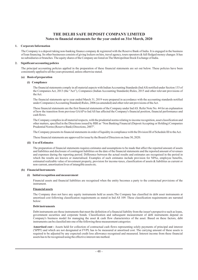#### **1. Corporate Information**

The Company is a deposit taking non-banking finance company & registered with the Reserve Bank of India. It is engaged in the business of loan financing. Its other businesses consists of giving lockers on hire, travel agency, tours operators & full fledged money changer. It has no subsidiaries or branches. The equity shares of the Company are listed on The Metropolitan Stock Exchange of India.

#### **2. Significant accounting policies**

The principal accounting policies applied in the preparation of these financial statements are set out below. These policies have been consistently applied to all the years presented, unless otherwise stated.

#### **(a) Basis of preparation**

#### **(i) Compliance**

The financial statements comply in all material aspects with Indian Accounting Standards (IndAS) notified under Section 133 of the Companies Act, 2013 (the "Act"), Companies (Indian Accounting Standards) Rules, 2015 and other relevant provisions of theAct.

The financial statements up to year ended March 31, 2019 were prepared in accordance with the accounting standards notified under Companies (Accounting Standard) Rules, 2006 (as amended) and other relevant provisions of theAct.

These financial statements are the first financial statements of the Company under Ind AS. Refer Note No. 44 for an explanation of how the transition from previous GAAP to Ind AS has affected the Company's financial position, financial performance and cash flows.

The Company complies in all material respects, with the prudential norms relating to income recognition, asset classification and other matters, specified in the Directions issued by RBI as "Non Banking Financial (Deposit Accepting or Holding) Companies Prudential Norms (Reserve Bank) Directions, 2007".

The Company presents its financial statements in order of liquidity in compliance with the Division III of Schedule III to theAct.

These financial statements are approved for issue by the Board of Directors on June 30, 2020.

#### **(ii) Use of Estimates**

The preparation of financial statements requires estimates and assumptions to be made that affect the reported amount of assets and liabilities and disclosure of contingent liabilities on the date of the financial statements and the reported amount of revenues and expenses during the reporting period. Difference between the actual results and estimates are recognised in the period in which the results are known or materialised. Examples of such estimates include provision for NPAs, employee benefits, estimated realizable value of investment property, provision for income-taxes, classification of assets & liabilities as current or non-current, amortisation lives of intangible assets etc.

#### **(b) Financial Instruments**

#### **(i) Initial recognition and measurement**

Financial assets and financial liabilities are recognised when the entity becomes a party to the contractual provisions of the instrument.

#### **Financial assets**

The Company does not have any equity instruments held as assets.The Company has classified its debt asset instruments at amortised cost following classification requirements as stated in Ind AS 109. These classification requirements are narrated below:

#### **Debt instruments**

Debt instruments are those instruments that meet the definition of a financial liability from the issuer's perspective such as loans, government securities and corporate bonds. Classification and subsequent measurement of debt instruments depend on Company's business model for managing the asset  $\&$  cash flow characterstics of the asset. Based on these factors, debt instruments can be classifed into one of the following three measurement categories:

Amortised cost : Assets held for collection of contractual cash flows representing solely payments of principal and interest ('SPPI') and which are not designated at FVPL has to be measured at amortised cost. The carrying amount of these assets is required to be adjusted by any expected credit loss allowance recognised and measured. Interest income from these financial assets has to be recognised using the effective interest rate method.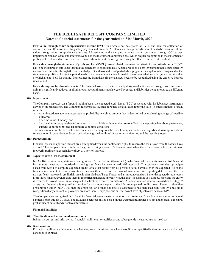Fair value through other comprehensive income (FVOCI) : Assets not designated at FVPL and held for collection of contractual cash flows representing solely payments of principal & interest and sale proceeds thereof has to be measured at fair value through other comprehensive income. Movements in the carrying amounts has to be routed through OCI except impairment gains or losses and interest revenue on the instrument's amortised cost which require recognition in the statement of profit and loss. Interest income from these financial assets has to be recognised using the effective interest rate method.

**Fair value through the statement of profit and loss (FVPL) :** Assets that do not meet the criteria for amortised cost or FVOCI has to be measured at fair value through the statement of profit and loss. A gain or loss on a debt investment that is subsequently measured at fair value through the statement of profit and loss and is not part of a hedging relationship has to be recognised in the statement of profit and loss in the period in which it arises unless it arises from debt instruments that were designated at fair value or which are not held for trading. Interest income from these financial assets needs to be recognised using the effective interest rate method.

Fair value option for financial assets : The financial assets can be irrevocably designated at fair value through profit and loss if doing so significantly reduces or eliminates an accounting mismatch created by assets and liabilities being measured on different basis.

#### **(ii) Impairment**

The Company assesses, on a forward looking basis, the expected credit losses (ECL) associated with its debt asset instruments carried at amortised cost. The Company recognises allowance for such losses at each reporting date. The measurement of ECL reflects:

- An unbiased management assessed and probability-weighted amount that is determined by evaluating a range of possible outcomes;
- The time value of money; and
- Reasonable and supportable information that is available without undue cost or effort at the reporting date about past events, current conditions & forecast of future economic conditions. -

The measurement of the ECL allowance is an area that requires the use of complex models and significant assumptions about future economic conditions and credit behaviour e.g. the likelihood of customers defaulting and the resulting losses.

#### **(iii) Derecognition**

Financial assets or a portion thereof are derecognised when the contractual rights to receive the cash flows from the assets have expired. The Company directly reduces the gross carrying amount of a financial asset when there is no reasonable expectation of recovering a financial asset in its entirety or a portion thereof.

#### **(iv) Expected credit loss measurement**

IndAS 109 requires computation and recoginition of expected credit loss (ECL) in the financial statements in respect of financial instruments measured at amortised cost using significant increase in credit risk approach. This approach provides a principle based framework to compute expected credit losses that result from all possible default events over the expected life of the financial instrument. It requires an entity to evaluate the credit risk in a financial asset as on each reporting date. In case, there is no significant increase in credit risk, asset is classified as a 'Stage 1' asset and an amount equal to 12-month expected credit losses is provided for. However, in case there is a significant increase in credit risk, the asset is classified as a 'Stage 2' asset and the entity is required to provide for an amount equal to the lifetime expected credit losses.Already impaired assets are classified as 'Stage 3' assets and the entity is required to provide for an amount equal to the lifetime expected credit losses. There is rebuttable presumption under Ind AS 109 that the credit risk on a financial assets is assumed to has increased significantly since intial recognition if any contractual payments are more than 30 days past due but that do not have objective evidence of NPA.

The Company has recognised ECL for all its financial assets measured at amortised cost even if they do not have any contractual payments past due for 30 days. The ECL has been recognised based on the weighted multiplies of sum under credit exposure, probability of default and effective interest rate.

#### **Financial liabilities**

#### **(i) Classification and subsequent measurement**

In both the current and prior period, financial liabilities are classified as and subsequently measured at amortised cost.

#### **(ii) Derecognition**

Financial liabilities are derecognised when they are extinguished i.e. when the obligation specified in the contract is discharged, cancelled or expired.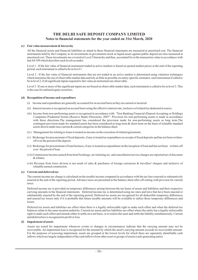#### **(c) Fair value measurement & hierarchy**

All the financial assets and financial liabilities as stated in these financial statements are measured at amortised cost. The financial instruments held by the Company as its investments in government stock as liquid assets against public deposit are also measured at amortised cost. These investments are covered at Level 2 hierarchy and thus, accounted for at the transaction value in accordance with IndAS 109 which describes such levels as under:

Level 1 : If the fair value of financial instrument traded in active markets is based on quoted market prices at the end of the reporting period, such instrument is called to be in level 1.

Level 2 : If the fair value of financial instruments that are not traded in an active market is determined using valuation techniques which maximise the use of observable market data and rely as little as possible on entity-specific estimates, such instrument if called to be in level 2, if all significant inputs required to fair value an instrument are observable.

Level 3 : If one or more of the significant inputs are not based on observable market data, such instrument is called to be in level 3. This is the case for unlisted equity securities.

#### **(d) Recognition of income and expenditure**

- (i) Income and expenditure are generally accounted for on accrual basis as they are earned or incurred.
- (ii) Interest income is recognised on accural basis using the effective interest rate, inclusive of related tax deducted at source.
- (iii) Income from non-performing assets is recognised in accordance with "Non Banking Financial (Depsoit Accepting or Holding) Companies Prudential Norms (Reserve Bank) Directions, 2007". Provision for non-performing assets is made in accordance with these directions.The management has considered the provision made for non-performing assets as long term.The contingent provision made for standard assets has been considered as long-term & short-term on the basis of relatable standard assets shown under non-current & current categories in the balance sheet.
- (iv) Management fee relating to loans is treated as income on the execution of related agreements.
- (v) Brokerage for procurement of fixed deposits, if any is treated as expenditure on receipt of fixed deposits and has not been writtenoff over the period of the deposit.
- (vi) Brokerage for procurement of loan business, if any is treated as expenditure on the inception of loan and has not been written-off over the period of loan.
- (vii) Commission/income earned from hotel bookings, air-ticketing etc. and cancellation/service charges are reported net of discounts & rebates.
- (viii) Revenue from forex divison is net result of sales & purchases of foreign currencies & travellers' cheques and inclusive of relatable earned commission.

#### **(e) Current and deferred tax**

The current income tax charge is calculated on the taxable income computed in accordance with the tax laws enacted or substantively enacted at the end of the reporting period. Advance taxes are presented in the balance sheet after off-setting with provison for current taxes.

Deferred income tax is provided on temporary differences arising between the tax bases of assets and liabilities and their respective carrying amounts in the financial statements. Deferred income tax is determined using tax rates and laws that have been enacted or substantially enacted by the end of the reporting period. Deferred tax assets are recognised for all deductible temporary differences and unused tax losses only if it is probable that future taxable amounts will be available to utilize those temporary differences and losses.

Deferred tax assets and liabilities are offset when there is a legally enforceable right to make such offset and when the deferred tax balances relate to the same taxation authority. Current tax assets and tax liabilities are offset where the entity has a legally enforceable right to make such offset and intends either to settle on a net basis, or to realize the asset and settle the liability simultaneously. Current and deferred tax is recognised in profit or loss.

#### **(f) Impairment of assets**

Assets are tested for impairment whenever events or changes in circumstances indicate that the carrying amount may not be recoverable. An impairment loss is recognised for the amount by which the asset's carrying amount exceeds its recoverable amount. For the purposes of assessing impairment, assets are grouped at the lowest levels for which there are separately identifiable cash inflows which are largely independent of the cash inflows from other asset or groups of assets (cash-generating units).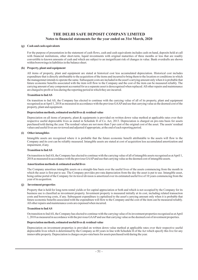#### **(g) Cash and cash equivalents**

For the purpose of presentation in the statement of cash flows, cash and cash equivalents includes cash on hand, deposits held at call with financial institutions, other short-term, liquid investments with original maturities of three months or less that are readily convertible to known amounts of cash and which are subject to an insignificant risk of changes in value. Bank overdrafts are shown within borrowings in liabilities in the balance sheet.

#### **(h) Property, plant and equipment**

All items of property, plant and equipment are stated at historical cost less accumulated depreciation. Historical cost includes expenditure that is directly attributable to the acquisition of the items and incurred to bring them to the location or conditions in which the managemnet intends to operate the same. Subsequent costs are included in the asset's carrying amount only when it is probable that future economic benefits associated with the item will flow to the Company and the cost of the item can be measured reliably. The carrying amount of any component accounted for as a separate asset is derecognised when replaced.All other repairs and maintenance are charged to profit or loss during the reporting period in which they are incurred.

#### **Transition to IndAS**

On transition to Ind AS, the Company has elected to continue with the carrying value of all of its property, plant and equipment recognised as atApril 1, 2018 as measured in accordance with the previous GAAPand use that carrying value as the deemed cost of the property, plant and equipment.

#### **Depreciation methods, estimated useful lives & residual value**

Depreciation on all items of property, plant & equipments is provided on written down value method at applicable rates over their respective useful depreciable lives as stated in Schedule II of Co. Act, 2013. Depreciation is charged on pro-rata basis for assets purchased/sold during the year. The residual values are not more than 5 per cent of the original cost of the asset. The assets' residual values and useful lives are reviewed and adjusted if appropriate, at the end of each reporting period.

#### **(i) Other intangibles**

Intangible assets are recognised where it is probable that the future economic benefit attributable to the assets will flow to the Company and its cost can be reliably measured. Intangible assets are stated at cost of acquisition less accumulated amortization and impairment, if any.

#### **Transition to IndAS**

On transition to IndAS, the Company has elected to continue with the carrying value of all of intangible assets recognised as atApril 1, 2018 as measured in accordance with the previous GAAPand use that carrying value as the deemed cost of intangible assets.

#### **Amortization methods & estimated useful lives**

The Company amortises intangible assets on a straight-line basis over the useful lives of the assets commencing from the month in which the asset is first put to use. The Company provides pro-rata depreciation from the day the asset is put to use. Intangible asset, being online portal of the Company for its travel division is amortized over its estimated useful live of 10 years commencing from the year of its acqusition.

#### **(j) Investment properties**

Property that is held for long-term rental yields or for capital appreciation or both and which is not occupied by the Company for its business use is classified as investment property. Investment property is measured initially at its cost, including related transaction costs and borrowing costs, if any. Subsequent expenditure is capitalised to the asset's carrying amount only when it is probable that future economic benefits associated with the expenditure will flow to the Company and the cost of the item can be measured reliably. All other repairs and maintenance costs are expensed when incurred.

#### **Transition to IndAS**

On transition to IndAS, the Company has elected to continue with the carrying value of its investment properties recognised as atApril 1, 2018 as measured in accordance with the previous GAAPand use that carrying value as the deemed cost of investment properties.

#### **Depreciation methods, estimated useful lives & residual value**

Depreciation on investment properties is provided on written down value method at applicable rates over their respective useful depreciable lives which is determined by the Company as 60 years in line with Schedule II of the Act which specify this live for any immovable property. Depreciation is charges on pro-rata basis for assets purchased/sold during the year.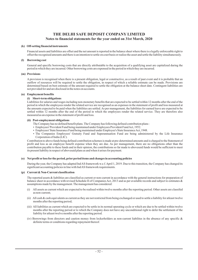#### **(k) Off-setting financial instruments**

Financial assets and liabilities are offset and the net amount is reported in the balance sheet where there is a legally enforceable right to offset the recognised amounts and there is an intention to settle on a net basis or realize the asset and settle the liability simultaneously.

#### **(l) Borrowing cost**

General and specific borrowing costs that are directly attributable to the acquisition of a qualifying asset are capitalized during the period in which they are incurred. Other borrowing costs are expensed in the period in which they are incurred.

#### **(m) Provisions**

A provision is recognised when there is a present obligation, legal or constructive, as a result of past event and it is probable that an outflow of resources will be required to settle the obligation, in respect of which a reliable estimate can be made. Provisions are determined based on best estimate of the amount required to settle the obligation at the balance sheet date. Contingent liabilities are not provided for and are disclosed in the notes on accounts.

#### **(n) Employment benefits**

#### **(i) Short-term obligations**

Liabilities for salaries and wages including non-monetary benefits that are expected to be settled within 12 months after the end of the period in which the employees render the related service are recognised as an expenses in the statement of profit and loss measured at the amounts expected to be paid when the liabilities are settled. As per management, the liabilities for earned leave are expected to be settled within 12 months after the end of the period in which the employees render the related service. They are therefore also measured as an expense in the statement of profit and loss.

#### **(ii) Post-employment obligations**

- The Company has no defined benefit plans. The Company has following defined contribution plans : -
- Employees' Provident Fund being maintained under Employees Provident FundAct, 1952. -
- Employees' State Insurance Fund being maintained under Employee's State InsuranceAct, 1948. -
- The Companies Employees' Gratuity Fund and Superannuation Fund are being administered by the Life Insurance Corporation of India (LIC).

Contribution to above funds being defined contribution schemes is made at pre-determined amounts and is charged to the Statement of profit and loss as an employee benefit expense when they are due. As per management, there are no obligations other than the contribution payable to these funds and in their opinion, the contributions so far made to abovesaid funds would be sufficient to meet its present liability in respect of abovesaid plans as and when it arises for payment.

#### **Net profit or loss for the period, prior period items and changes in accounting policies (o)**

During the year, the Company has adapted IndAS framework w.e.f.April 1, 2019. Due to this transition, the Company has changed its significant accounting policies in line with IndAS framework requirements.

#### **(p) Current & Non-Current classification**

The reported assets & liabilities are classified as current or non-current in accordance with the general instructions for preparation of balance sheet in accordance with revised Schedule II of Companies Act, 2013 and as per available records and subject to estimates & assumptions made by the management. The management has considered:

- (i) All assets as current which are expected to be realised within twelve months after the reporting period. Other assets are classifed as non-current;
- (ii) All cash & cash equivalents as current as they are not restricted from being exchanged or used to settle a liability for atleast twelve months after the reporting period;
- (iii) All liabilities as current which are expected to be settle in its normal operating cycle or which are due to be settled within twelve months after the reporting period or to which the Company does not have any unconditional right to defer the settlement of the liability for atleast twelve months after the reporting period.
- (iv) Borrowings from directors and caution money from lockerholders as non-current liabilites in the absence of any specific  $\&$ definite terms or conditions regarding repayment thereof.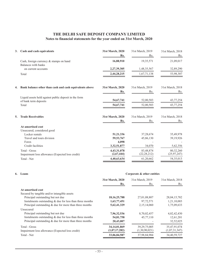| 3. | Cash and cash equivalents                                                               | 31st March, 2020<br>Rs.           | 31st March, 2019<br>Rs.    | 31st March, 2018<br>Rs.    |
|----|-----------------------------------------------------------------------------------------|-----------------------------------|----------------------------|----------------------------|
|    | Cash, foreign currency & stamps on hand<br>Balances with banks                          | 16,88,910                         | 19, 35, 571                | 21,09,017                  |
|    | on current accounts                                                                     | 2,27,39,305                       | 1,48,35,567                | 32,89,290                  |
|    | Total                                                                                   | 2,44,28,215                       | 1,67,71,138                | 53,98,307                  |
| 4. | Bank balance other than cash and cash equivalents above                                 | 31st March, 2020<br>Rs.           | 31st March, 2019<br>Rs.    | 31st March, 2018<br>Rs.    |
|    | Liquid assets held against public deposit in the form<br>of bank term deposits<br>Total | 54,67,741<br>54,67,741            | 52,00,503<br>52,00,503     | 43,77,254<br>43,77,254     |
| 5. | <b>Trade Receivables</b>                                                                | 31st March, 2020                  | 31st March, 2019           | 31st March, 2018           |
|    | At amortised cost<br>Unsecured, considered good                                         | Rs.                               | Rs.                        | Rs.                        |
|    | Locker rentals<br>Travel and tours division<br>Forex                                    | 51,21,336<br>59, 53, 767<br>4,098 | 37,28,674<br>45,86,130     | 35,49,978<br>39,19,926     |
|    | Credit facilities                                                                       | 3,32,51,877                       | 34,070                     | 5,62,356                   |
|    | Total - Gross<br>Impairment loss allowance (Expected loss credit)                       | 4,43,31,078<br>(2,67,444)         | 83,48,874<br>(22, 28, 212) | 80,32,260<br>(25, 97, 247) |
|    | Total - Net                                                                             | 4,40,63,634                       | 61,20,662                  | 54,35,013                  |

# **6. Loans**

|                                                            | 31st March, 2020<br>Rs. | 31st March, 2019<br>Rs. | 31st March, 2018<br>Rs. |
|------------------------------------------------------------|-------------------------|-------------------------|-------------------------|
| At amortised cost                                          |                         |                         |                         |
| Secured by tangible and/or intangible assets               |                         |                         |                         |
| Principal outstanding but not due                          | 18, 16, 25, 788         | 27,01,08,807            | 28,04,15,782            |
| Instalments outstanding $&$ due for less than three months | 1,63,77,451             | 97,72,571               | 1,21,10,003             |
| Principal outstanding $&$ due for more than three months   | 5,62,41,329             | 2,15,14,060             | 1,75,09,633             |
| Unsecured                                                  |                         |                         |                         |
| Principal outstanding but not due                          | 7,96,32,536             | 8,70,02,457             | 4,02,42,430             |
| Instalments outstanding $&$ due for less than three months | 54,81,758               | 45,77,110               | 12,61,201               |
| Principal outstanding $&$ due for more than three months   | 20,43,007               |                         | 32,52,025               |
| Total - Gross                                              | 34, 14, 01, 869         | 39, 29, 75, 005         | 35,47,91,074            |
| Impairment loss allowance (Expected loss credit)           | (1,07,17,282)           | (1,30,90,021)           | (1,07,31,347)           |
| Total - Net                                                | 33,06,84,587            | 37,98,84,984            | 34,40,59,727            |
|                                                            |                         |                         |                         |

**Corporate & other entities**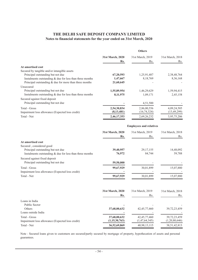|                                                            | <b>Others</b>    |                  |                  |  |
|------------------------------------------------------------|------------------|------------------|------------------|--|
|                                                            | 31st March, 2020 | 31st March, 2019 | 31st March, 2018 |  |
|                                                            | Rs.              | Rs.              | Rs.              |  |
| At amortised cost                                          |                  |                  |                  |  |
| Secured by tangible and/or intangible assets               |                  |                  |                  |  |
| Principal outstanding but not due                          | 67,20,593        | 1,25,91,487      | 2,38,48,764      |  |
| Instalments outstanding $&$ due for less than three months | 1,47,667         | 8,18,769         | 8,36,168         |  |
| Principal outstanding $&$ due for more than three months   | 21,60,645        |                  |                  |  |
| Unsecured                                                  |                  |                  |                  |  |
| Principal outstanding but not due                          | 1,55,89,954      | 1,46,29,629      | 1,59,94,415      |  |
| Instalments outstanding $&$ due for less than three months | 8, 11, 975       | 1,09,171         | 2,45,158         |  |
| Secured against fixed deposit                              |                  |                  |                  |  |
| Principal outstanding but not due                          |                  | 4,51,500         |                  |  |
| Total - Gross                                              | 2,54,30,834      | 2,86,00,556      | 4,09,24,505      |  |
| Impairment loss allowance (Expected loss credit)           | (8, 13, 481)     | (16,74,324)      | (13, 49, 299)    |  |
| Total - Net                                                | 2,46,17,353      | 2,69,26,232      | 3,95,75,206      |  |
|                                                            |                  |                  |                  |  |

|                                                            | <b>Employees and relatives</b> |                  |                  |  |
|------------------------------------------------------------|--------------------------------|------------------|------------------|--|
|                                                            | 31st March, 2020               | 31st March, 2019 | 31st March, 2018 |  |
|                                                            | Rs.                            | Rs.              | Rs.              |  |
| At amortised cost                                          |                                |                  |                  |  |
| Secured, considered good                                   |                                |                  |                  |  |
| Principal outstanding but not due                          | 39,40,957                      | 29, 17, 155      | 14,48,092        |  |
| Instalments outstanding $&$ due for less than three months | 76,972                         | 84,744           | 59,788           |  |
| Secured against fixed deposit                              |                                |                  |                  |  |
| Principal outstanding but not due                          | 59,50,000                      |                  |                  |  |
| Total - Gross                                              | 99,67,929                      | 30,01,899        | 15,07,880        |  |
| Impairment loss allowance (Expected loss credit)           |                                |                  |                  |  |
| Total - Net                                                | 99,67,929                      | 30,01,899        | 15,07,880        |  |
|                                                            |                                |                  |                  |  |

|                                                  | 31st March, 2020<br>Rs. | 31st March, 2019<br>Rs. | 31st March, 2018<br>Rs. |
|--------------------------------------------------|-------------------------|-------------------------|-------------------------|
| Loans in India                                   |                         |                         |                         |
| Public Sector                                    |                         |                         |                         |
| Others                                           | 37,68,00,632            | 42, 45, 77, 460         | 39, 72, 23, 459         |
| Loans outside India                              |                         |                         |                         |
| Total - Gross                                    | 37,68,00,632            | 42, 45, 77, 460         | 39, 72, 23, 459         |
| Impairment loss allowance (Expected loss credit) | (1,15,30,763)           | (1,47,64,345)           | (1,20,80,646)           |
| Total - Net                                      | 36,52,69,869            | 40,98,13,115            | 38, 51, 42, 813         |

Note : Secured loans given to customers are secured/partly secured by mortgage of property, hypothecation of assets and personal guarantees.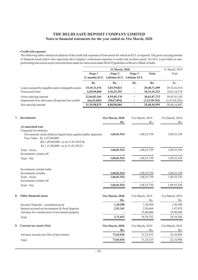#### **Credit risk exposure**

The following table contains an analysis of the credit risk exposure of loan assets for which an ECL is required. The gross carrying amount of financial assets below also represents the Company's maximum exposure to credit risk on these assets. No ECL is provided on nonperforming loan assets as provision has been made for such assets under IRACPguidelines of Reserve Bank of India.

|    |                                                                                                                                                                                                                              |                               | 31 March, 2020                                     |                          |                                   | 31 March, 2019                    |
|----|------------------------------------------------------------------------------------------------------------------------------------------------------------------------------------------------------------------------------|-------------------------------|----------------------------------------------------|--------------------------|-----------------------------------|-----------------------------------|
|    |                                                                                                                                                                                                                              | Stage 1                       | Stage 2<br>12 months ECL Lifetime ECL Lifetime ECL | Stage 3                  | <b>Total</b>                      | Total                             |
|    |                                                                                                                                                                                                                              | Rs.                           | Rs.                                                | Rs.                      | Rs.                               | Rs.                               |
|    | Loans secured by tangible and/or intangible assets<br>Unsecured loans                                                                                                                                                        | 15,45,11,676<br>6,58,90,868   | 5,03,59,823<br>3,56,25,355                         | ÷<br>۰                   | 20,48,71,499<br>10, 15, 16, 223   | 29, 32, 62, 814<br>10,63,18,378   |
|    | Gross carrying amount<br>Impairment loss allowance (Expected loss credit)                                                                                                                                                    | 22,04,02,544<br>(64, 43, 669) | 8,59,85,178<br>(50, 87, 094)                       | $\overline{\phantom{a}}$ | 30,63,87,722<br>(1,15,30,763)     | 39,95,81,192<br>(1,47,64,345)     |
|    | Net carrying amount                                                                                                                                                                                                          | 21,39,58,875                  | 8,08,98,084                                        | $\overline{\phantom{a}}$ | 29,48,56,959                      | 38,48,16,847                      |
| 7. | <b>Investments</b>                                                                                                                                                                                                           |                               | 31st March, 2020<br>Rs.                            | 31st March, 2019         | Rs.                               | 31st March, 2018<br>Rs.           |
|    | At amortised cost<br>Unquoted investments<br>Govenrment stock (Held as liquid assets against public deposits)<br>Face Value : Rs.1,07,00,000/-<br>(Rs.1,09,00,000/- as at 31.03.2019 &<br>Rs.1,11,00,000/- as at 31.03.2018) |                               | 1,06,81,924                                        |                          | 1,08,25,730                       | 1,09,55,330                       |
|    | Total - Gross<br>Investments written off                                                                                                                                                                                     |                               | 1,06,81,924                                        |                          | 1,08,25,730                       | 1,09,55,330                       |
|    | Total - Net                                                                                                                                                                                                                  |                               | 1,06,81,924                                        |                          | 1,08,25,730                       | 1,09,55,330                       |
|    | Investments outside India<br>Investments in India                                                                                                                                                                            |                               | 1,06,81,924                                        |                          | 1,08,25,730                       | 1,09,55,330                       |
|    | Total - Gross<br>Investments written off                                                                                                                                                                                     |                               | 1,06,81,924                                        |                          | 1,08,25,730                       | 1,09,55,330                       |
|    | Total - Net                                                                                                                                                                                                                  |                               | 1,06,81,924                                        |                          | 1,08,25,730                       | 1,09,55,330                       |
| 8. | Other financial assets                                                                                                                                                                                                       |                               | 31st March, 2020<br>Rs.                            | 31st March, 2019         | Rs.                               | 31st March, 2018<br>Rs.           |
|    | Security Deposits - considered good<br>Interest accrued on investments & fixed deposits<br>Advance for construction of investment property                                                                                   |                               | 1,20,288<br>2,51,363                               |                          | 1,20,288<br>2,58,464<br>35,00,000 | 1,20,288<br>1,97,978<br>35,00,000 |
|    | Total                                                                                                                                                                                                                        |                               | 3,71,651                                           |                          | 38,78,752                         | 38,18,266                         |
| 9. | Current tax assets (Net)                                                                                                                                                                                                     |                               | 31st March, 2020<br>Rs.                            | 31st March, 2019         | Rs.                               | 31st March, 2018<br>Rs.           |
|    | Advance income-tax (Net of provisions)                                                                                                                                                                                       |                               | 73,65,036                                          |                          | 31,25,535                         | 22,16,904                         |
|    | Total                                                                                                                                                                                                                        |                               | 73,65,036                                          |                          | 31,25,535                         | 22,16,904                         |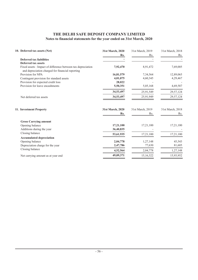| 10. Deferred tax assets (Net)                                                                                    | 31st March, 2020<br>Rs. | 31st March, 2019<br>Rs. | 31st March, 2018<br>Rs. |
|------------------------------------------------------------------------------------------------------------------|-------------------------|-------------------------|-------------------------|
| Deferred tax liabilities<br>Deferred tax assets                                                                  |                         |                         |                         |
| Fixed assets : Impact of difference between tax depreciation<br>and depreciation charged for financial reporting | 7,92,470                | 8,91,472                | 7,69,005                |
| Provision for NPA                                                                                                | 16,81,579               | 7,34,564                | 12,89,065               |
| Contingent provision for standard assets                                                                         | 4,01,075                | 4,60,345                | 4,29,467                |
| Provision for expected credit loss                                                                               | 28,022                  |                         |                         |
| Provision for leave encashments                                                                                  | 5,50,351                | 5,05,168                | 4,69,587                |
|                                                                                                                  | 34,53,497               | 25,91,549               | 29,57,124               |
| Net deferred tax assets                                                                                          | 34,53,497               | 25,91,949               | 29,57,124               |
| 11. Investment Property                                                                                          | 31st March, 2020        | 31st March, 2019        | 31st March, 2018        |
|                                                                                                                  | Rs.                     | Rs.                     | Rs.                     |
| <b>Gross Carrying amount</b>                                                                                     |                         |                         |                         |
| Opening balance                                                                                                  | 17,21,100               | 17,21,100               | 17,21,100               |
| Additions during the year                                                                                        | 36,40,835               |                         |                         |
| Closing balance                                                                                                  | 53,61,935               | 17,21,100               | 17,21,100               |
| <b>Accumulated depreciation</b>                                                                                  |                         |                         |                         |
| Opening balance                                                                                                  | 2,04,778                | 1,27,148                | 45,543                  |
| Depreciation charge for the year                                                                                 | 2,47,786                | 77,630                  | 81,605                  |
| Closing balance                                                                                                  | 4,52,564                | 2,04,778                | 1,27,148                |
| Net carrying amount as at year end.                                                                              | 49,09,371               | 15,16,322               | 15,93,952               |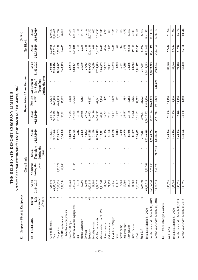| Property, Plant & Equipment<br>12. |                                                |                     | <b>Gross Block</b>              |                                                  |                     |                     |                 | Depreciation / Amortization                               |                     | Net Block           |                     |
|------------------------------------|------------------------------------------------|---------------------|---------------------------------|--------------------------------------------------|---------------------|---------------------|-----------------|-----------------------------------------------------------|---------------------|---------------------|---------------------|
|                                    |                                                |                     |                                 |                                                  |                     |                     |                 |                                                           |                     |                     |                     |
| <b>PARTICULARS</b>                 | Life<br>in number<br>of years<br><b>Useful</b> | 01.04.2019<br>As on | Additions<br>during the<br>year | <b>Transfers</b><br>during the<br>Sales/<br>year | 31.03.2020<br>As on | 01.04.2019<br>As on | For the<br>year | during the year<br>Adjustment<br>Transfers<br>for Sales / | 31.03.2020<br>As on | 31.03.2020<br>As on | 31.03.2019<br>As on |
| Air conditioners                   | S                                              | 4,16,071            |                                 |                                                  | 4,16,071            | 2,66,182            | 27,874          |                                                           | 2,94,056            | 1,22,015            | 1,49,889            |
| Cars                               | $\infty$                                       | 69,32,640           |                                 |                                                  | 69,32,640           | 50,33,028           | 5,62,398        |                                                           | 55,95,426           | 13,37,214           | 8,99,612            |
| Computers                          | $\tilde{\epsilon}$                             | 22,67,826           | 1,25,379                        |                                                  | 23,93,205           | 15,65,042           | 4,49,005        |                                                           | 20,14,047           | 3,79,158            | 7,02,784            |
| EPABX system and                   | $\sim$                                         | 2,36,588            | 98,000                          |                                                  | 3,34,588            | 1,95,721            | 52,192          |                                                           | 2,47,913            | 86,675              | 40,867              |
| telephone equipments               |                                                |                     |                                 |                                                  |                     |                     |                 |                                                           |                     |                     |                     |
| Electric fittings                  | $\overline{10}$                                | 1,84,760            |                                 |                                                  | 1,84,760            | 1,55,332            | 7,870           |                                                           | 1,63,202            | 21,558              | 29,428              |
| Furniture & other equipments       | $\overline{10}$                                | 6,38,740            | 47,385                          |                                                  | 6,86,125            | 4,53,274            | 55,023          |                                                           | 5,08,297            | 1,77,828            | 1,85,466            |
| Fax                                | 15                                             | 6,312               |                                 |                                                  | 6,312               | 3,156               |                 |                                                           | 3,156               | 3,156               | 3,156               |
| Signal Generator                   | $\overline{15}$                                | 32,206              |                                 |                                                  | 32,206              | 20,086              | 5,463           |                                                           | 25,549              | 6,657               | 12,120              |
| Invertor                           | $\supseteq$                                    | 42,003              |                                 |                                                  | 42,003              | 39,903              |                 |                                                           | 39,903              | 2,100               | 2,100               |
| Property                           | $\rm 60$                                       | 31,57,185           |                                 |                                                  | 31,57,185           | 18,29,678           | 64,227          |                                                           | 18,93,905           | 12,63,280           | 13,27,507           |
| Security system                    | $\overline{10}$                                | 21,190              |                                 |                                                  | 21,190              | 20,130              |                 |                                                           | 20,130              | 1,060               | 1,060               |
| Vaults equipments                  | $\overline{15}$                                | 19,79,525           |                                 |                                                  | 19,79,525           | 16,76,242           | 61,061          |                                                           | 17,37,303           | 2,42,222            | 3,03,283            |
| Voltage stabilizers / U.P.S.       | $\sim$                                         | 1,15,301            |                                 |                                                  | 1,15,301            | 1,01,361            | 5,304           |                                                           | 1,06,665            | 8,636               | 13,940              |
| Dome camera                        | $10$                                           | 61,566              |                                 |                                                  | 61,566              | 56,295              | 907             |                                                           | 57,202              | 4,364               | 5,271               |
| Video camera                       | $10\,$                                         | 21,190              |                                 |                                                  | 21,190              | 20,131              |                 |                                                           | 20,131              | 1,059               | 1,059               |
| TV & DVD Player                    | $10$                                           | 62,168              |                                 |                                                  | 62,168              | 54,833              | 1,899           |                                                           | 56,732              | 5,436               | 7,335               |
| Safe                               | $10$                                           | 11,813              |                                 |                                                  | 11,813              | 11,055              | 167             |                                                           | 11,222              | 591                 | 758                 |
| Sewar pump                         | S                                              | 5,460               |                                 |                                                  | 5,460               | 5,187               |                 |                                                           | 5,187               | 273                 | 273                 |
| Dehumidifier                       | $\overline{10}$                                | 19,990              |                                 |                                                  | 19,990              | 16,457              | 958             |                                                           | 17,415              | 2,575               | 3,533               |
| Refrigerator                       | 10                                             | 85,058              |                                 |                                                  | 85,058              | 22,166              | 16,282          |                                                           | 38,448              | 46,610              | 62,892              |
| DVR Camera                         | $10\,$                                         | 81,889              |                                 |                                                  | 81,889              | 55,878              | 6,825           |                                                           | 62,703              | 19,186              | 26,011              |
| I Pad                              | $\omega$                                       | 2,10,672            |                                 |                                                  | 2,10,672            | 1,31,155            | 50,222          |                                                           | 1,81,377            | 29,295              | 79,517              |
| Stair Lift                         | $\equiv$                                       | 3,79,101            |                                 |                                                  | 3,79,101            | 2,95,411            | 21,723          |                                                           | 3,17,134            | 61,967              | 83,690              |
| Total as at March 31, 2020         |                                                | 1,69,69,254         | 2,70,764                        |                                                  | 1,72,40,018         | 1,20,27,703         | 13,89,400       |                                                           | 1,34,17,103         | 38,22,915           | 49,41,551           |
| For the year ended March 31, 2019  |                                                | 1,63,06,361         | 6,62,893                        |                                                  | 1,69,69,254         | 99,62,194           | 20,65,509       |                                                           | 1,20,27,703         | 49,41,551           | 79,38,119           |
| For the year ended March 31, 2018  |                                                | 1,70,74,574         | 13,90,990                       | 21,59,203                                        | 1,63,06,361         | 99,61,944           | 19,16,922       | 19,16,672                                                 | 99,62,194           | 63,44,167           | 87,88,187           |
| Other intangible assets<br>13.     |                                                |                     |                                 |                                                  |                     |                     |                 |                                                           |                     |                     |                     |
| Web Portal                         |                                                | 1,43,596            |                                 |                                                  | 1,43,596            | 71,800              | 14,360          | ٠                                                         | 86,160              | 57,436              | 71,796              |
| Total as at March 31, 2020         |                                                | 1,43,596            |                                 |                                                  | 1,43,596            | 71,800              | 14,360          |                                                           | 86,160              | 57,436              | 71,796              |
| For the year ended March 31,2019   |                                                | 1,43,596            |                                 |                                                  | 1,43,596            | 57,440              | 14,360          |                                                           | 71,800              | 71,796              | 86,156              |
| For the year ended March 31,2018   |                                                | 1,43,596            |                                 |                                                  | 1,43,596            | 43,080              | 14,360          | $\blacksquare$                                            | 57,440              | 86,156              | 1,00,516            |

**THE DELHI SAFE DEPOSIT COMPANY LIMITED**

THE DELHI SAFE DEPOSIT COMPANY LIMITED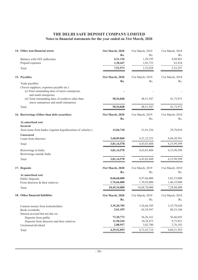| 14. Other non-financial assets                                               | 31st March, 2020 | 31st March, 2019 | 31st March, 2018 |
|------------------------------------------------------------------------------|------------------|------------------|------------------|
|                                                                              | Rs.              | Rs.              | Rs.              |
| Balance with GST authorities                                                 | 6,21,126         | 1,29,195         | 4,68,863         |
| Prepaid expenses                                                             | 1,30,447         | 1,03,733         | 63,434           |
| Total                                                                        | 7,51,573         | 2,32,928         | 5,32,297         |
| 15. Payables                                                                 | 31st March, 2020 | 31st March, 2019 | 31st March, 2018 |
| Trade payables                                                               | Rs.              | Rs.              | Rs.              |
| (Travel suppliers, expenses payable etc.)                                    |                  |                  |                  |
| (i) Total outstanding dues of micro enterprises                              |                  |                  |                  |
| and small enterprises<br>(ii) Total outstanding dues of creditors other than | 50,54,848        | 48, 51, 587      | 41,73,972        |
| micro enterprises and small enterprises                                      |                  |                  |                  |
| Total                                                                        | 50,54,848        | 48, 51, 587      | 41,73,972        |
| 16. Borrowings (Other than debt securities)                                  | 31st March, 2020 | 31st March, 2019 | 31st March, 2018 |
|                                                                              | Rs.              | Rs.              | Rs.              |
| At amortised cost                                                            |                  |                  |                  |
| <b>Secured</b><br>Term loans from banks (Against hypothecation of vehicles)  |                  |                  |                  |
|                                                                              | 13,04,718        | 21,81,236        | 29,79,018        |
| <b>Unsecured</b><br>Loans from directors                                     | 3,68,09,860      | 4, 21, 22, 252   | 6,04,20,581      |
|                                                                              |                  |                  |                  |
| Total                                                                        | 3,81,14,578      | 4,43,03,488      | 6,33,99,599      |
| Borrowings in India                                                          | 3,81,14,578      | 4,43,03,488      | 6,33,99,599      |
| Borrowings outside India                                                     |                  |                  |                  |
| Total                                                                        | 3,81,14,578      | 4,43,03,488      | 6,33,99,599      |
| 17. Deposits                                                                 | 31st March, 2020 | 31st March, 2019 | 31st March, 2018 |
|                                                                              | Rs.              | Rs.              | Rs.              |
| At amortised cost<br><b>Public Deposits</b>                                  | 8,68,68,000      | 8,97,86,000      | 5,82,53,000      |
| From directors & their relatives                                             | 1,76,66,000      | 1,70,92,000      | 1,46,35,000      |
| Total                                                                        | 10,45,34,000     | 10,68,78,000     | 7,28,88,000      |
| 18. Other financial liabilities                                              | 31st March, 2020 | 31st March, 2019 | 31st March, 2018 |
|                                                                              | Rs.              | Rs.              | Rs.              |
|                                                                              | 3,39,20,705      | 3,36,66,705      | 3,35,79,620      |
| Caution money from lockerholders<br>Book overdrafts                          | 2,61,435         | 65,39,597        | 80, 33, 186      |
| Interest accrued but not due on:                                             |                  |                  |                  |
| Deposits from public                                                         | 73,30,772        | 56,26,161        | 56,66,693        |
| Deposits from directors and their relatives                                  | 11,50,244        | 10,28,473        | 8,75,821         |
| Unclaimed dividend                                                           | 2,88,937         | 3,02,780         | 2,76,183         |
| Total                                                                        | 4,29,52,093      | 4,71,63,716      | 4,84,31,503      |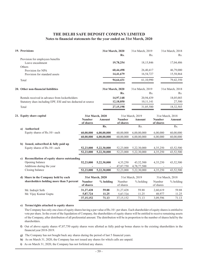| 19. Provisions                                               | 31st March, 2020 | 31st March, 2019 | 31st March, 2018 |
|--------------------------------------------------------------|------------------|------------------|------------------|
|                                                              | Rs.              | Rs.              | Rs.              |
| Provision for employees benefits                             |                  |                  |                  |
| Leave encashment                                             | 19,78,254        | 18, 15, 846      | 17,04,486        |
| Others                                                       |                  |                  |                  |
| Provision for NPA                                            | 60,44,498        | 26,40,417        | 46,79,000        |
| Provision for standard assets                                | 14,41,679        | 16,54,727        | 15,58,864        |
| Total                                                        | 94,64,431        | 61,10,990        | 79,42,350        |
| 20. Other non-financial liabilities                          | 31st March, 2020 | 31st March, 2019 | 31st March, 2018 |
|                                                              | Rs.              | Rs.              | Rs.              |
| Rentals received in advance from lockerholders               | 14,97,148        | 20,94,439        | 18,05,003        |
| Statutory dues including EPF, ESI and tax deducted at source | 12,18,050        | 10,11,141        | 27,500           |
| Total                                                        | 27, 15, 198      | 31,05,580        | 18,32,503        |

#### **21. Equity share capital 60,00,000 52,23,000 52,23,000 - 31,27,428 5,87,724 52,23,000 52,23,000 37,15,152 60,00,000** 60,00,000 43,52,500 43,52,500 - 59.88 11.25 43,52,500 43,52,500 71.13 60,00,000 6,00,000 4,35,250 4,35,250 - 2,60,619 48,977 4,35,250 4,35,250 3,09,596 6,00,000 6,00,00,000 5,22,30,000 43,52,500 4,78,77,500 59.88 11.25 5,22,30,000 5,22,30,000 71.13 6,00,00,000 60,00,000 52,23,000 4,35,250 47,87,750 31,27,428 5,87,724 52,23,000 52,23,000 37,15,152 60,00,000 **6,00,00,000 5,22,30,000 5,22,30,000 - 59.88 11.25 5,22,30,000 5,22,30,000 71.13 6,00,00,000** 31st March, 2018 31st March, 2018 31st March, 2019 31st March, 2019 **31st March, 2020 31st March, 2020** Rs. Rs. Rs. Rs. **Number of shares Number of shares Amount % holding Number of shares** Number of shares **Amount** % holding **Number of shares** Number of shares **Amount** % holding **a) Authorised** Equity shares of Rs.10/- each **b) Issued, subscribed & fully paid up** Equity shares of Rs.10/- each **c) Reconciliation of equity shares outstanding** Opening balance Additions during the year Closing balance **d) Share in the Company held by each shareholders holding more than 5 percent** Mr. Indrajit Seth Mr. Vijay Kumar Gupta

#### **e) Terms/rights attached to equity shares**

The Company has only one class of equity shares having a par value of Rs.10/- per share. Each shareholder of equity shares is entitled to vote per share. In the event of the liquidation of Company, the shareholders of equity shares will be entitled to receive remaining assets of the Company, after distribution of all preferential amount. The distribution will be in proportion to the number of shares held by the shareholders.

- **f)** Out of above equity shares 47,87,750 equity shares were allotted as fully paid-up bonus shares to the existing shareholders in the financial year 2018-2019.
- **g)** The Company has not bought back any shares during the period of last 5 financial years.
- **h)** As on March 31, 2020, the Company has not issued any shares for which calls are unpaid.
- **i)** As on March 31, 2020, the Company has not forfeited any shares.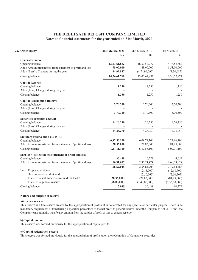| 22. Other equity                                                                                                                                  | 31st March, 2020<br>Rs.                 | 31st March, 2019<br>Rs.                                       | 31st March, 2018<br>Rs.                                       |
|---------------------------------------------------------------------------------------------------------------------------------------------------|-----------------------------------------|---------------------------------------------------------------|---------------------------------------------------------------|
| <b>General Reserve</b><br>Opening balance<br>Add : Amount transferred from statement of profit and loss<br>Add / (Less) : Changes during the year | 13,03,61,882<br>78,00,000<br>44,99,887  | 16,30,57,977<br>1,48,00,000<br>(4,74,96,095)                  | 14,78,88,662<br>1,53,00,000<br>(1,30,685)                     |
| Closing balance                                                                                                                                   | 14,26,61,769                            | 13,03,61,882                                                  | 16,30,57,977                                                  |
| <b>Capital Reserve</b><br>Opening balance<br>Add / (Less) Changes during the year                                                                 | 1,250                                   | 1,250                                                         | 1,250                                                         |
| Closing balance                                                                                                                                   | 1,250                                   | 1,250                                                         | 1,250                                                         |
| <b>Capital Redemption Reserve</b><br>Opening balance<br>Add / (Less) Changes during the year                                                      | 3,70,300                                | 3,70,300                                                      | 3,70,300                                                      |
| Closing balance                                                                                                                                   | 3,70,300                                | 3,70,300                                                      | 3,70,300                                                      |
| Securities premium account<br>Opening balance<br>Add / (Less) Changes during the year                                                             | 14,26,250                               | 14,26,250                                                     | 14,26,250                                                     |
| Closing balance                                                                                                                                   | 14,26,250                               | 14,26,250                                                     | 14,26,250                                                     |
| Statutory reserve fund u/s 45-IC<br>Opening balance<br>Add : Amount transferred from statement of profit and loss<br>Closing balance              | 6,82,56,100<br>28,55,000<br>7,11,11,100 | 6,09,71,100<br>72,85,000<br>6,82,56,100                       | 5,27,86,100<br>81,85,000<br>6,09,71,100                       |
| Surplus / (deficit) in the statement of profit and loss<br>Opening balance<br>Add : Amount transferred from statement of profit and loss          | 30,438<br>1,06,31,607<br>1,06,62,045    | 10,279<br>2,35,74,424<br>2,35,84,703                          | 4,659<br>2,49,59,827<br>2,49,64,486                           |
| Less: Proposed dividend<br>Tax on proposed dividend<br>Transfer to statutory reserve fund u/s 45-IC<br>Transfer to general reserve                | (28, 55, 000)<br>(78,00,000)            | (12, 18, 700)<br>(2,50,565)<br>(72, 85, 000)<br>(1,48,00,000) | (12, 18, 700)<br>(2,50,507)<br>(81, 85, 000)<br>(1,53,00,000) |
| Closing balance                                                                                                                                   | 7,045                                   | 30,438                                                        | 10,279                                                        |

#### **Nature and purpose of reserve**

#### **a) General reserve**

This reserve is a free reserve created by the appropriation of profits. It is not created for any specific or particular purpose. There is no mandatory requirement of transferring a specified percentage of the net profit to general reserve under the Companies Act, 2013 and the Company can optionally transfer any amount from the surplus of profit or loss to general reserve.

#### **b) Capital reserve**

This reserve was formed previously for the appropriation of capital profits.

#### **c) Capital redemption reserve**

This reserve was formed previously for the appropriation of profits upon the redemption of Company's securities.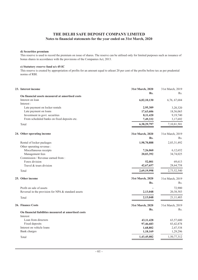#### **d) Securities premium**

This reserve is used to record the premium on issue of shares. The reserve can be utilised only for limited purposes such as issuance of bonus shares in accordance with the provisions of the Companies Act, 2013.

#### **e) Statutory reserve fund u/s 45-IC**

This reserve is created by appropriation of profits for an amount equal to atleast 20 per cent of the profits before tax as per prudential norms of RBI.

| 23. Interest income                                  | 31st March, 2020 | 31st March, 2019 |
|------------------------------------------------------|------------------|------------------|
| On financial assets measured at amortised costs      | Rs.              | Rs.              |
| Interest on loan                                     | 6,02,10,130      | 6,76,67,684      |
| Interest:                                            |                  |                  |
| Late payment on locker rentals                       | 2,95,309         | 3,20,320         |
| Late payment on loans                                | 17,63,606        | 18,56,065        |
| Investment in govt. securities                       | 8,11,420         | 9,19,740         |
| From scheduled banks on fixed deposits etc.          | 7,49,332         | 3,17,692         |
| Total                                                | 6,38,29,797      | 7,10,81,501      |
| 24. Other operating income                           | 31st March, 2020 | 31st March, 2019 |
|                                                      | Rs.              | Rs.              |
| Rental of locker packages                            | 1,98,70,888      | 2,03,31,492      |
| Other operating revenue :                            |                  |                  |
| Miscellaneous receipts                               | 7,26,060         | 6,12,652         |
| Management fees                                      | 20,03,392        | 34,74,025        |
| Commission / Revenue earned from:                    |                  |                  |
| Forex division                                       | 52,001           | 69,613           |
| Travel & tours division                              | 42,67,657        | 28,64,758        |
| Total                                                | 2,69,19,998      | 2,73,52,540      |
| 25. Other income                                     | 31st March, 2020 | 31st March, 2019 |
|                                                      | Rs.              | Rs.              |
| Profit on sale of assets                             |                  | 72,900           |
| Reversal in the provision for NPA & standard assets  | 2,13,048         | 20,38,583        |
| Total                                                | 2,13,048         | 21,11,483        |
| <b>26. Finance Costs</b>                             | 31st March, 2020 | 31st March, 2019 |
| On financial liabilities measured at amortised costs | Rs.              | Rs.              |
| Interest                                             |                  |                  |
| Loan from directors                                  | 43, 11, 428      | 63,57,600        |
| Fixed deposits                                       | 97,46,683        | 83,42,878        |
| Interest on vehicle loans                            | 1,68,802         | 2,47,538         |
| Bank charges                                         | 1,18,169         | 1,29,296         |
| Total                                                | 1,43,45,082      | 1,50,77,312      |
|                                                      |                  |                  |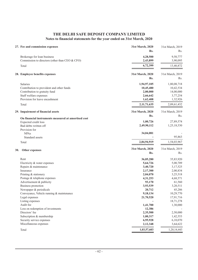|     | 27. Fee and commission expenses                                                                                                                           | 31st March, 2020<br>Rs.                                      | 31st March, 2019<br>Rs.                                       |
|-----|-----------------------------------------------------------------------------------------------------------------------------------------------------------|--------------------------------------------------------------|---------------------------------------------------------------|
|     | Brokerage for loan business<br>Commission to directors (other than CEO & CFO)                                                                             | 4,28,500<br>2,43,899                                         | 9,50,777<br>3,90,095                                          |
|     | Total                                                                                                                                                     | 6,72,399                                                     | 13,40,872                                                     |
|     | 28. Employee benefits expenses                                                                                                                            | 31st March, 2020                                             | 31st March, 2019                                              |
|     |                                                                                                                                                           | Rs.                                                          | Rs.                                                           |
|     | <b>Salaries</b><br>Contribution to provident and other funds<br>Contribution to gratuity fund<br>Staff welfare expenses<br>Provision for leave encashment | 1,94,97,105<br>10,45,480<br>2,00,000<br>2,66,642<br>1,62,408 | 1,80,08,718<br>10,42,534<br>14,00,000<br>3,77,254<br>1,32,926 |
|     | Total                                                                                                                                                     | 2,11,71,635                                                  | 2,09,61,432                                                   |
|     | 29. Impairment of financial assets                                                                                                                        | 31st March, 2020<br>Rs.                                      | 31st March, 2019<br>Rs.                                       |
|     | On financial instruments measured at amortised cost<br>Expected credit loss                                                                               | 1,00,726                                                     | 27,89,574                                                     |
|     | Bad debts written off                                                                                                                                     | 2,49,90,112                                                  | 1,25,18,530                                                   |
|     | Provision for                                                                                                                                             |                                                              |                                                               |
|     | <b>NPAs</b>                                                                                                                                               | 34,04,081                                                    |                                                               |
|     | Standard assets                                                                                                                                           |                                                              | 95,863                                                        |
|     | Total                                                                                                                                                     | 2,84,94,919                                                  | 1,54,03,967                                                   |
| 30. | Other expenses                                                                                                                                            | 31st March, 2020<br>Rs.                                      | 31st March, 2019<br>Rs.                                       |
|     | Rent                                                                                                                                                      | 36,05,280                                                    | 35,83,920                                                     |
|     | Electricity & water expenses                                                                                                                              | 5,64,726                                                     | 5,00,709                                                      |
|     | Repairs & maintenance                                                                                                                                     | 3,40,720                                                     | 3,17,525                                                      |
|     | Insurance                                                                                                                                                 | 2,17,300                                                     | 2,00,834                                                      |
|     | Printing & stationery                                                                                                                                     | 2,04,070                                                     | 3,25,518                                                      |
|     | Postage & telephone expenses                                                                                                                              | 4, 31, 253                                                   | 4,68,571                                                      |
|     | Advertisement & publicity<br>Business promotion                                                                                                           | 93,170                                                       | 61,560                                                        |
|     | Newspaper & periodicals                                                                                                                                   | 3,93,539<br>20,712                                           | 3,20,511<br>45,286                                            |
|     | Conveyance, Vehicle running & maintenance                                                                                                                 | 9,18,134                                                     | 10,29,770                                                     |
|     | Legal expenses                                                                                                                                            | 21,70,520                                                    | 17,91,716                                                     |
|     | Listing expenses                                                                                                                                          |                                                              | 18,71,278                                                     |
|     | Audit fee                                                                                                                                                 | 1,41,700                                                     | 1,30,000                                                      |
|     | Loss on redemption of investments                                                                                                                         | 12,386                                                       |                                                               |
|     | Directors' fee                                                                                                                                            | 2,35,500                                                     | 2,50,000                                                      |
|     | Subscription & membership                                                                                                                                 | 1,00,317                                                     | 1,42,553                                                      |
|     | Security service expenses                                                                                                                                 | 6,95,928                                                     | 6,10,070                                                      |
|     | Miscellaneous expenses                                                                                                                                    | 2,12,348                                                     | 3,64,622                                                      |
|     | Total                                                                                                                                                     | 1,03,57,603                                                  | 1,20,14,443                                                   |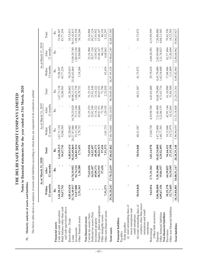THE DELHI SAFE DEPOSIT COMPANY LIMITED **THE DELHI SAFE DEPOSIT COMPANY LIMITED**

# Notes to financial statements for the year ended on 31st March, 2020 **Notes to financial statements for the year ended on 31st March, 2020**

# 31. Maturity analysis of assets and liabilities **31. Maturity analysis of assets and liabilities**

The below table shows an analysis of assets and liabilities according to when they are expected to be realised or settled: The below table shows an analysis of assets and liabilities according to when they are expected to be realised or settled:

|                                                                                                                                                                                                                             |                                                      | March 31, 2020<br>As at               |                                                        |                                                    | As at March 31, 2019                     |                                                       |                                       | As at March 31, 2018                     |                                                       |
|-----------------------------------------------------------------------------------------------------------------------------------------------------------------------------------------------------------------------------|------------------------------------------------------|---------------------------------------|--------------------------------------------------------|----------------------------------------------------|------------------------------------------|-------------------------------------------------------|---------------------------------------|------------------------------------------|-------------------------------------------------------|
|                                                                                                                                                                                                                             | 12 months<br>Within                                  | 12 months<br>After                    | Total                                                  | 12 months<br>Within                                | 12 months<br>After                       | Total                                                 | 12 months<br>Within                   | 12 months<br>Atter                       | Total                                                 |
| Financial assets                                                                                                                                                                                                            | Rs.                                                  | ž.                                    | Rs.                                                    | Rs.                                                | Rs.                                      | Rs.                                                   | Rs.                                   | Rs.                                      | Rs.                                                   |
| Bank balance other than cash<br>Cash and cash equivalents                                                                                                                                                                   | 2,44,28,215<br>54,67,741                             |                                       | 2,44,28,215<br>54,67,741                               | 1,67,71,138<br>52,00,503                           |                                          | 1,67,71,138<br>52,00,503                              | 43,77,254<br>53,98,307                |                                          | 43,77,254<br>53,98,307                                |
| and cash equivalents above<br>Other financial assets<br>Receivables - Trade<br>Investments<br>Loans                                                                                                                         | 21,74,49,917<br>12,07,800<br>4,40,63,634<br>2,51,363 | 14,78,19,952<br>94,74,124<br>1,20,288 | 36,52,69,869<br>4,40,63,634<br>1,06,81,924<br>3,71,651 | 24,27,87,486<br>35,12,386<br>61,20,662<br>3,78,752 | 16,70,25,629<br>73, 13, 344<br>35,00,000 | 40,98,13,115<br>1,08,25,730<br>61,20,662<br>38,78,752 | 3,18,266<br>54,35,013<br>25,42,03,064 | 13,09,39,749<br>1,09,55,330<br>35,00,000 | 1,09,55,330<br>54,35,013<br>38,18,266<br>38,51,42,813 |
| Deferred tax assets (Net)<br>Current tax assets (Net)<br>Non-financial assets                                                                                                                                               |                                                      | 73,65,036<br>34,53,497                | 73,65,036<br>34,53,497                                 |                                                    | 31,25,535<br>25,91,549                   | 25,91,549<br>31,25,535                                |                                       | 29,57,124<br>22,16,904                   | 22,16,904<br>29,57,124                                |
| Property, plant and equipment<br>Investment property                                                                                                                                                                        |                                                      | 38,22,915<br>49,09,371                | 38,22,915<br>49,09,371                                 |                                                    | 5,16,322<br>49,41,551                    | 15,16,322<br>49,41,551                                |                                       | 63,44,167<br>15,93,952                   | 15,93,952<br>63,44,167                                |
| Other non-financial assets<br>Other intangible assets                                                                                                                                                                       | 7,51,573                                             | 57,436                                | 57,436<br>7,51,573                                     | 1,03,733                                           | 71,796<br>1,29,195                       | 71,796<br>2,32,928                                    | 63,434                                | 86,156<br>4,68,863                       | 86,156<br>5,32,297                                    |
| Total assets                                                                                                                                                                                                                | 29,36,20,243                                         | 70,22,619<br>17,                      | 47,06,42,862                                           | 27,48,74,660                                       | 19.02.14.921                             | 46,50,89,581                                          | ,95,338<br>26.97.                     | 15.90.62.245                             | 42,88,57,583                                          |
| creditors other than micro<br>(i) total outstanding dues of<br>(ii) total outstanding dues of<br>micro enterprises and<br>enterprises and small<br>small enterprises<br>Financial liabilities<br>Trade payables<br>Payables | ı<br>50,54,848                                       |                                       | 50,54,848                                              | 48,51,587                                          |                                          | 48,51,587                                             | 41,73,972                             |                                          | 41,73,972                                             |
| enterprises<br>Borrowings                                                                                                                                                                                                   | 9,63,016                                             | 71,51,562<br>$\frac{1}{2}$            | 3,81,14,578                                            | 13,04,720                                          | 4,29,98,768                              | 4,43,03,488                                           | 29,79,018                             | 6,04,20,581                              | 6,33,99,599                                           |
| (Other debt securities)<br>Other financial liabilities<br>Non-financial liabilities<br>Deposits                                                                                                                             | 5,06,98,000<br>4,09,67,156                           | 5,38,36,000<br>19,84,937              | 10,45,34,000<br>4,29,52,093                            | 3,47,72,000<br>1,48,77,561                         | 7,21,06,000<br>3,22,86,155               | 10,68,78,000<br>4,71,63,716                           | 4,43,79,000<br>1,62,54,680            | 2,85,09,000<br>3,21,76,823               | 7,28,88,000<br>4,84,31,503                            |
| Other non-financial liabilities<br>Provisions                                                                                                                                                                               | 12,75,603<br>30,25,378                               | 14,39,595<br>64,39,053                | 27,15,198<br>94,64,431                                 | 18,15,846<br>14,72,979                             | 42,95,144<br>16,32,601                   | 61,10,990<br>31,05,580                                | 17,04,486<br>3,11,809                 | 62,37,864<br>15,20,694                   | 18,32,503<br>79,42,350                                |
| <b>Total liabilities</b>                                                                                                                                                                                                    | 10,19,84,001                                         | 10,08,51,147                          | 20,28,35,148                                           | 5,90,94,693                                        | 15,33,18,668                             | 21,24,13,361                                          | 6,98,02,965                           | 12,88,64,962                             | 19,86,67,927                                          |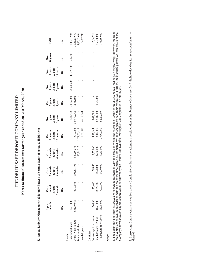THE DELHI SAFE DEPOSIT COMPANY LIMITED **THE DELHI SAFE DEPOSIT COMPANY LIMITED** Notes to financial statements for the year ended on 31st March, 2020 **Notes to financial statements for the year ended on 31st March, 2020**

32. Assets Liability Management (Maturiy Pattern of certain items of assets & liabilities) **32. Assets Liability Management (Maturiy Pattern of certain items of assets & liabilities)**

|                                     | 1 month<br>Upto | 1 month<br>2 months<br>& upto<br>Over | Over<br>2 months<br>& upto<br>3 months | Over<br>3 months<br>& upto<br>6 months | Over<br>6 months<br>& upto<br>12 months | Over<br>1 year<br>& upto<br>3 years<br>Rs. | Over<br>3 years<br>8 upto<br>5 years<br>Rs. | Over<br>5 years<br>& upto<br>7 years<br>Rs. | Over<br>$7$ years<br>$\&$ upto<br>$10$ years<br>$18$ . | Over<br>10 years | Total                    |
|-------------------------------------|-----------------|---------------------------------------|----------------------------------------|----------------------------------------|-----------------------------------------|--------------------------------------------|---------------------------------------------|---------------------------------------------|--------------------------------------------------------|------------------|--------------------------|
|                                     | Řs.             | Rs.                                   | Rs.                                    | Rs.                                    | Rs.                                     |                                            |                                             |                                             |                                                        | Rs.              | Rs.                      |
| Assets                              |                 |                                       |                                        |                                        |                                         |                                            |                                             |                                             |                                                        |                  |                          |
| Government stock                    | 12,07,800       |                                       |                                        |                                        |                                         |                                            |                                             | 25,60,900                                   | 13,37,180                                              | 6,47,501         | 1,06,81,924              |
| Loans (Net of NPAs)                 | 6,35,40,087     | 1,76,91,664                           | ,96,51,796                             | 4,49,66,376<br>60,98,222               | ,15,99,994                              | 15,11,543<br>9,86,70,042                   | 34,17,000<br>2,35,692                       |                                             |                                                        |                  | 1,63,55,651              |
| Trade receivables                   |                 |                                       |                                        |                                        | $3,79,65,412$<br>$5,00,000$             |                                            |                                             |                                             |                                                        |                  |                          |
| Fixed deposits                      |                 |                                       |                                        |                                        |                                         | 49,67,741                                  |                                             |                                             |                                                        |                  | 4,40,63,634<br>54,67,741 |
|                                     |                 |                                       |                                        |                                        |                                         |                                            |                                             |                                             |                                                        |                  |                          |
| Borrowings from banks<br>Liablities | 76,836          | 77,440                                | 78,050                                 | 2,37,860                               |                                         |                                            |                                             |                                             |                                                        |                  | 13,04,718                |
| Fixed deposits - Public             | 81,71,000       | 43,25,000                             | 16,98,000                              |                                        | 4,92,844<br>1,13,41,000<br>37,97,000    | $3,41,688$<br>$4,62,41,000$<br>$62,29,000$ | 13,66,000                                   |                                             |                                                        |                  | 8,68,68,000              |
| - Directors & relatives             | 16,00,000       | 7,00,000                              | 4,00,000                               | 1,37,26,000<br>39,40,000               |                                         |                                            |                                             |                                             |                                                        |                  | 1,76,66,000              |
| <b>Notes</b>                        |                 |                                       |                                        |                                        |                                         |                                            |                                             |                                             |                                                        |                  |                          |

- 64 -

1. The assets and liabilities as above are shown in accordance with the dates on which the assets and liabilities are due to be realized or paid respectively. However, the trade<br>receivables are shown in accordance with the s as above are shown in accordance with the dates on which the assets and liabilities are due to be realized or paid respectively. However, the trade receivables are shown in accordance with the recovery time period as estimated by the management for their realization. Further, the maturity pattern of loan assets of the Company shown above is subject to moratorium as allowed by the Reserve Bank of India, more specifically explained in Note 46(vi). 1. The assets and liabilitie

2. Borrowings from directors and caution money from lockerholders are not taken into consideration in the absence of any specific & definite due date for repayment/maturity 2. Borrowings from directors and caution money from lockerholders are not taken into consideration in the absence of any specific & definite due date for repayment/maturity<br>thereof.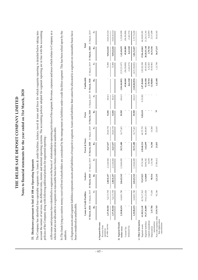| 31 March, 2019 31 March, 2020 31 March, 2019<br>The Company has identified four reportable segments viz. loans & credit facilities, lockers, travel & tours and forex for which requisite reporting is detailed below taking into<br>account the nature of services, the different risks, returns and internal reporting systems. The accounting policies adopted for segment reporting are in line with the accounting<br>a) Revenue and expenses have identified to a segment on the basis of relationship to operating activities of the segment. Revenue, expenses and taxes which relates to Company as a<br>lockerholders are considered by the management as liabilities under credit facilities segment. This has been relied upon by the<br>assets and liabilities of respective segment. Assets and liabilities that cannot be allocated to a segment on reasonable basis have<br>9,09,62,843<br>20,28,35,148<br>9,09,62,843<br>16,51,546<br>36,67,215<br>Rs.<br>1,42,69,659<br>45,00,000<br>8,61,948<br>1,06,31,607<br>47,06,42,862<br>2,70,764<br>72,900<br>2,85,02,580<br>6,52,023<br>19,50,963<br>1,12,790<br>Rs.<br>72,900<br>(3,35,23,107)<br>69,55,084<br>(96, 50, 000)<br>(3,65,575)<br>(4,35,38,682)<br>Unallocable<br>31 March, 2020<br>(3,04,46,802)<br>45,00,000<br>8,61,948<br>2,87,20,860<br>91,01,500<br>1,62,408<br>(3,40,84,854)<br>2,70,764<br>12,98,884<br>ž.<br>31 March, 2019<br>69,613<br>69,613<br>69,613<br>69,613<br>9,19,302<br>ě.<br>31 March, 2020 31 March, 2019 31 March, 2020<br>$\overline{16}$<br>39,985<br>39,985<br>9,82,610<br>Rs.<br>52,001<br>52,001<br>Forex<br>60,75,793<br>28,64,758<br>28,64,758<br>68,40,691<br>14,360<br>22,815<br>ě.<br>14,77,621<br>14,77,621<br>whole and are not allocable to a segment on reasonable basis have been considered as unallocable.<br>policies of the Company along with following additional policies for segmental reporting:<br>Travel & Tours<br>14,360<br>20,72,480<br>3,62,699<br>42,67,657<br>20,72,480<br>1,58,40,224<br>23,815<br>Rs.<br>42,67,657<br>31 March, 2020 31 March, 2019 31 March, 2020 31 March, 2019<br>10,870<br>1,14,546<br>2,12,64,464<br>2,10,84,092<br>19,74,344<br>24,94,562<br>27,90,412<br>Rs.<br>2,12,64,464<br>2,10,84,092<br>Lockers<br>90,516<br>2,06,03,342<br>6,34,860<br>2,06,03,342<br>52,67,023<br>2,08,92,257<br>1,21,211<br>Rs.<br>2,08,92,257<br>c) Segment assets and segment liabilities represents<br>b) The funds lying as caution money received from<br>4,44,81,780<br>77,630<br>92,346<br>7,62,73,789<br>4,44,81,780<br>19,61,23,024<br>Rs.<br>7,62,73,789<br>42,76,17,562<br>Loans & Credit Facilities<br>been considered as unallocable.<br>2,20,00,654<br>41,98,32,145<br>19,27,36,089<br>2,47,786<br>Non cash expenses other 33,59,765<br>6,57,50,928<br>6,57,50,928<br>Rs.<br>2,20,00,654<br>than depreciation<br>c) Other Information<br>Capital expenditure<br>Segment liabilities<br>/ amortization<br>b) Segment Results<br>a) Segment Revenue<br>/ amortization<br>& other income<br>Segment assets<br>Revenue from<br>Deferred Tax<br>Depreciation<br>before taxes<br>Current Tax<br>operations<br>auditors | 33. Disclosures pursuant to Ind AS 108 on Operating Segments |  |  | Notes to financial statements for the year ended on 31st March, 2020 |  |  |       |                              |
|-----------------------------------------------------------------------------------------------------------------------------------------------------------------------------------------------------------------------------------------------------------------------------------------------------------------------------------------------------------------------------------------------------------------------------------------------------------------------------------------------------------------------------------------------------------------------------------------------------------------------------------------------------------------------------------------------------------------------------------------------------------------------------------------------------------------------------------------------------------------------------------------------------------------------------------------------------------------------------------------------------------------------------------------------------------------------------------------------------------------------------------------------------------------------------------------------------------------------------------------------------------------------------------------------------------------------------------------------------------------------------------------------------------------------------------------------------------------------------------------------------------------------------------------------------------------------------------------------------------------------------------------------------------------------------------------------------------------------------------------------------------------------------------------------------------------------------------------------------------------------------------------------------------------------------------------------------------------------------------------------------------------------------------------------------------------------------------------------------------------------------------------------------------------------------------------------------------------------------------------------------------------------------------------------------------------------------------------------------------------------------------------------------------------------------------------------------------------------------------------------------------------------------------------------------------------------------------------------------------------------------------------------------------------------------------------------------------------------------------------------------------------------------------------------------------------------------------------------------------------------------------------------------------------------------------------------------------------------------------------------------------------------------------------------------------------------------------------------------------------------------------------------------------------|--------------------------------------------------------------|--|--|----------------------------------------------------------------------|--|--|-------|------------------------------|
|                                                                                                                                                                                                                                                                                                                                                                                                                                                                                                                                                                                                                                                                                                                                                                                                                                                                                                                                                                                                                                                                                                                                                                                                                                                                                                                                                                                                                                                                                                                                                                                                                                                                                                                                                                                                                                                                                                                                                                                                                                                                                                                                                                                                                                                                                                                                                                                                                                                                                                                                                                                                                                                                                                                                                                                                                                                                                                                                                                                                                                                                                                                                                                 |                                                              |  |  |                                                                      |  |  |       |                              |
|                                                                                                                                                                                                                                                                                                                                                                                                                                                                                                                                                                                                                                                                                                                                                                                                                                                                                                                                                                                                                                                                                                                                                                                                                                                                                                                                                                                                                                                                                                                                                                                                                                                                                                                                                                                                                                                                                                                                                                                                                                                                                                                                                                                                                                                                                                                                                                                                                                                                                                                                                                                                                                                                                                                                                                                                                                                                                                                                                                                                                                                                                                                                                                 |                                                              |  |  |                                                                      |  |  |       |                              |
|                                                                                                                                                                                                                                                                                                                                                                                                                                                                                                                                                                                                                                                                                                                                                                                                                                                                                                                                                                                                                                                                                                                                                                                                                                                                                                                                                                                                                                                                                                                                                                                                                                                                                                                                                                                                                                                                                                                                                                                                                                                                                                                                                                                                                                                                                                                                                                                                                                                                                                                                                                                                                                                                                                                                                                                                                                                                                                                                                                                                                                                                                                                                                                 |                                                              |  |  |                                                                      |  |  |       |                              |
|                                                                                                                                                                                                                                                                                                                                                                                                                                                                                                                                                                                                                                                                                                                                                                                                                                                                                                                                                                                                                                                                                                                                                                                                                                                                                                                                                                                                                                                                                                                                                                                                                                                                                                                                                                                                                                                                                                                                                                                                                                                                                                                                                                                                                                                                                                                                                                                                                                                                                                                                                                                                                                                                                                                                                                                                                                                                                                                                                                                                                                                                                                                                                                 |                                                              |  |  |                                                                      |  |  |       |                              |
|                                                                                                                                                                                                                                                                                                                                                                                                                                                                                                                                                                                                                                                                                                                                                                                                                                                                                                                                                                                                                                                                                                                                                                                                                                                                                                                                                                                                                                                                                                                                                                                                                                                                                                                                                                                                                                                                                                                                                                                                                                                                                                                                                                                                                                                                                                                                                                                                                                                                                                                                                                                                                                                                                                                                                                                                                                                                                                                                                                                                                                                                                                                                                                 |                                                              |  |  |                                                                      |  |  | Total |                              |
|                                                                                                                                                                                                                                                                                                                                                                                                                                                                                                                                                                                                                                                                                                                                                                                                                                                                                                                                                                                                                                                                                                                                                                                                                                                                                                                                                                                                                                                                                                                                                                                                                                                                                                                                                                                                                                                                                                                                                                                                                                                                                                                                                                                                                                                                                                                                                                                                                                                                                                                                                                                                                                                                                                                                                                                                                                                                                                                                                                                                                                                                                                                                                                 |                                                              |  |  |                                                                      |  |  |       |                              |
|                                                                                                                                                                                                                                                                                                                                                                                                                                                                                                                                                                                                                                                                                                                                                                                                                                                                                                                                                                                                                                                                                                                                                                                                                                                                                                                                                                                                                                                                                                                                                                                                                                                                                                                                                                                                                                                                                                                                                                                                                                                                                                                                                                                                                                                                                                                                                                                                                                                                                                                                                                                                                                                                                                                                                                                                                                                                                                                                                                                                                                                                                                                                                                 |                                                              |  |  |                                                                      |  |  |       | Rs.                          |
|                                                                                                                                                                                                                                                                                                                                                                                                                                                                                                                                                                                                                                                                                                                                                                                                                                                                                                                                                                                                                                                                                                                                                                                                                                                                                                                                                                                                                                                                                                                                                                                                                                                                                                                                                                                                                                                                                                                                                                                                                                                                                                                                                                                                                                                                                                                                                                                                                                                                                                                                                                                                                                                                                                                                                                                                                                                                                                                                                                                                                                                                                                                                                                 |                                                              |  |  |                                                                      |  |  |       | 10,05,45,524                 |
|                                                                                                                                                                                                                                                                                                                                                                                                                                                                                                                                                                                                                                                                                                                                                                                                                                                                                                                                                                                                                                                                                                                                                                                                                                                                                                                                                                                                                                                                                                                                                                                                                                                                                                                                                                                                                                                                                                                                                                                                                                                                                                                                                                                                                                                                                                                                                                                                                                                                                                                                                                                                                                                                                                                                                                                                                                                                                                                                                                                                                                                                                                                                                                 |                                                              |  |  |                                                                      |  |  |       | 10,05,45,524                 |
|                                                                                                                                                                                                                                                                                                                                                                                                                                                                                                                                                                                                                                                                                                                                                                                                                                                                                                                                                                                                                                                                                                                                                                                                                                                                                                                                                                                                                                                                                                                                                                                                                                                                                                                                                                                                                                                                                                                                                                                                                                                                                                                                                                                                                                                                                                                                                                                                                                                                                                                                                                                                                                                                                                                                                                                                                                                                                                                                                                                                                                                                                                                                                                 |                                                              |  |  |                                                                      |  |  |       | 3,35,89,999                  |
|                                                                                                                                                                                                                                                                                                                                                                                                                                                                                                                                                                                                                                                                                                                                                                                                                                                                                                                                                                                                                                                                                                                                                                                                                                                                                                                                                                                                                                                                                                                                                                                                                                                                                                                                                                                                                                                                                                                                                                                                                                                                                                                                                                                                                                                                                                                                                                                                                                                                                                                                                                                                                                                                                                                                                                                                                                                                                                                                                                                                                                                                                                                                                                 |                                                              |  |  |                                                                      |  |  |       | (96, 50, 000)<br>(3,65,575)  |
|                                                                                                                                                                                                                                                                                                                                                                                                                                                                                                                                                                                                                                                                                                                                                                                                                                                                                                                                                                                                                                                                                                                                                                                                                                                                                                                                                                                                                                                                                                                                                                                                                                                                                                                                                                                                                                                                                                                                                                                                                                                                                                                                                                                                                                                                                                                                                                                                                                                                                                                                                                                                                                                                                                                                                                                                                                                                                                                                                                                                                                                                                                                                                                 |                                                              |  |  |                                                                      |  |  |       | 2,35,74,424                  |
|                                                                                                                                                                                                                                                                                                                                                                                                                                                                                                                                                                                                                                                                                                                                                                                                                                                                                                                                                                                                                                                                                                                                                                                                                                                                                                                                                                                                                                                                                                                                                                                                                                                                                                                                                                                                                                                                                                                                                                                                                                                                                                                                                                                                                                                                                                                                                                                                                                                                                                                                                                                                                                                                                                                                                                                                                                                                                                                                                                                                                                                                                                                                                                 |                                                              |  |  |                                                                      |  |  |       |                              |
|                                                                                                                                                                                                                                                                                                                                                                                                                                                                                                                                                                                                                                                                                                                                                                                                                                                                                                                                                                                                                                                                                                                                                                                                                                                                                                                                                                                                                                                                                                                                                                                                                                                                                                                                                                                                                                                                                                                                                                                                                                                                                                                                                                                                                                                                                                                                                                                                                                                                                                                                                                                                                                                                                                                                                                                                                                                                                                                                                                                                                                                                                                                                                                 |                                                              |  |  |                                                                      |  |  |       | 21,24,13,361<br>46,50,89,581 |
|                                                                                                                                                                                                                                                                                                                                                                                                                                                                                                                                                                                                                                                                                                                                                                                                                                                                                                                                                                                                                                                                                                                                                                                                                                                                                                                                                                                                                                                                                                                                                                                                                                                                                                                                                                                                                                                                                                                                                                                                                                                                                                                                                                                                                                                                                                                                                                                                                                                                                                                                                                                                                                                                                                                                                                                                                                                                                                                                                                                                                                                                                                                                                                 |                                                              |  |  |                                                                      |  |  |       | 6,62,893<br>21,57,499        |
|                                                                                                                                                                                                                                                                                                                                                                                                                                                                                                                                                                                                                                                                                                                                                                                                                                                                                                                                                                                                                                                                                                                                                                                                                                                                                                                                                                                                                                                                                                                                                                                                                                                                                                                                                                                                                                                                                                                                                                                                                                                                                                                                                                                                                                                                                                                                                                                                                                                                                                                                                                                                                                                                                                                                                                                                                                                                                                                                                                                                                                                                                                                                                                 |                                                              |  |  |                                                                      |  |  |       | 30,18,363                    |
|                                                                                                                                                                                                                                                                                                                                                                                                                                                                                                                                                                                                                                                                                                                                                                                                                                                                                                                                                                                                                                                                                                                                                                                                                                                                                                                                                                                                                                                                                                                                                                                                                                                                                                                                                                                                                                                                                                                                                                                                                                                                                                                                                                                                                                                                                                                                                                                                                                                                                                                                                                                                                                                                                                                                                                                                                                                                                                                                                                                                                                                                                                                                                                 |                                                              |  |  |                                                                      |  |  |       |                              |

**THE DELHI SAFE DEPOSIT COMPANY LIMITED**

THE DELHI SAFE DEPOSIT COMPANY LIMITED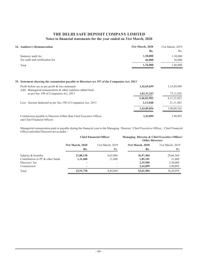| 34. Auditors's Remuneration     | 31st March, 2020 | 31st March, 2019 |
|---------------------------------|------------------|------------------|
|                                 | Rs.              | Rs.              |
| Statutory audit fee             | 1,30,000         | 1,30,000         |
| Tax audit and certification fee | 46,000           | 36,000           |
| Total                           | 1,76,000         | 1,66,000         |

# **35. Statement showing the commission payable to Directors u/s 197 of the Companies Act, 2013**

| Profit before tax as per profit & loss statement<br>Add: Managerial remuneration & other expenses added back | 1,42,69,659 | 3, 35, 89, 999 |
|--------------------------------------------------------------------------------------------------------------|-------------|----------------|
| as per Sec. 198 of Companies Act, 2013                                                                       | 1,03,33,243 | 75, 31, 026    |
|                                                                                                              | 2,46,02,902 | 4, 11, 21, 025 |
| Less: Income deducted as per Sec. 198 of Companies Act, 2013                                                 | 2,13,048    | 21, 11, 483    |
|                                                                                                              | 2,43,89,854 | 3,90,09,542    |
| Commission payable to Directors (Other than Chief Executive Officer<br>and Chief Financial Officer)          | 2,43,899    | 3,90,095       |

Managerial remuneration paid or payable during the financial year to the Managing Director / Chief Executive Officer, , Chief Financial Officer and other Directors are as under :-

|                                  | <b>Chief Financial Officer</b> |                  | <b>Managing Director &amp; Chief Executive Officer</b><br><b>Other Directors</b> |                  |  |
|----------------------------------|--------------------------------|------------------|----------------------------------------------------------------------------------|------------------|--|
|                                  | 31st March, 2020               | 31st March, 2019 | 31st March, 2020                                                                 | 31st March, 2019 |  |
|                                  | Rs.                            | Rs.              | Rs.                                                                              | Rs.              |  |
| Salaries & benefits              | 21,80,138                      | 8,63,004         | 36,97,404                                                                        | 29,66,364        |  |
| Contribution to PF & other funds | 1,11,600                       | 21,600           | 1,85,101                                                                         | 21,600           |  |
| Directors' fee                   |                                |                  | 2,35,500                                                                         | 2,50,000         |  |
| Commission                       | -                              |                  | 2,43,899                                                                         | 3,90,095         |  |
| Total                            | 22,91,738                      | 8,84,604         | 43,61,904                                                                        | 36,28,059        |  |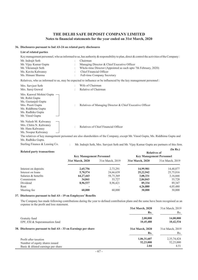#### **36. Disclosures pursuant to Ind AS-24 on related party disclosures**

| List of related parties                                                                                                                                                  |                                                                                                                                                                        |
|--------------------------------------------------------------------------------------------------------------------------------------------------------------------------|------------------------------------------------------------------------------------------------------------------------------------------------------------------------|
|                                                                                                                                                                          | Key management personnel, who as informed to us, has authority & responsibility to plan, direct & control the activities of the Company:                               |
| Mr. Indrajit Seth                                                                                                                                                        | Chairman                                                                                                                                                               |
| Mr. Vijay Kumar Gupta                                                                                                                                                    | Managing Director & Chief Executive Officer                                                                                                                            |
| Mr. Vikramajit Seth                                                                                                                                                      | Whole-time Director (Appointed as such upto 7th February, 2020)                                                                                                        |
| Ms. Kavita Kalwaney                                                                                                                                                      | Chief Financial Officer                                                                                                                                                |
| Ms. Himani Sharma                                                                                                                                                        | Full-time Company Secretary                                                                                                                                            |
|                                                                                                                                                                          | Relatives, who as informed to us, may be expected to influence or be influenced by the key management personnel:                                                       |
| Mrs. Sarvjeet Seth                                                                                                                                                       | Wife of Chairman                                                                                                                                                       |
| Mrs. Saroj Grewal                                                                                                                                                        | Relative of Chairman                                                                                                                                                   |
| Mrs. Kanwal Mohini Gupta<br>Mr. Rohit Gupta<br>Ms. Geetanjali Gupta<br>Mrs. Preeti Gupta<br>$\ddot{\cdot}$<br>Ms. Riddhima Gupta<br>Ms. Radhika Gupta<br>Mr. Vinod Gupta | Relatives of Managing Director & Chief Executive Officer                                                                                                               |
| Mr. Nalesh M. Kalwaney<br>Mrs. Chitra N. Kalwaney<br>$\cdot$<br>Mr. Hans Kalwaney<br>Ms. Noopur Kalwaney                                                                 | Relatives of Chief Financial Officer<br>The relatives of key management personnel are also shareholders of the Company, except Mr. Vinod Gupta, Ms. Riddhima Gupta and |
| Ms. Radhika Gupta.                                                                                                                                                       |                                                                                                                                                                        |
| Sterling Finance & Leasing Co.                                                                                                                                           | Mr. Indrajit Seth, Mrs. Sarvjeet Seth and Mr. Vijay Kumar Gupta are partners of this firm.                                                                             |

#### **Related party transactions**

| <b>Related party transactions</b> | <b>Key Management Personnel</b> |                  | ,<br><b>Relatives of</b><br><b>Key Management Personnel</b> |                  |  |
|-----------------------------------|---------------------------------|------------------|-------------------------------------------------------------|------------------|--|
|                                   |                                 |                  |                                                             |                  |  |
|                                   | 31st March, 2020                | 31st March, 2019 | 31st March, 2020                                            | 31st March, 2019 |  |
| Interest on deposits              | 2,65,756                        | 2,73,291         | 14,99,981                                                   | 14,48,877        |  |
| Interest on loans                 | 5,70,574                        | 24,66,639        | 25, 22, 942                                                 | 25,75,016        |  |
| Salaries & benefits               | 64, 27, 443                     | 58,75,369        | 3,08,331                                                    | 3,16,666         |  |
| Commission                        | 34,841                          | 55,727           | 2,84,843                                                    | 55,728           |  |
| Dividend                          | 8,96,537                        | 8,96,421         | 89,334                                                      | 89,347           |  |
| Rent                              |                                 |                  | 4,26,880                                                    | 4,05,480         |  |
| Meeting fee                       | 60,000                          | 60,000           | 30,000                                                      | 30,000           |  |

**(In Rs.)**

#### **37. Disclosures pursuant to Ind AS - 19 on Employees' Benefits**

The Company has made following contributions during the year to defined contribution plans and the same have been recognised as an expense in the profit and loss statement.  $31 \pm M = 1, 2010$ **31st March, 2020**

|                                                               | 31st March, 2020<br>Rs. | 31st March, 2019<br>Rs. |
|---------------------------------------------------------------|-------------------------|-------------------------|
| Gratuity fund                                                 | 2,00,000                | 14,00,000               |
| EPF, ESI & Superannuation fund                                | 10,45,480               | 10,42,534               |
| 38. Disclosures pursuant to Ind AS - 33 on Earnings per share | 31st March, 2020<br>Rs. | 31st March, 2019<br>Rs. |
| Profit after taxation                                         | 1,06,31,607             | 2,35,74,424             |
| Number of equity shares issued                                | 52,23,000               | 52,23,000               |
| Basic & diluted earnings per share                            | 2.04                    | 4.51                    |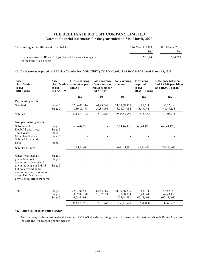| 39. Contingent liabilities not provided for                                              | 31st March, 2020 | 31st March, 2019 |
|------------------------------------------------------------------------------------------|------------------|------------------|
|                                                                                          | Rs.              | Rs.              |
| Guarantee given to IFFCO Tokyo General Insurance Company<br>for the issue of air tickets | 7,10,000         | 6,80,000         |

# **40. Disclosure as required by RBI vide Circular No. DOR (NBFC).CC.PD.No.109/22.10.106/2019-20 dated March 13, 2020**

| Asset<br>classification<br>as per<br><b>RBI</b> norms                                                                                         | Asset<br>classification<br>as per<br><b>Ind AS 109</b> | <b>Gross carrying</b><br>amount as per<br>Ind AS | Loss allowance<br>(Provisions) as<br>required under<br><b>Ind AS 109</b> | Net carrying<br>amount                        | <b>Provisions</b><br>required<br>as per<br><b>IRACP</b> norms | <b>Difference between</b><br>Ind AS 109 provisions<br>and IRACP norms |
|-----------------------------------------------------------------------------------------------------------------------------------------------|--------------------------------------------------------|--------------------------------------------------|--------------------------------------------------------------------------|-----------------------------------------------|---------------------------------------------------------------|-----------------------------------------------------------------------|
|                                                                                                                                               |                                                        | Rs.                                              | Rs.                                                                      | Rs.                                           | Rs.                                                           | Rs.                                                                   |
| <b>Performing assets</b>                                                                                                                      |                                                        |                                                  |                                                                          |                                               |                                                               |                                                                       |
| Standard                                                                                                                                      | Stage 1<br>Stage 2                                     | 22,04,02,544<br>8,59,85,178                      | 64,43,669<br>50,87,094                                                   | 21, 39, 58, 875<br>8,08,98,084                | 8,81,611<br>3,43,941                                          | 55,62,058<br>47, 43, 153                                              |
| Subtotal                                                                                                                                      |                                                        | 30,63,87,722                                     | 1,15,30,763                                                              | 29,48,56,959                                  | 12,25,552                                                     | 1,03,05,211                                                           |
| Non performing assets                                                                                                                         |                                                        |                                                  |                                                                          |                                               |                                                               |                                                                       |
| Substandard                                                                                                                                   | Stage 3                                                | 6,04,44,981                                      |                                                                          | 6,04,44,981                                   | 60,44,498                                                     | (60, 44, 498)                                                         |
| Doubtful-upto 1 year                                                                                                                          | Stage 3                                                |                                                  |                                                                          |                                               |                                                               |                                                                       |
| 1 to 3 years                                                                                                                                  | Stage 3                                                |                                                  |                                                                          |                                               |                                                               |                                                                       |
| More than 3 years                                                                                                                             | Stage 3                                                |                                                  |                                                                          |                                               |                                                               |                                                                       |
| Subtotal for doubtful                                                                                                                         |                                                        |                                                  |                                                                          |                                               |                                                               |                                                                       |
| Loss                                                                                                                                          | Stage 3                                                |                                                  | $\overline{a}$                                                           |                                               |                                                               |                                                                       |
| Subtotal for NPA                                                                                                                              |                                                        | 6,04,44,981                                      | $\overline{a}$                                                           | 6,04,44,981                                   | 60,44,498                                                     | (60, 44, 498)                                                         |
| Other items such as                                                                                                                           | Stage 1                                                |                                                  |                                                                          |                                               |                                                               |                                                                       |
| guarantees, loan<br>commitments etc. which                                                                                                    | Stage 2                                                |                                                  |                                                                          |                                               |                                                               |                                                                       |
| are in the scope of Ind AS<br>but not covered under<br>current income, recognition,<br>asset classification and<br>provisioning (IRACP) norms | Stage 3                                                |                                                  |                                                                          |                                               |                                                               |                                                                       |
|                                                                                                                                               |                                                        |                                                  |                                                                          |                                               |                                                               |                                                                       |
| Total                                                                                                                                         | Stage 1<br>Stage 2<br>Stage 3                          | 22,04,02,544<br>8,59,85,178<br>6,04,44,981       | 64,43,669<br>50,87,094                                                   | 21, 39, 58, 875<br>8,08,98,084<br>6,04,44,981 | 8,81,611<br>3,43,941<br>60,44,498                             | 55,62,058<br>47, 43, 153<br>(60, 44, 498)                             |
|                                                                                                                                               |                                                        | 36, 68, 32, 703                                  | 1,15,30,763                                                              | 35,53,01,940                                  | 72,70,050                                                     | 42,60,713                                                             |

#### **41. Rating assigned by rating agency**

The Company has been assigned with the rating of MA-(Stable) by the rating agency, Investment Information and Credit RatingAgency of India (ICRA) for accepting public deposits.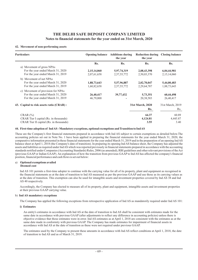#### **42. Movement of non-performing assets**

| <b>Particulars</b>                       | <b>Opening balance</b> Additions during | the year    | Reduction during Closing balance<br>the year |                  |
|------------------------------------------|-----------------------------------------|-------------|----------------------------------------------|------------------|
|                                          | Rs.                                     | Rs.         | Rs.                                          | Rs.              |
| a) Movement of gross NPAs                |                                         |             |                                              |                  |
| For the year ended March 31, 2020        | 2,15,14,060                             | 5,97,74,319 | 2,08,43,398                                  | 6,04,44,981      |
| For the year ended March 31, 2019        | 2,07,61,658                             | 2,57,55,772 | 2,50,03,370                                  | 2,15,14,060      |
| b) Movement of net NPAs                  |                                         |             |                                              |                  |
| For the year ended March 31, 2020        | 1,88,73,643                             | 5,57,96,887 | 2,02,70,047                                  | 5,44,00,483      |
| For the year ended March 31, 2019        | 1,60,82,658                             | 2,57,55,772 | 2,29,64,787                                  | 1,88,73,643      |
| c) Movement of provision for NPAs        |                                         |             |                                              |                  |
| For the year ended March 31, 2020        | 26,40,417                               | 39,77,432   | 5,73,351                                     | 60,44,498        |
| For the year ended March 31, 2019        | 46,79,000                               |             | 20,38,583                                    | 26,40,417        |
| 43. Capital to risk assets ratio (CRAR): |                                         |             | 31st March, 2020                             | 31st March, 2019 |
|                                          |                                         |             | Rs.                                          | Rs.              |
| $CRAR$ $\left(\frac{9}{0}\right)$        |                                         |             | 64.37                                        | 60.89            |
| CRAR Tier I capital (Rs. in thousands)   |                                         |             | 4,124.81                                     | 4,445.87         |
| CRAR Tier II capital (Rs. in thousands)  |                                         |             | 3.55                                         | 3.40             |
|                                          |                                         |             |                                              |                  |

#### **44. First-time adoption of IndAS - Mandatory exceptions, optional exemptions and Transition to IndAS**

These are the Company's first financial statements prepared in accordance with Ind AS subject to certain exemptions as detailed below.The accounting policies set out in Note No. 1 have been applied in preparing the financial statements for the year ended March 31, 2020, the comparative information presented in these financial statements for the year ended March 31, 2019 and in the preparation of an opening Ind AS balance sheet at April 1, 2018 (the Company's date of transition). In preparing its opening Ind AS balance sheet, the Company has adjusted the assets and liabilities as required under IndAS which was reported previously in financial statements prepared in accordance with the accounting standards notified under Companies (Accounting Standards) Rules, 2006 (as amended), RBI guidelines and other relevant provisions of theAct (previous GAAP or Indian GAAP). An explanation of how the transition from previous GAAP to Ind AS has affected the company's financial position, financial performance and cash flows is set out below:

#### a) **Optional exemptions availed**

# **Deemed cost**

Ind AS 101 permits a first-time adopter to continue with the carrying value for all of its property, plant and equipment as recognised in the financial statements as at the date of transition to Ind AS measured as per the previous GAAP and use those as its carrying values as at the date of transition. This exemption can also be used for intangible assets and investment properties covered by Ind AS 38 and Ind AS 40 respectively.

Accordingly, the Company has elected to measure all of its property, plant and equipment, intangible assets and investment properties at their previous GAAP carrying value.

#### b) **Ind AS mandatory exceptions**

The Company has applied the following exceptions from retrospective application of Ind AS as mandatorily required under Ind AS 101:

#### **i) Estimates**

An entity's estimates in accordance with Ind AS at the date of transition to Ind AS shall be consistent with estimates made for the same date in accordance with previous GAAP (after adjustments to reflect any difference in accounting policies) unless there is objective evidence that those estimates were in error. Ind AS estimates as at April 1, 2018 are consistent with the estimates as at the same date made in conformity with previous GAAP. The Company has made estimates for impairment of financial assets in accordance with Ind AS at the date of transition as these were not required under previous GAAP.

The estimates used by the Company to present these amounts in accordance with Ind AS reflect conditions at April 1, 2018, the date of transition to Ind AS and as of March 31, 2019.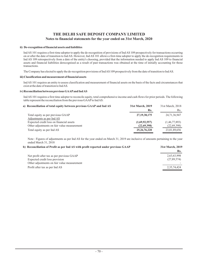#### **ii) De-recognition of financial assets and liabilities**

Ind AS 101 requires a first-time adopter to apply the de-recognition of provisions of Ind AS 109 prospectively for transactions occurring on or after the date of transition to Ind AS. However, Ind AS 101 allows a first-time adopter to apply the de-recognition requirements in Ind AS 109 retrospectively from a date of the entity's choosing, provided that the information needed to apply Ind AS 109 to financial assets and financial liabilities derecognised as a result of past transactions was obtained at the time of initially accounting for those transactions.

The Company has elected to apply the de-recognition provisions of IndAS 109 prospectively from the date of transition to IndAS.

#### **iii) Classification and measurement of financial assets**

Ind AS 101 requires an entity to assess classification and measurement of financial assets on the basis of the facts and circumstances that exist at the date of transition to IndAS.

#### **iv) Reconciliation between previous GAAPand IndAS**

Ind AS 101 requires a first time adopter to reconcile equity, total comprehensive income and cash flows for prior periods. The following table represent the reconciliation from the previous GAAPto IndAS:

| a) Reconciliation of total equity between previous GAAP and Ind AS | 31st March, 2019 | 31st March, 2018 |
|--------------------------------------------------------------------|------------------|------------------|
|                                                                    | Rs.              | Rs.              |
| Total equity as per previous GAAP                                  | 27, 19, 38, 175  | 24,71,36,947     |
| Adjustments as per Ind AS                                          |                  |                  |
| Expected credit loss on financial assets                           | (1,69,92,557)    | (1,46,77,893)    |
| Other adjustments on fair value measurement                        | (22,69,398)      | (22,69,398)      |
| Total equity as per Ind AS                                         | 25, 26, 76, 220  | 23,01,89,656     |
|                                                                    |                  |                  |

Note : Figures of adjustments as per Ind AS for the year ended on March 31, 2019 are inclusive of amounts pertaining to the year ended March 31, 2018

| b) Reconciliation of Profit as per Ind AS with profit reported under previous GAAP | 31st March, 2019 |  |
|------------------------------------------------------------------------------------|------------------|--|
|                                                                                    | Rs.              |  |
| Net profit after tax as per previous GAAP                                          | 2,63,63,998      |  |
| Expected credit loss provision                                                     | (27,89,574)      |  |
| Other adjustments on fair value measurement                                        |                  |  |
| Profit after tax as per Ind AS                                                     | 2,35,74,424      |  |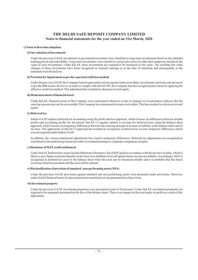### **THE DELHI SAFE DEPOSIT COMPANY LIMITED Notes to financial statements for the year ended on 31st March, 2020**

### **c) Notes to first-time adoption:**

### **i) Fair valuation of investments**

Under the previous GAAP, investments in government securities were classified as long-term investments based on the intended holding period and realisability. Long-term investments were carried at cost less provision for other than temporary decline in the value of such investments. Under Ind AS, these investments are required to be measured at fair value. The resulting fair value changes of these investments have been recognised in retained earnings as at the date of transition and subsequently in the statement of profit and loss.

#### **ii) Provision for impairment as per the expected credit loss method**

Under the previous GAAP, the Company had recognised provisions against trade receivables, investments and loans and advances as per the RBI norms. However, in order to comply with Ind AS 109, the Company has also recognised provisions by applying the effective credit loss method. This adjustment has resulted in a decrease in total equity.

#### **iii) Remeasurement of financial assets**

Under Ind AS, financial assets of the Company were remeasured wherever events or changes in circumstances indicate that the carrying amount may not be recoverable.The Company has remeasured its trade receivables. This has resulted in a decrease in total equity.

### **iv) Deferred tax**

Indian GAAP requires deferred tax accounting using the profit and loss approach, which focuses on differences between taxable profits and accounting profits for the period. Ind AS 12 requires entities to account for deferred taxes using the balance sheet approach, which focuses on temporary differences between the carrying amount of an asset or liability in the balance sheet and its tax base. The application of Ind AS 12 approach has resulted in recognition of deferred tax on new temporary differences which was not required under Indian GAAP.

In addition, the various transitional adjustments have lead to temporary differences. Deferred tax adjustments are recognised in correlation to the underlying transaction either in retained earnings or a separate component of equity.

### **v) Disclosure of MAT credit entitlement**

Under IndAS, Deferred tax assets include MinimumAlternative Tax (MAT) paid in accordance with the tax laws in India, which is likely to give future economic benefits in the form of availability of set off against future income tax liability.Accordingly, MAT is recognised as deferred tax asset in the balance sheet when the asset can be measured reliably and it is probable that the future economic benefit associated with the asset will be realised.

### **vi) Reclassification of provision of standard / non-performing assets (NPA)**

Under the previous GAAP, provisions against standard and non performing assets were presented under provisions. However, under IndAS financial assets (Loans) measured at amortised cost are presented net of provision.

#### **vii) Investment property**

Under the previous GAAP, investment properties were presented as part of fixed assets. Under Ind AS, investment properties are required to be separately presented on the face of the balance sheet. There is no impact on the total equity or profit as a result of this adjustment.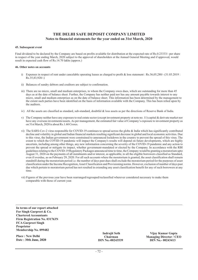### **THE DELHI SAFE DEPOSIT COMPANY LIMITED Notes to financial statements for the year ended on 31st March, 2020**

### **45. Subsequent event**

Final dividend to be declared by the Company are based on profits available for distribution at the expected rate of Rs.0.23333/- per share in respect of the year ending March, 2020 subject to the approval of shareholders at the Annual General Meeting and if approved, would result in expected cash flow of Rs.14.70 lakhs (approx.)

### **46. Other notes on accounts**

- i) Expenses in respect of rent under cancelable operating leases as charged to profit & loss statement : Rs.36,05,280/- (31.03.2019 :  $Rs.35,83,920/-$
- ii) Balances of sundry debtors and creditors are subject to confirmation.
- iii) There are no micro, small and medium enterprises, to whom the Company owes dues, which are outstanding for more than 45 days as at the date of balance sheet. Further, the Company has neither paid nor has any amount payable towards interest to any micro, small and medium enterprises as on the date of balance sheet. This information has been determined by the management to the extent such parties have been identified on the basis of information available with the Company. This has been relied upon by the auditors.
- iv) All the assets are classified as standard, sub-standard, doubtful & loss assets as per the directions of Reserve Bank of India.
- v) The Company neither have any exposure to real estate sector (except investment property at note no. 11) capital & derivate market nor have any overseas investments/assets. As per management, the estimated fair value of Company's exposure to investment property as on 31st March, 2020 is about Rs.1.60 Crores.
- vi) The SARS-Cov-2 virus responsible for COVID-19 continues to spread across the globe & India which has significantly contributed decline and volatility in global and Indian financial markets resulting significant decrease in global and local economic activities. Due to this virus, the Indian government were constrained to announced lockdown in the country to prevent the spread of this virus. The extent to which the COVID-19 pandemic will impact the Company's results will depend on future developments, which are highly uncertain, including among other things, any new information concerning the severity of the COVID-19 pandemic and any action to prevent the spread or mitigate its impact, whether government-mandated or elected by the Company. In accordance with the RBI guidelines relating to the COVID-19 Regulatory Packages announced time to time, the Company would be granting a moratorium upto August 31, 2020 on the payments of all instalments and/or interest, as applicable, to all the eligible borrowers classified as Standard, even if overdue, as on February 29, 2020. For all such accounts where the moratorium is granted, the asset classification shall remain standstill during the moratorium period i.e. the number of days past dues shall exclude the moratorium period for the purposes of asset classification under the Income Recognition,Asset Classification and Provisioning norms. However, exclusion of number of days past due which pertain to moratorium period has not resulted in extending any asset classification benefit for any of such borrowers at any time.
- vii) Figures of the previous year have been rearranged/regrouped/reclassified wherever considered necessary to make them comparable with those of current year.

**In terms of our report attached For Singh Gurpreet & Co. Chartered Accountants Firm Registration No. 031763N FCA Gurpreet Singh Proprietor Membership No. 099482**

**Place : New Delhi Date : 30th June, 2020**

**Chairman Managing Director / CEO**<br>DIN No.-00243539 DIN No.-00243413 **Indrajit Seth Vijay Kumar Gupta DIN No.- 00243413**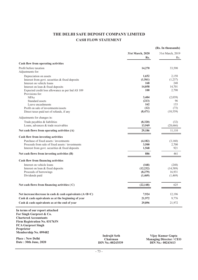# **CASH FLOW STATEMENT THE DELHI SAFE DEPOSIT COMPANY LIMITED**

|                                                                                                                                                                         |                                  |                         | (Rs. In thousands)                                  |
|-------------------------------------------------------------------------------------------------------------------------------------------------------------------------|----------------------------------|-------------------------|-----------------------------------------------------|
|                                                                                                                                                                         |                                  | 31st March, 2020<br>Rs. | 31st March, 2019<br>Rs.                             |
| Cash flow from operating activities                                                                                                                                     |                                  |                         |                                                     |
| Profit before taxation<br>Adjustments for:                                                                                                                              |                                  | 14,270                  | 33,590                                              |
| Depreciation on assets                                                                                                                                                  |                                  | 1,652                   | 2,158                                               |
| Interest from govt. securities & fixed deposits                                                                                                                         |                                  | (1,561)                 | (1,237)                                             |
| Interest on vehicle loans                                                                                                                                               |                                  | 168                     | 248                                                 |
| Interest on loan & fixed deposits                                                                                                                                       |                                  | 14,058                  | 14,701                                              |
| Expected credit loss allowance as per Ind AS 109                                                                                                                        |                                  | 100                     | 2,790                                               |
| Provisions for:                                                                                                                                                         |                                  | 3,404                   |                                                     |
| <b>NPAs</b><br>Standard assets                                                                                                                                          |                                  | (213)                   | (2,039)<br>96                                       |
| Leave encashments                                                                                                                                                       |                                  | 162                     | 133                                                 |
| Profit on sale of investments/assets                                                                                                                                    |                                  | (12)                    | (73)                                                |
| Direct taxes paid net of refunds, if any                                                                                                                                |                                  | (8, 471)                | (10, 559)                                           |
| Adjustments for changes in:                                                                                                                                             |                                  |                         |                                                     |
| Trade payables & liabilities                                                                                                                                            |                                  | (8,320)                 | (32)                                                |
| Loans, advances & trade receivables                                                                                                                                     |                                  | 13,949                  | (28,666)                                            |
| Net cash flows from operating activities (A)                                                                                                                            |                                  | 29,186                  | 11,110                                              |
| Cash flow from investing activities                                                                                                                                     |                                  |                         |                                                     |
| Purchase of fixed assets / investments                                                                                                                                  |                                  | (4,182)                 | (3,160)                                             |
| Proceeds from sale of fixed assets / investments                                                                                                                        |                                  | 3,500                   | 2,700                                               |
| Interest from govt. securities & fixed deposits                                                                                                                         |                                  | 1,568                   | 921                                                 |
| Net cash flows from investing activities (B)                                                                                                                            |                                  | 886                     | 461                                                 |
| Cash flow from financing activities                                                                                                                                     |                                  |                         |                                                     |
| Interest on vehicle loans                                                                                                                                               |                                  | (168)                   | (248)                                               |
| Interest on loan & fixed deposits                                                                                                                                       |                                  | (12, 232)               | (14,589)                                            |
| Proceeds of borrowings                                                                                                                                                  |                                  | (8,279)                 | 16,931                                              |
| Dividends paid                                                                                                                                                          |                                  | (1,469)                 | (1,469)                                             |
| Net cash flows from financing activities (C)                                                                                                                            |                                  | (22, 148)               | 625                                                 |
|                                                                                                                                                                         |                                  |                         |                                                     |
| Net increase/decrease in cash & cash equivalents (A+B+C)                                                                                                                |                                  | 7,924                   | 12,196                                              |
| Cash & cash equivalents as at the beginning of year                                                                                                                     |                                  | 21,972                  | 9,776                                               |
| Cash & cash equivalents as at the end of year                                                                                                                           |                                  | 29,896                  | 21,972                                              |
| In terms of our report attached<br>For Singh Gurpreet & Co.<br><b>Chartered Accountants</b><br>Firm Registration No. 031763N<br><b>FCA Gurpreet Singh</b><br>Proprietor |                                  |                         |                                                     |
| Membership No. 099482                                                                                                                                                   |                                  |                         |                                                     |
| <b>Place: New Delhi</b>                                                                                                                                                 | <b>Indrajit Seth</b><br>Chairman |                         | Vijay Kumar Gupta<br><b>Managing Director / CEO</b> |

**Date : 30th June, 2020**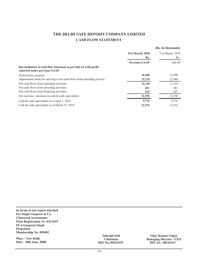# **CASH FLOW STATEMENT THE DELHI SAFE DEPOSIT COMPANY LIMITED**

|                                                                                                 |                      | (Rs. In thousands) |
|-------------------------------------------------------------------------------------------------|----------------------|--------------------|
|                                                                                                 | 31st March, 2020     | 31st March, 2019   |
|                                                                                                 | Rs.                  | Rs.                |
|                                                                                                 | <b>Previous GAAP</b> | Ind AS             |
| Reconciliation of cash flow statement as per Ind AS with profit<br>reported under previous GAAP |                      |                    |
| Profit before taxation                                                                          | 36,380               | 33,590             |
| Adjustments made for arriving at net cash flows from operating activity                         | 25,270               | 22,480             |
| Net cash flows from operating activities                                                        | 11,110               | 11,110             |
| Net cash flows from investing activities                                                        | 461                  | 461                |
| Net cash flows from financing activities                                                        | 625                  | 625                |
| Net increase / decrease in cash $\&$ cash equivalents                                           | 12,196               | 12,196             |
| Cash & cash equivalents as at April 1, 2018                                                     | 9,776                | 9,776              |
| Cash & cash equivalents as at March 31, 2019                                                    | 21,972               | 21,972             |

**In terms of our report attached For Singh Gurpreet & Co. Chartered Accountants Firm Registration No. 031763N FCA Gurpreet Singh Proprietor Membership No. 099482**

**Place : New Delhi Date : 30th June, 2020**

**Chairman Managing Director / CEO Indrajit Seth**<br> **Indrajit Seth**<br> **IN No.-00243539**<br> **IN No.-00243413 DIN No.-00243539 DIN No.- 00243413**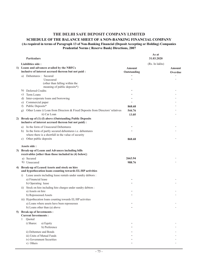## **THE DELHI SAFE DEPOSIT COMPANY LIMITED**

## **SCHEDULE OF THE BALANCE SHEET OF A NON-BANKING FINANCIAL COMPANY (As required in terms of Paragraph 13 of Non-Banking Financial (Deposit Accepting or Holding) Companies**

**Prudential Norms ( Reserve Bank) Directions, 2007**

|    |                      | <b>Particulars</b>                                                                                              |                       | As at<br>31.03.2020 |                   |
|----|----------------------|-----------------------------------------------------------------------------------------------------------------|-----------------------|---------------------|-------------------|
|    |                      | Liabilities side:                                                                                               |                       | (Rs. In lakhs)      |                   |
|    |                      | 1) Loans and advances availed by the NBFCs<br>inclusive of interest accrued thereon but not paid:               | Amount<br>Outstanding |                     | Amount<br>Overdue |
|    |                      | a) Debentures : Secured<br>Unsecured<br>(other than falling within the<br>meaning of public deposits*)          |                       |                     |                   |
|    |                      | b) Deferred Credits                                                                                             |                       |                     |                   |
|    | C)                   | Term Loans                                                                                                      |                       |                     |                   |
|    | d)                   | Inter-corporate loans and borrowing                                                                             |                       |                     |                   |
|    | e)                   | Commercial paper                                                                                                |                       |                     |                   |
|    | $\ddot{\phantom{1}}$ | Public Deposits*                                                                                                | 868.68                |                     |                   |
|    | g)                   | Other Loans i) Loan from Directors & Fixed Deposits from Directors' relatives                                   | 544.76                |                     |                   |
|    |                      | ii) Car Loan                                                                                                    | 13.05                 |                     |                   |
| 2) |                      | Break-up of (1) (f) above (Outstanding Public Deposits<br>inclusive of interest accrued thereon but not paid) : |                       |                     |                   |
|    | a)                   | In the form of Unsecured Debentures                                                                             |                       |                     |                   |
|    | b)                   | In the form of partly secured debentures i.e. debentures                                                        |                       |                     |                   |
|    |                      | where there is a shortfall in the value of security                                                             |                       |                     |                   |
|    | C)                   | Other public deposits                                                                                           | 868.68                |                     |                   |
|    |                      | Assets side:                                                                                                    |                       |                     |                   |
| 3) |                      | Break-up of Loans and Advances including bills                                                                  |                       |                     |                   |
|    |                      | receivables [other than those included in (4) below]:                                                           |                       |                     |                   |
|    |                      | a) Secured                                                                                                      | 2663.94               |                     |                   |
|    |                      | b) Unsecured                                                                                                    | 988.76                |                     |                   |
| 4) |                      | Break-up of Leased Assets and stock on hire<br>and hypothecation loans counting towards EL/HP activities        |                       |                     |                   |
|    | 1)                   | Lease assets including lease rentals under sundry debtors :                                                     |                       |                     |                   |
|    |                      | a) Financial lease                                                                                              |                       |                     |                   |
|    |                      | b) Operating lease                                                                                              |                       |                     |                   |
|    | 11)                  | Stock on hire including hire charges under sundry debtors :                                                     |                       |                     |                   |
|    |                      | a) Assets on hire                                                                                               |                       |                     |                   |
|    |                      | b) Repossessed Assets                                                                                           |                       |                     |                   |
|    |                      | iii) Hypothecation loans counting towards EL/HP activities<br>a) Loans where assets have been repossesses       |                       |                     |                   |
|    |                      | b) Loans other than (a) above                                                                                   |                       |                     |                   |
|    |                      | 5) Break-up of Investments :                                                                                    |                       |                     |                   |
|    |                      | <b>Current Investments:</b>                                                                                     |                       |                     |                   |
|    | 1                    | Quoted                                                                                                          |                       |                     |                   |
|    |                      | i) Shares:<br>a) Equity                                                                                         |                       |                     |                   |
|    |                      | b) Preference                                                                                                   |                       |                     |                   |
|    |                      | ii) Debenture and Bonds                                                                                         |                       |                     |                   |
|    |                      | iii) Units of Mutual Funds                                                                                      |                       |                     |                   |
|    |                      | iv) Government Securities                                                                                       |                       |                     |                   |
|    |                      | v) Others                                                                                                       |                       |                     |                   |